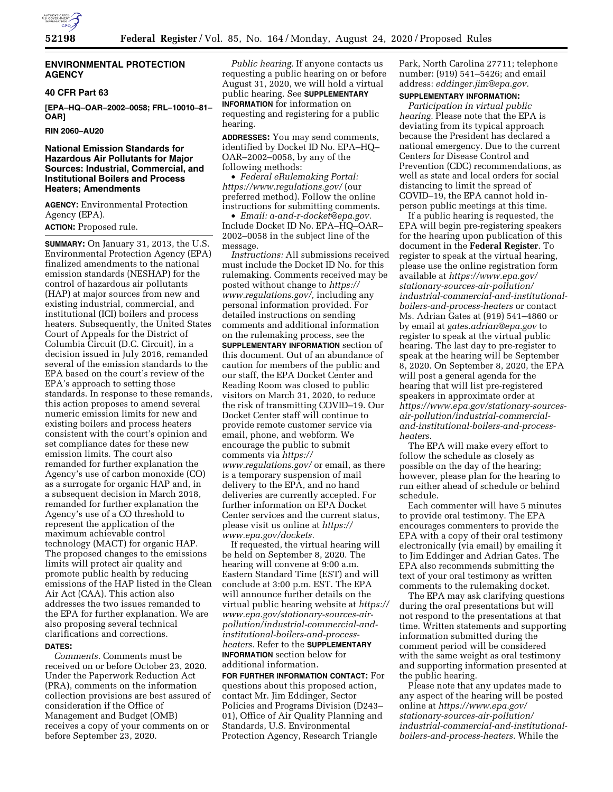

#### **ENVIRONMENTAL PROTECTION AGENCY**

#### **40 CFR Part 63**

**[EPA–HQ–OAR–2002–0058; FRL–10010–81– OAR]** 

**RIN 2060–AU20** 

# **National Emission Standards for Hazardous Air Pollutants for Major Sources: Industrial, Commercial, and Institutional Boilers and Process Heaters; Amendments**

**AGENCY:** Environmental Protection Agency (EPA).

**ACTION:** Proposed rule.

**SUMMARY:** On January 31, 2013, the U.S. Environmental Protection Agency (EPA) finalized amendments to the national emission standards (NESHAP) for the control of hazardous air pollutants (HAP) at major sources from new and existing industrial, commercial, and institutional (ICI) boilers and process heaters. Subsequently, the United States Court of Appeals for the District of Columbia Circuit (D.C. Circuit), in a decision issued in July 2016, remanded several of the emission standards to the EPA based on the court's review of the EPA's approach to setting those standards. In response to these remands, this action proposes to amend several numeric emission limits for new and existing boilers and process heaters consistent with the court's opinion and set compliance dates for these new emission limits. The court also remanded for further explanation the Agency's use of carbon monoxide (CO) as a surrogate for organic HAP and, in a subsequent decision in March 2018, remanded for further explanation the Agency's use of a CO threshold to represent the application of the maximum achievable control technology (MACT) for organic HAP. The proposed changes to the emissions limits will protect air quality and promote public health by reducing emissions of the HAP listed in the Clean Air Act (CAA). This action also addresses the two issues remanded to the EPA for further explanation. We are also proposing several technical clarifications and corrections.

#### **DATES:**

*Comments.* Comments must be received on or before October 23, 2020. Under the Paperwork Reduction Act (PRA), comments on the information collection provisions are best assured of consideration if the Office of Management and Budget (OMB) receives a copy of your comments on or before September 23, 2020.

*Public hearing.* If anyone contacts us requesting a public hearing on or before August 31, 2020, we will hold a virtual public hearing. See **SUPPLEMENTARY INFORMATION** for information on requesting and registering for a public hearing.

**ADDRESSES:** You may send comments, identified by Docket ID No. EPA–HQ– OAR–2002–0058, by any of the following methods:

• *Federal eRulemaking Portal: <https://www.regulations.gov/>*(our preferred method). Follow the online instructions for submitting comments.

• *Email: [a-and-r-docket@epa.gov.](mailto:a-and-r-docket@epa.gov)*  Include Docket ID No. EPA–HQ–OAR– 2002–0058 in the subject line of the message.

*Instructions:* All submissions received must include the Docket ID No. for this rulemaking. Comments received may be posted without change to *[https://](https://www.regulations.gov/) [www.regulations.gov/,](https://www.regulations.gov/)* including any personal information provided. For detailed instructions on sending comments and additional information on the rulemaking process, see the **SUPPLEMENTARY INFORMATION** section of this document. Out of an abundance of caution for members of the public and our staff, the EPA Docket Center and Reading Room was closed to public visitors on March 31, 2020, to reduce the risk of transmitting COVID–19. Our Docket Center staff will continue to provide remote customer service via email, phone, and webform. We encourage the public to submit comments via *[https://](https://www.regulations.gov/) [www.regulations.gov/](https://www.regulations.gov/)* or email, as there is a temporary suspension of mail delivery to the EPA, and no hand deliveries are currently accepted. For further information on EPA Docket Center services and the current status, please visit us online at *[https://](https://www.epa.gov/dockets) [www.epa.gov/dockets.](https://www.epa.gov/dockets)* 

If requested, the virtual hearing will be held on September 8, 2020. The hearing will convene at 9:00 a.m. Eastern Standard Time (EST) and will conclude at 3:00 p.m. EST. The EPA will announce further details on the virtual public hearing website at *[https://](https://www.epa.gov/stationary-sources-air-pollution/industrial-commercial-and-institutional-boilers-and-process-heaters) [www.epa.gov/stationary-sources-air](https://www.epa.gov/stationary-sources-air-pollution/industrial-commercial-and-institutional-boilers-and-process-heaters)[pollution/industrial-commercial-and](https://www.epa.gov/stationary-sources-air-pollution/industrial-commercial-and-institutional-boilers-and-process-heaters)[institutional-boilers-and-process](https://www.epa.gov/stationary-sources-air-pollution/industrial-commercial-and-institutional-boilers-and-process-heaters)[heaters.](https://www.epa.gov/stationary-sources-air-pollution/industrial-commercial-and-institutional-boilers-and-process-heaters)* Refer to the **SUPPLEMENTARY INFORMATION** section below for additional information.

**FOR FURTHER INFORMATION CONTACT:** For questions about this proposed action, contact Mr. Jim Eddinger, Sector Policies and Programs Division (D243– 01), Office of Air Quality Planning and Standards, U.S. Environmental Protection Agency, Research Triangle

Park, North Carolina 27711; telephone number: (919) 541–5426; and email address: *[eddinger.jim@epa.gov.](mailto:eddinger.jim@epa.gov)* 

# **SUPPLEMENTARY INFORMATION:**

*Participation in virtual public hearing.* Please note that the EPA is deviating from its typical approach because the President has declared a national emergency. Due to the current Centers for Disease Control and Prevention (CDC) recommendations, as well as state and local orders for social distancing to limit the spread of COVID–19, the EPA cannot hold inperson public meetings at this time.

If a public hearing is requested, the EPA will begin pre-registering speakers for the hearing upon publication of this document in the **Federal Register**. To register to speak at the virtual hearing, please use the online registration form available at *[https://www.epa.gov/](https://www.epa.gov/stationary-sources-air-pollution/industrial-commercial-and-institutional-boilers-and-process-heaters) [stationary-sources-air-pollution/](https://www.epa.gov/stationary-sources-air-pollution/industrial-commercial-and-institutional-boilers-and-process-heaters) [industrial-commercial-and-institutional](https://www.epa.gov/stationary-sources-air-pollution/industrial-commercial-and-institutional-boilers-and-process-heaters)[boilers-and-process-heaters](https://www.epa.gov/stationary-sources-air-pollution/industrial-commercial-and-institutional-boilers-and-process-heaters)* or contact Ms. Adrian Gates at (919) 541–4860 or by email at *[gates.adrian@epa.gov](mailto:gates.adrian@epa.gov)* to register to speak at the virtual public hearing. The last day to pre-register to speak at the hearing will be September 8, 2020. On September 8, 2020, the EPA will post a general agenda for the hearing that will list pre-registered speakers in approximate order at *[https://www.epa.gov/stationary-sources](https://www.epa.gov/stationary-sources-air-pollution/industrial-commercial-and-institutional-boilers-and-process-heaters)[air-pollution/industrial-commercial](https://www.epa.gov/stationary-sources-air-pollution/industrial-commercial-and-institutional-boilers-and-process-heaters)[and-institutional-boilers-and-process](https://www.epa.gov/stationary-sources-air-pollution/industrial-commercial-and-institutional-boilers-and-process-heaters)[heaters](https://www.epa.gov/stationary-sources-air-pollution/industrial-commercial-and-institutional-boilers-and-process-heaters).* 

The EPA will make every effort to follow the schedule as closely as possible on the day of the hearing; however, please plan for the hearing to run either ahead of schedule or behind schedule.

Each commenter will have 5 minutes to provide oral testimony. The EPA encourages commenters to provide the EPA with a copy of their oral testimony electronically (via email) by emailing it to Jim Eddinger and Adrian Gates. The EPA also recommends submitting the text of your oral testimony as written comments to the rulemaking docket.

The EPA may ask clarifying questions during the oral presentations but will not respond to the presentations at that time. Written statements and supporting information submitted during the comment period will be considered with the same weight as oral testimony and supporting information presented at the public hearing.

Please note that any updates made to any aspect of the hearing will be posted online at *[https://www.epa.gov/](https://www.epa.gov/stationary-sources-air-pollution/industrial-commercial-and-institutional-boilers-and-process-heaters)  [stationary-sources-air-pollution/](https://www.epa.gov/stationary-sources-air-pollution/industrial-commercial-and-institutional-boilers-and-process-heaters) [industrial-commercial-and-institutional](https://www.epa.gov/stationary-sources-air-pollution/industrial-commercial-and-institutional-boilers-and-process-heaters)[boilers-and-process-heaters.](https://www.epa.gov/stationary-sources-air-pollution/industrial-commercial-and-institutional-boilers-and-process-heaters)* While the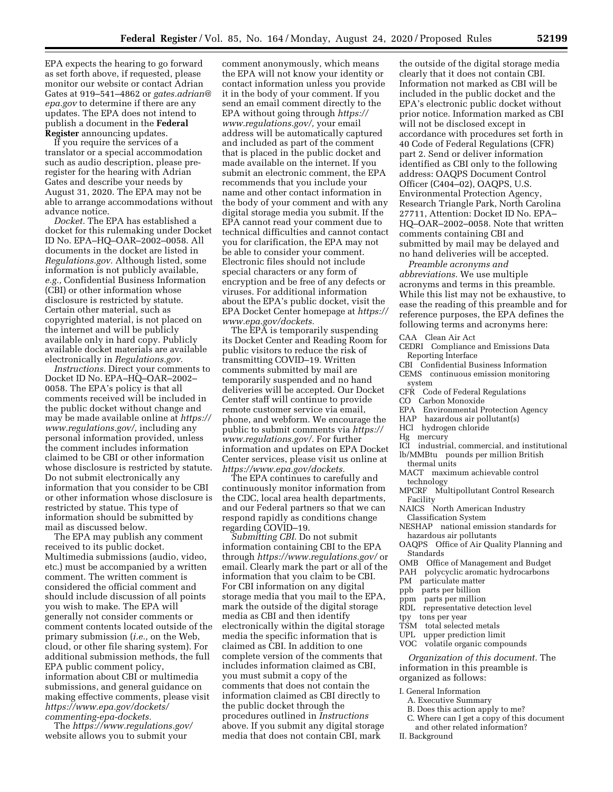EPA expects the hearing to go forward as set forth above, if requested, please monitor our website or contact Adrian Gates at 919–541–4862 or *[gates.adrian@](mailto:gates.adrian@epa.gov) [epa.gov](mailto:gates.adrian@epa.gov)* to determine if there are any updates. The EPA does not intend to publish a document in the **Federal Register** announcing updates.

If you require the services of a translator or a special accommodation such as audio description, please preregister for the hearing with Adrian Gates and describe your needs by August 31, 2020. The EPA may not be able to arrange accommodations without advance notice.

*Docket.* The EPA has established a docket for this rulemaking under Docket ID No. EPA–HQ–OAR–2002–0058. All documents in the docket are listed in *Regulations.gov.* Although listed, some information is not publicly available, *e.g.,* Confidential Business Information (CBI) or other information whose disclosure is restricted by statute. Certain other material, such as copyrighted material, is not placed on the internet and will be publicly available only in hard copy. Publicly available docket materials are available electronically in *Regulations.gov.* 

*Instructions.* Direct your comments to Docket ID No. EPA–HQ–OAR–2002– 0058. The EPA's policy is that all comments received will be included in the public docket without change and may be made available online at *[https://](https://www.regulations.gov/)  [www.regulations.gov/,](https://www.regulations.gov/)* including any personal information provided, unless the comment includes information claimed to be CBI or other information whose disclosure is restricted by statute. Do not submit electronically any information that you consider to be CBI or other information whose disclosure is restricted by statue. This type of information should be submitted by mail as discussed below.

The EPA may publish any comment received to its public docket. Multimedia submissions (audio, video, etc.) must be accompanied by a written comment. The written comment is considered the official comment and should include discussion of all points you wish to make. The EPA will generally not consider comments or comment contents located outside of the primary submission (*i.e.,* on the Web, cloud, or other file sharing system). For additional submission methods, the full EPA public comment policy, information about CBI or multimedia submissions, and general guidance on making effective comments, please visit *[https://www.epa.gov/dockets/](https://www.epa.gov/dockets/commenting-epa-dockets)  [commenting-epa-dockets.](https://www.epa.gov/dockets/commenting-epa-dockets)* 

The *<https://www.regulations.gov/>*  website allows you to submit your

comment anonymously, which means the EPA will not know your identity or contact information unless you provide it in the body of your comment. If you send an email comment directly to the EPA without going through *[https://](https://www.regulations.gov/) [www.regulations.gov/,](https://www.regulations.gov/)* your email address will be automatically captured and included as part of the comment that is placed in the public docket and made available on the internet. If you submit an electronic comment, the EPA recommends that you include your name and other contact information in the body of your comment and with any digital storage media you submit. If the EPA cannot read your comment due to technical difficulties and cannot contact you for clarification, the EPA may not be able to consider your comment. Electronic files should not include special characters or any form of encryption and be free of any defects or viruses. For additional information about the EPA's public docket, visit the EPA Docket Center homepage at *[https://](https://www.epa.gov/dockets)  [www.epa.gov/dockets.](https://www.epa.gov/dockets)* 

The EPA is temporarily suspending its Docket Center and Reading Room for public visitors to reduce the risk of transmitting COVID–19. Written comments submitted by mail are temporarily suspended and no hand deliveries will be accepted. Our Docket Center staff will continue to provide remote customer service via email, phone, and webform. We encourage the public to submit comments via *[https://](https://www.regulations.gov/)  [www.regulations.gov/.](https://www.regulations.gov/)* For further information and updates on EPA Docket Center services, please visit us online at *[https://www.epa.gov/dockets.](https://www.epa.gov/dockets)* 

The EPA continues to carefully and continuously monitor information from the CDC, local area health departments, and our Federal partners so that we can respond rapidly as conditions change regarding COVID–19.

*Submitting CBI.* Do not submit information containing CBI to the EPA through *<https://www.regulations.gov/>*or email. Clearly mark the part or all of the information that you claim to be CBI. For CBI information on any digital storage media that you mail to the EPA, mark the outside of the digital storage media as CBI and then identify electronically within the digital storage media the specific information that is claimed as CBI. In addition to one complete version of the comments that includes information claimed as CBI, you must submit a copy of the comments that does not contain the information claimed as CBI directly to the public docket through the procedures outlined in *Instructions*  above. If you submit any digital storage media that does not contain CBI, mark

the outside of the digital storage media clearly that it does not contain CBI. Information not marked as CBI will be included in the public docket and the EPA's electronic public docket without prior notice. Information marked as CBI will not be disclosed except in accordance with procedures set forth in 40 Code of Federal Regulations (CFR) part 2. Send or deliver information identified as CBI only to the following address: OAQPS Document Control Officer (C404–02), OAQPS, U.S. Environmental Protection Agency, Research Triangle Park, North Carolina 27711, Attention: Docket ID No. EPA– HQ–OAR–2002–0058. Note that written comments containing CBI and submitted by mail may be delayed and no hand deliveries will be accepted.

*Preamble acronyms and abbreviations.* We use multiple acronyms and terms in this preamble. While this list may not be exhaustive, to ease the reading of this preamble and for reference purposes, the EPA defines the following terms and acronyms here:

CAA Clean Air Act

- CEDRI Compliance and Emissions Data Reporting Interface
- CBI Confidential Business Information
- CEMS continuous emission monitoring system
- CFR Code of Federal Regulations
- CO Carbon Monoxide
- EPA Environmental Protection Agency
- HAP hazardous air pollutant(s)
- HCl hydrogen chloride
- Hg mercury
- ICI industrial, commercial, and institutional lb/MMBtu pounds per million British
- thermal units
- MACT maximum achievable control technology
- MPCRF Multipollutant Control Research Facility
- NAICS North American Industry
- Classification System
- NESHAP national emission standards for hazardous air pollutants
- OAQPS Office of Air Quality Planning and Standards
- OMB Office of Management and Budget
- PAH polycyclic aromatic hydrocarbons
- PM particulate matter
- ppb parts per billion
- ppm parts per million
- RDL representative detection level
- 
- tpy tons per year
- TSM total selected metals
- UPL upper prediction limit
- VOC volatile organic compounds

*Organization of this document.* The information in this preamble is organized as follows:

- I. General Information
- A. Executive Summary
- B. Does this action apply to me?
- C. Where can I get a copy of this document
- and other related information?
- II. Background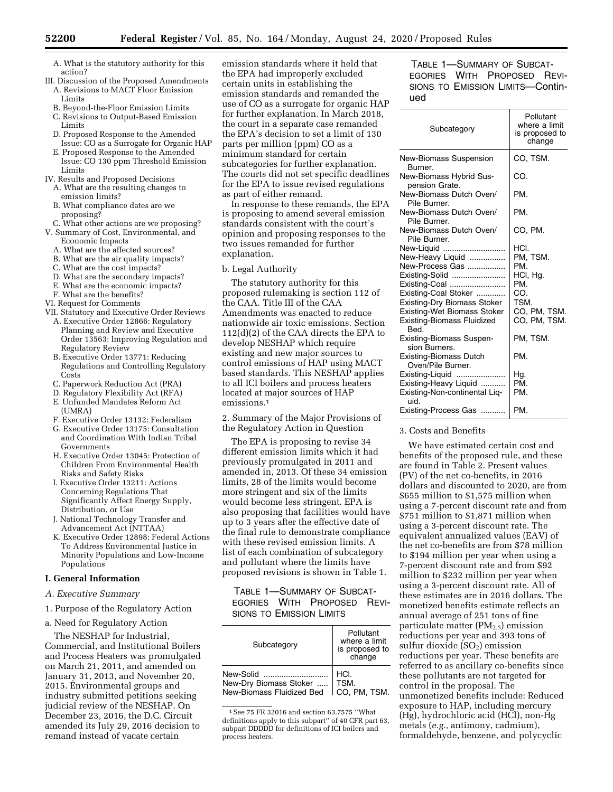- A. What is the statutory authority for this action?
- III. Discussion of the Proposed Amendments A. Revisions to MACT Floor Emission Limits
	- B. Beyond-the-Floor Emission Limits
	- C. Revisions to Output-Based Emission Limits
	- D. Proposed Response to the Amended Issue: CO as a Surrogate for Organic HAP
	- E. Proposed Response to the Amended Issue: CO 130 ppm Threshold Emission Limits
- IV. Results and Proposed Decisions
- A. What are the resulting changes to emission limits?
- B. What compliance dates are we proposing?
- C. What other actions are we proposing?
- V. Summary of Cost, Environmental, and Economic Impacts
	- A. What are the affected sources?
	- B. What are the air quality impacts?
	- C. What are the cost impacts?
	- D. What are the secondary impacts?
	- E. What are the economic impacts?
	- F. What are the benefits?
- VI. Request for Comments
- VII. Statutory and Executive Order Reviews
	- A. Executive Order 12866: Regulatory Planning and Review and Executive Order 13563: Improving Regulation and Regulatory Review
	- B. Executive Order 13771: Reducing Regulations and Controlling Regulatory Costs
	- C. Paperwork Reduction Act (PRA)
	- D. Regulatory Flexibility Act (RFA)
	- E. Unfunded Mandates Reform Act (UMRA)
	- F. Executive Order 13132: Federalism
	- G. Executive Order 13175: Consultation and Coordination With Indian Tribal Governments
	- H. Executive Order 13045: Protection of Children From Environmental Health Risks and Safety Risks
	- I. Executive Order 13211: Actions Concerning Regulations That Significantly Affect Energy Supply, Distribution, or Use
	- J. National Technology Transfer and Advancement Act (NTTAA)
	- K. Executive Order 12898: Federal Actions To Address Environmental Justice in Minority Populations and Low-Income Populations

## **I. General Information**

## *A. Executive Summary*

1. Purpose of the Regulatory Action

# a. Need for Regulatory Action

The NESHAP for Industrial, Commercial, and Institutional Boilers and Process Heaters was promulgated on March 21, 2011, and amended on January 31, 2013, and November 20, 2015. Environmental groups and industry submitted petitions seeking judicial review of the NESHAP. On December 23, 2016, the D.C. Circuit amended its July 29, 2016 decision to remand instead of vacate certain

emission standards where it held that the EPA had improperly excluded certain units in establishing the emission standards and remanded the use of CO as a surrogate for organic HAP for further explanation. In March 2018, the court in a separate case remanded the EPA's decision to set a limit of 130 parts per million (ppm) CO as a minimum standard for certain subcategories for further explanation. The courts did not set specific deadlines for the EPA to issue revised regulations as part of either remand.

In response to these remands, the EPA is proposing to amend several emission standards consistent with the court's opinion and proposing responses to the two issues remanded for further explanation.

#### b. Legal Authority

The statutory authority for this proposed rulemaking is section 112 of the CAA. Title III of the CAA Amendments was enacted to reduce nationwide air toxic emissions. Section 112(d)(2) of the CAA directs the EPA to develop NESHAP which require existing and new major sources to control emissions of HAP using MACT based standards. This NESHAP applies to all ICI boilers and process heaters located at major sources of HAP emissions.1

2. Summary of the Major Provisions of the Regulatory Action in Question

The EPA is proposing to revise 34 different emission limits which it had previously promulgated in 2011 and amended in, 2013. Of these 34 emission limits, 28 of the limits would become more stringent and six of the limits would become less stringent. EPA is also proposing that facilities would have up to 3 years after the effective date of the final rule to demonstrate compliance with these revised emission limits. A list of each combination of subcategory and pollutant where the limits have proposed revisions is shown in Table 1.

TABLE 1—SUMMARY OF SUBCAT-EGORIES WITH PROPOSED REVI-SIONS TO EMISSION LIMITS

| Subcategory               | Pollutant<br>where a limit<br>is proposed to<br>change |  |  |
|---------------------------|--------------------------------------------------------|--|--|
| New-Solid                 | HCI.                                                   |  |  |
| New-Dry Biomass Stoker    | TSM.                                                   |  |  |
| New-Biomass Fluidized Bed | CO. PM. TSM.                                           |  |  |

1See 75 FR 32016 and section 63.7575 ''What definitions apply to this subpart'' of 40 CFR part 63, subpart DDDDD for definitions of ICI boilers and process heaters.

TABLE 1—SUMMARY OF SUBCAT-EGORIES WITH PROPOSED REVI-SIONS TO EMISSION LIMITS—Continued

| Subcategory                                        | Pollutant<br>where a limit<br>is proposed to<br>change |
|----------------------------------------------------|--------------------------------------------------------|
| New-Biomass Suspension<br>Burner.                  | CO, TSM.                                               |
| New-Biomass Hybrid Sus-<br>pension Grate.          | CO.                                                    |
| New-Biomass Dutch Oven/<br>Pile Burner.            | PM.                                                    |
| New-Biomass Dutch Oven/<br>Pile Burner.            | PM.                                                    |
| New-Biomass Dutch Oven/<br>Pile Burner.            | CO, PM.                                                |
| New-Liquid                                         | HCI.                                                   |
| New-Heavy Liquid                                   | PM, TSM.                                               |
| New-Process Gas                                    | PM.                                                    |
| Existing-Solid                                     | HCI, Hg.                                               |
| Existing-Coal                                      | PM.                                                    |
| Existing-Coal Stoker                               | CO.                                                    |
| <b>Existing-Dry Biomass Stoker</b>                 | TSM.                                                   |
| Existing-Wet Biomass Stoker                        | CO, PM, TSM.                                           |
| <b>Existing-Biomass Fluidized</b><br>Bed.          | CO, PM, TSM.                                           |
| <b>Existing-Biomass Suspen-</b><br>sion Burners.   | PM, TSM.                                               |
| <b>Existing-Biomass Dutch</b><br>Oven/Pile Burner. | PM.                                                    |
| Existing-Liquid<br>.                               | Hg.                                                    |
| Existing-Heavy Liquid                              | PM.                                                    |
| Existing-Non-continental Liq-<br>uid.              | PM.                                                    |
| Existing-Process Gas                               | PM.                                                    |

#### 3. Costs and Benefits

We have estimated certain cost and benefits of the proposed rule, and these are found in Table 2. Present values (PV) of the net co-benefits, in 2016 dollars and discounted to 2020, are from \$655 million to \$1,575 million when using a 7-percent discount rate and from \$751 million to \$1,871 million when using a 3-percent discount rate. The equivalent annualized values (EAV) of the net co-benefits are from \$78 million to \$194 million per year when using a 7-percent discount rate and from \$92 million to \$232 million per year when using a 3-percent discount rate. All of these estimates are in 2016 dollars. The monetized benefits estimate reflects an annual average of 251 tons of fine particulate matter  $(PM_{2.5})$  emission reductions per year and 393 tons of sulfur dioxide  $(SO<sub>2</sub>)$  emission reductions per year. These benefits are referred to as ancillary co-benefits since these pollutants are not targeted for control in the proposal. The unmonetized benefits include: Reduced exposure to HAP, including mercury (Hg), hydrochloric acid (HCl), non-Hg metals (*e.g.,* antimony, cadmium), formaldehyde, benzene, and polycyclic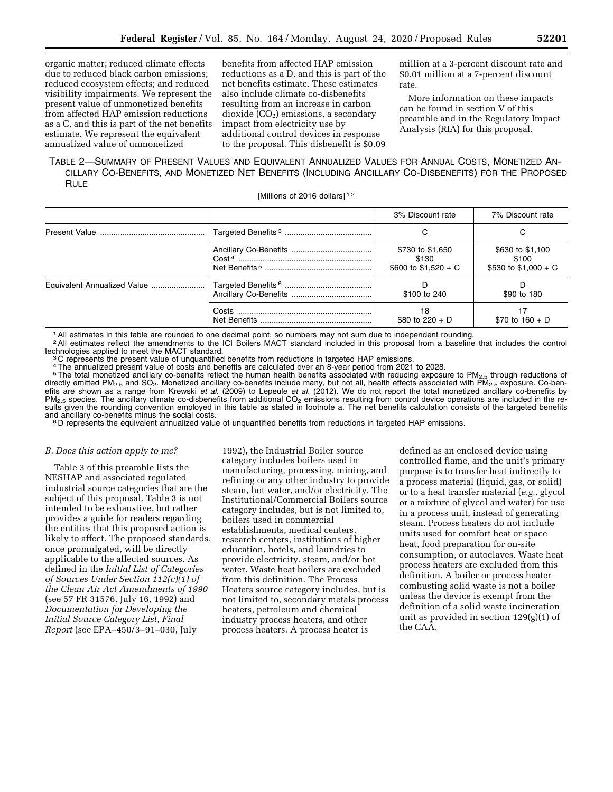organic matter; reduced climate effects due to reduced black carbon emissions; reduced ecosystem effects; and reduced visibility impairments. We represent the present value of unmonetized benefits from affected HAP emission reductions as a C, and this is part of the net benefits estimate. We represent the equivalent annualized value of unmonetized

benefits from affected HAP emission reductions as a D, and this is part of the net benefits estimate. These estimates also include climate co-disbenefits resulting from an increase in carbon dioxide  $(CO<sub>2</sub>)$  emissions, a secondary impact from electricity use by additional control devices in response to the proposal. This disbenefit is \$0.09

million at a 3-percent discount rate and \$0.01 million at a 7-percent discount rate.

More information on these impacts can be found in section V of this preamble and in the Regulatory Impact Analysis (RIA) for this proposal.

# TABLE 2—SUMMARY OF PRESENT VALUES AND EQUIVALENT ANNUALIZED VALUES FOR ANNUAL COSTS, MONETIZED AN-CILLARY CO-BENEFITS, AND MONETIZED NET BENEFITS (INCLUDING ANCILLARY CO-DISBENEFITS) FOR THE PROPOSED **RULE**

[Millions of 2016 dollars]<sup>12</sup>

|                             | 3% Discount rate                                   | 7% Discount rate                                   |
|-----------------------------|----------------------------------------------------|----------------------------------------------------|
|                             |                                                    |                                                    |
|                             | \$730 to \$1,650<br>\$130<br>\$600 to $$1,520 + C$ | \$630 to \$1,100<br>\$100<br>\$530 to $$1,000 + C$ |
| Equivalent Annualized Value | \$100 to 240                                       | \$90 to 180                                        |
|                             | 18<br>\$80 to $220 + D$                            | \$70 to $160 + D$                                  |

1All estimates in this table are rounded to one decimal point, so numbers may not sum due to independent rounding.

<sup>2</sup>All estimates reflect the amendments to the ICI Boilers MACT standard included in this proposal from a baseline that includes the control technologies applied to meet the MACT standard.

 $3C$  represents the present value of unquantified benefits from reductions in targeted HAP emissions.

4The annualized present value of costs and benefits are calculated over an 8-year period from 2021 to 2028.

 $5$ The total monetized ancillary co-benefits reflect the human health benefits associated with reducing exposure to PM<sub>2.5</sub> through reductions of directly emitted PM<sub>2.5</sub> and SO<sub>2</sub>. Monetized ancillary co-benefits include many, but not all, health effects associated with PM<sub>2.5</sub> exposure. Co-ben-<br>efits are shown as a range from Krewski *et al.* (2009) to Lepeule *et*  $PM_{2.5}$  species. The ancillary climate co-disbenefits from additional CO<sub>2</sub> emissions resulting from control device operations are included in the results given the rounding convention employed in this table as stated in footnote a. The net benefits calculation consists of the targeted benefits and ancillary co-benefits minus the social costs.

 $6$  D represents the equivalent annualized value of unquantified benefits from reductions in targeted HAP emissions.

#### *B. Does this action apply to me?*

Table 3 of this preamble lists the NESHAP and associated regulated industrial source categories that are the subject of this proposal. Table 3 is not intended to be exhaustive, but rather provides a guide for readers regarding the entities that this proposed action is likely to affect. The proposed standards, once promulgated, will be directly applicable to the affected sources. As defined in the *Initial List of Categories of Sources Under Section 112(c)(1) of the Clean Air Act Amendments of 1990*  (see 57 FR 31576, July 16, 1992) and *Documentation for Developing the Initial Source Category List, Final Report* (see EPA–450/3–91–030, July

1992), the Industrial Boiler source category includes boilers used in manufacturing, processing, mining, and refining or any other industry to provide steam, hot water, and/or electricity. The Institutional/Commercial Boilers source category includes, but is not limited to, boilers used in commercial establishments, medical centers, research centers, institutions of higher education, hotels, and laundries to provide electricity, steam, and/or hot water. Waste heat boilers are excluded from this definition. The Process Heaters source category includes, but is not limited to, secondary metals process heaters, petroleum and chemical industry process heaters, and other process heaters. A process heater is

defined as an enclosed device using controlled flame, and the unit's primary purpose is to transfer heat indirectly to a process material (liquid, gas, or solid) or to a heat transfer material (*e.g.,* glycol or a mixture of glycol and water) for use in a process unit, instead of generating steam. Process heaters do not include units used for comfort heat or space heat, food preparation for on-site consumption, or autoclaves. Waste heat process heaters are excluded from this definition. A boiler or process heater combusting solid waste is not a boiler unless the device is exempt from the definition of a solid waste incineration unit as provided in section 129(g)(1) of the CAA.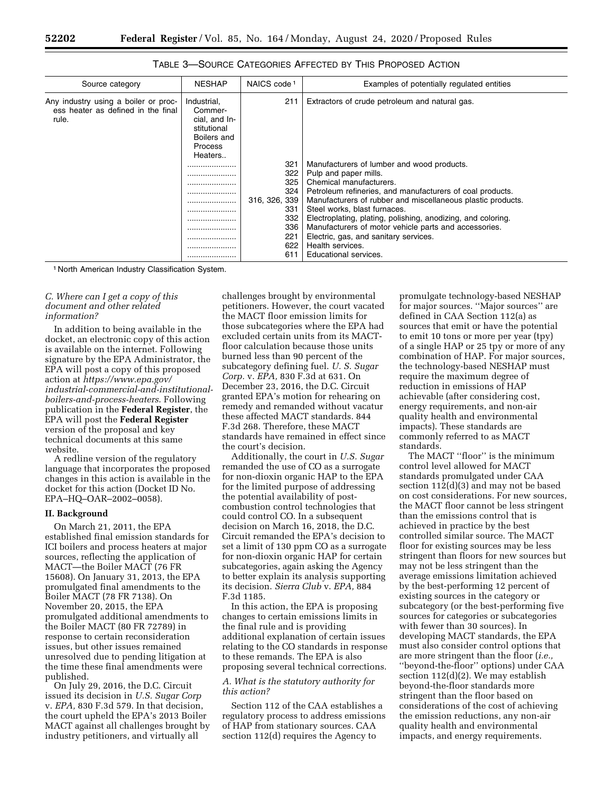| Source category                                                                     | <b>NESHAP</b>                                                                               | NAICS code <sup>1</sup>                                                             | Examples of potentially regulated entities                                                                                                                                                                                                                                                                                                                                                                                                                               |
|-------------------------------------------------------------------------------------|---------------------------------------------------------------------------------------------|-------------------------------------------------------------------------------------|--------------------------------------------------------------------------------------------------------------------------------------------------------------------------------------------------------------------------------------------------------------------------------------------------------------------------------------------------------------------------------------------------------------------------------------------------------------------------|
| Any industry using a boiler or proc-<br>ess heater as defined in the final<br>rule. | Industrial,<br>Commer-<br>cial, and In-<br>stitutional<br>Boilers and<br>Process<br>Heaters | 211                                                                                 | Extractors of crude petroleum and natural gas.                                                                                                                                                                                                                                                                                                                                                                                                                           |
|                                                                                     | <br><br>                                                                                    | 321<br>322<br>325<br>324<br>316, 326, 339<br>331<br>332<br>336<br>221<br>622<br>611 | Manufacturers of lumber and wood products.<br>Pulp and paper mills.<br>Chemical manufacturers.<br>Petroleum refineries, and manufacturers of coal products.<br>Manufacturers of rubber and miscellaneous plastic products.<br>Steel works, blast furnaces.<br>Electroplating, plating, polishing, anodizing, and coloring.<br>Manufacturers of motor vehicle parts and accessories.<br>Electric, gas, and sanitary services.<br>Health services.<br>Educational services |

| <b>TABLE 3-SOURCE CATEGORIES AFFECTED BY THIS PROPOSED ACTION</b> |
|-------------------------------------------------------------------|
|-------------------------------------------------------------------|

1 North American Industry Classification System.

# *C. Where can I get a copy of this document and other related information?*

In addition to being available in the docket, an electronic copy of this action is available on the internet. Following signature by the EPA Administrator, the EPA will post a copy of this proposed action at *[https://www.epa.gov/](https://www.epa.gov/industrial-commercial-and-institutional-boilers-and-process-heaters)  [industrial-commercial-and-institutional](https://www.epa.gov/industrial-commercial-and-institutional-boilers-and-process-heaters)[boilers-and-process-heaters](https://www.epa.gov/industrial-commercial-and-institutional-boilers-and-process-heaters)*. Following publication in the **Federal Register**, the EPA will post the **Federal Register**  version of the proposal and key technical documents at this same website.

A redline version of the regulatory language that incorporates the proposed changes in this action is available in the docket for this action (Docket ID No. EPA–HQ–OAR–2002–0058).

#### **II. Background**

On March 21, 2011, the EPA established final emission standards for ICI boilers and process heaters at major sources, reflecting the application of MACT—the Boiler MACT (76 FR 15608). On January 31, 2013, the EPA promulgated final amendments to the Boiler MACT (78 FR 7138). On November 20, 2015, the EPA promulgated additional amendments to the Boiler MACT (80 FR 72789) in response to certain reconsideration issues, but other issues remained unresolved due to pending litigation at the time these final amendments were published.

On July 29, 2016, the D.C. Circuit issued its decision in *U.S. Sugar Corp*  v. *EPA,* 830 F.3d 579. In that decision, the court upheld the EPA's 2013 Boiler MACT against all challenges brought by industry petitioners, and virtually all

challenges brought by environmental petitioners. However, the court vacated the MACT floor emission limits for those subcategories where the EPA had excluded certain units from its MACTfloor calculation because those units burned less than 90 percent of the subcategory defining fuel. *U. S. Sugar Corp.* v. *EPA,* 830 F.3d at 631. On December 23, 2016, the D.C. Circuit granted EPA's motion for rehearing on remedy and remanded without vacatur these affected MACT standards. 844 F.3d 268. Therefore, these MACT standards have remained in effect since the court's decision.

Additionally, the court in *U.S. Sugar*  remanded the use of CO as a surrogate for non-dioxin organic HAP to the EPA for the limited purpose of addressing the potential availability of postcombustion control technologies that could control CO. In a subsequent decision on March 16, 2018, the D.C. Circuit remanded the EPA's decision to set a limit of 130 ppm CO as a surrogate for non-dioxin organic HAP for certain subcategories, again asking the Agency to better explain its analysis supporting its decision. *Sierra Club* v. *EPA,* 884 F.3d 1185.

In this action, the EPA is proposing changes to certain emissions limits in the final rule and is providing additional explanation of certain issues relating to the CO standards in response to these remands. The EPA is also proposing several technical corrections.

#### *A. What is the statutory authority for this action?*

Section 112 of the CAA establishes a regulatory process to address emissions of HAP from stationary sources. CAA section 112(d) requires the Agency to

promulgate technology-based NESHAP for major sources. ''Major sources'' are defined in CAA Section 112(a) as sources that emit or have the potential to emit 10 tons or more per year (tpy) of a single HAP or 25 tpy or more of any combination of HAP. For major sources, the technology-based NESHAP must require the maximum degree of reduction in emissions of HAP achievable (after considering cost, energy requirements, and non-air quality health and environmental impacts). These standards are commonly referred to as MACT standards.

The MACT ''floor'' is the minimum control level allowed for MACT standards promulgated under CAA section 112(d)(3) and may not be based on cost considerations. For new sources, the MACT floor cannot be less stringent than the emissions control that is achieved in practice by the best controlled similar source. The MACT floor for existing sources may be less stringent than floors for new sources but may not be less stringent than the average emissions limitation achieved by the best-performing 12 percent of existing sources in the category or subcategory (or the best-performing five sources for categories or subcategories with fewer than 30 sources). In developing MACT standards, the EPA must also consider control options that are more stringent than the floor (*i.e.,*  ''beyond-the-floor'' options) under CAA section 112(d)(2). We may establish beyond-the-floor standards more stringent than the floor based on considerations of the cost of achieving the emission reductions, any non-air quality health and environmental impacts, and energy requirements.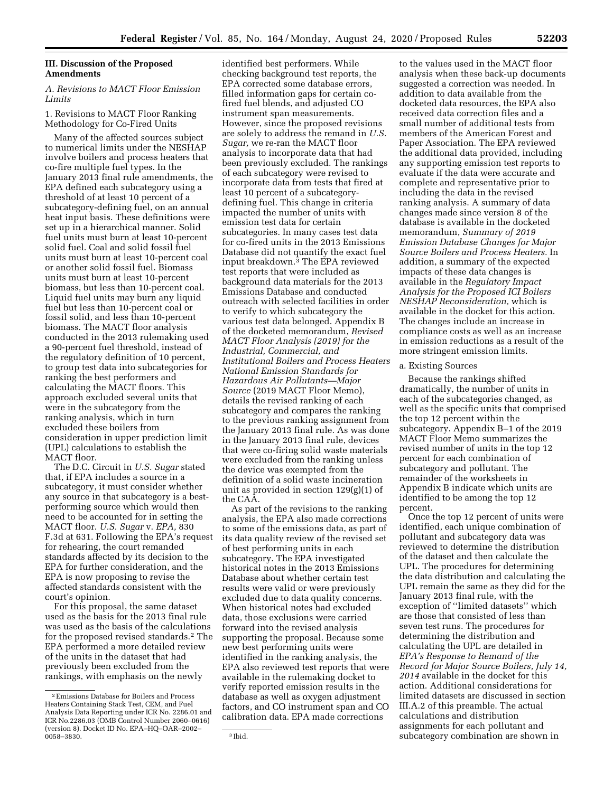# **III. Discussion of the Proposed Amendments**

# *A. Revisions to MACT Floor Emission Limits*

# 1. Revisions to MACT Floor Ranking Methodology for Co-Fired Units

Many of the affected sources subject to numerical limits under the NESHAP involve boilers and process heaters that co-fire multiple fuel types. In the January 2013 final rule amendments, the EPA defined each subcategory using a threshold of at least 10 percent of a subcategory-defining fuel, on an annual heat input basis. These definitions were set up in a hierarchical manner. Solid fuel units must burn at least 10-percent solid fuel. Coal and solid fossil fuel units must burn at least 10-percent coal or another solid fossil fuel. Biomass units must burn at least 10-percent biomass, but less than 10-percent coal. Liquid fuel units may burn any liquid fuel but less than 10-percent coal or fossil solid, and less than 10-percent biomass. The MACT floor analysis conducted in the 2013 rulemaking used a 90-percent fuel threshold, instead of the regulatory definition of 10 percent, to group test data into subcategories for ranking the best performers and calculating the MACT floors. This approach excluded several units that were in the subcategory from the ranking analysis, which in turn excluded these boilers from consideration in upper prediction limit (UPL) calculations to establish the MACT floor.

The D.C. Circuit in *U.S. Sugar* stated that, if EPA includes a source in a subcategory, it must consider whether any source in that subcategory is a bestperforming source which would then need to be accounted for in setting the MACT floor. *U.S. Sugar* v. *EPA,* 830 F.3d at 631. Following the EPA's request for rehearing, the court remanded standards affected by its decision to the EPA for further consideration, and the EPA is now proposing to revise the affected standards consistent with the court's opinion.

For this proposal, the same dataset used as the basis for the 2013 final rule was used as the basis of the calculations for the proposed revised standards.2 The EPA performed a more detailed review of the units in the dataset that had previously been excluded from the rankings, with emphasis on the newly

identified best performers. While checking background test reports, the EPA corrected some database errors, filled information gaps for certain cofired fuel blends, and adjusted CO instrument span measurements. However, since the proposed revisions are solely to address the remand in *U.S. Sugar,* we re-ran the MACT floor analysis to incorporate data that had been previously excluded. The rankings of each subcategory were revised to incorporate data from tests that fired at least 10 percent of a subcategorydefining fuel. This change in criteria impacted the number of units with emission test data for certain subcategories. In many cases test data for co-fired units in the 2013 Emissions Database did not quantify the exact fuel input breakdown.3 The EPA reviewed test reports that were included as background data materials for the 2013 Emissions Database and conducted outreach with selected facilities in order to verify to which subcategory the various test data belonged. Appendix B of the docketed memorandum, *Revised MACT Floor Analysis (2019) for the Industrial, Commercial, and Institutional Boilers and Process Heaters National Emission Standards for Hazardous Air Pollutants—Major Source* (2019 MACT Floor Memo), details the revised ranking of each subcategory and compares the ranking to the previous ranking assignment from the January 2013 final rule. As was done in the January 2013 final rule, devices that were co-firing solid waste materials were excluded from the ranking unless the device was exempted from the definition of a solid waste incineration unit as provided in section 129(g)(1) of the CAA.

As part of the revisions to the ranking analysis, the EPA also made corrections to some of the emissions data, as part of its data quality review of the revised set of best performing units in each subcategory. The EPA investigated historical notes in the 2013 Emissions Database about whether certain test results were valid or were previously excluded due to data quality concerns. When historical notes had excluded data, those exclusions were carried forward into the revised analysis supporting the proposal. Because some new best performing units were identified in the ranking analysis, the EPA also reviewed test reports that were available in the rulemaking docket to verify reported emission results in the database as well as oxygen adjustment factors, and CO instrument span and CO calibration data. EPA made corrections

to the values used in the MACT floor analysis when these back-up documents suggested a correction was needed. In addition to data available from the docketed data resources, the EPA also received data correction files and a small number of additional tests from members of the American Forest and Paper Association. The EPA reviewed the additional data provided, including any supporting emission test reports to evaluate if the data were accurate and complete and representative prior to including the data in the revised ranking analysis. A summary of data changes made since version 8 of the database is available in the docketed memorandum, *Summary of 2019 Emission Database Changes for Major Source Boilers and Process Heaters.* In addition, a summary of the expected impacts of these data changes is available in the *Regulatory Impact Analysis for the Proposed ICI Boilers NESHAP Reconsideration,* which is available in the docket for this action. The changes include an increase in compliance costs as well as an increase in emission reductions as a result of the more stringent emission limits.

#### a. Existing Sources

Because the rankings shifted dramatically, the number of units in each of the subcategories changed, as well as the specific units that comprised the top 12 percent within the subcategory. Appendix B–1 of the 2019 MACT Floor Memo summarizes the revised number of units in the top 12 percent for each combination of subcategory and pollutant. The remainder of the worksheets in Appendix B indicate which units are identified to be among the top 12 percent.

Once the top 12 percent of units were identified, each unique combination of pollutant and subcategory data was reviewed to determine the distribution of the dataset and then calculate the UPL. The procedures for determining the data distribution and calculating the UPL remain the same as they did for the January 2013 final rule, with the exception of ''limited datasets'' which are those that consisted of less than seven test runs. The procedures for determining the distribution and calculating the UPL are detailed in *EPA's Response to Remand of the Record for Major Source Boilers, July 14, 2014* available in the docket for this action. Additional considerations for limited datasets are discussed in section III.A.2 of this preamble. The actual calculations and distribution assignments for each pollutant and subcategory combination are shown in

<sup>2</sup>Emissions Database for Boilers and Process Heaters Containing Stack Test, CEM, and Fuel Analysis Data Reporting under ICR No. 2286.01 and ICR No.2286.03 (OMB Control Number 2060–0616) (version 8). Docket ID No. EPA–HQ–OAR–2002– 0058–3830. 3 Ibid.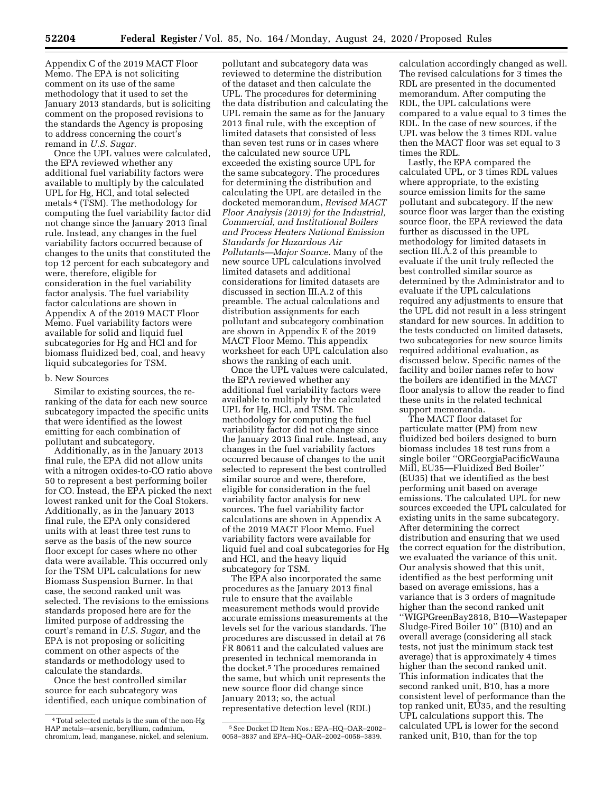Appendix C of the 2019 MACT Floor Memo. The EPA is not soliciting comment on its use of the same methodology that it used to set the January 2013 standards, but is soliciting comment on the proposed revisions to the standards the Agency is proposing to address concerning the court's remand in *U.S. Sugar.* 

Once the UPL values were calculated, the EPA reviewed whether any additional fuel variability factors were available to multiply by the calculated UPL for Hg, HCl, and total selected metals 4 (TSM). The methodology for computing the fuel variability factor did not change since the January 2013 final rule. Instead, any changes in the fuel variability factors occurred because of changes to the units that constituted the top 12 percent for each subcategory and were, therefore, eligible for consideration in the fuel variability factor analysis. The fuel variability factor calculations are shown in Appendix A of the 2019 MACT Floor Memo. Fuel variability factors were available for solid and liquid fuel subcategories for Hg and HCl and for biomass fluidized bed, coal, and heavy liquid subcategories for TSM.

#### b. New Sources

Similar to existing sources, the reranking of the data for each new source subcategory impacted the specific units that were identified as the lowest emitting for each combination of pollutant and subcategory.

Additionally, as in the January 2013 final rule, the EPA did not allow units with a nitrogen oxides-to-CO ratio above 50 to represent a best performing boiler for CO. Instead, the EPA picked the next lowest ranked unit for the Coal Stokers. Additionally, as in the January 2013 final rule, the EPA only considered units with at least three test runs to serve as the basis of the new source floor except for cases where no other data were available. This occurred only for the TSM UPL calculations for new Biomass Suspension Burner. In that case, the second ranked unit was selected. The revisions to the emissions standards proposed here are for the limited purpose of addressing the court's remand in *U.S. Sugar,* and the EPA is not proposing or soliciting comment on other aspects of the standards or methodology used to calculate the standards.

Once the best controlled similar source for each subcategory was identified, each unique combination of

pollutant and subcategory data was reviewed to determine the distribution of the dataset and then calculate the UPL. The procedures for determining the data distribution and calculating the UPL remain the same as for the January 2013 final rule, with the exception of limited datasets that consisted of less than seven test runs or in cases where the calculated new source UPL exceeded the existing source UPL for the same subcategory. The procedures for determining the distribution and calculating the UPL are detailed in the docketed memorandum, *Revised MACT Floor Analysis (2019) for the Industrial, Commercial, and Institutional Boilers and Process Heaters National Emission Standards for Hazardous Air Pollutants—Major Source*. Many of the new source UPL calculations involved limited datasets and additional considerations for limited datasets are discussed in section III.A.2 of this preamble. The actual calculations and distribution assignments for each pollutant and subcategory combination are shown in Appendix E of the 2019 MACT Floor Memo. This appendix worksheet for each UPL calculation also shows the ranking of each unit.

Once the UPL values were calculated, the EPA reviewed whether any additional fuel variability factors were available to multiply by the calculated UPL for Hg, HCl, and TSM. The methodology for computing the fuel variability factor did not change since the January 2013 final rule. Instead, any changes in the fuel variability factors occurred because of changes to the unit selected to represent the best controlled similar source and were, therefore, eligible for consideration in the fuel variability factor analysis for new sources. The fuel variability factor calculations are shown in Appendix A of the 2019 MACT Floor Memo. Fuel variability factors were available for liquid fuel and coal subcategories for Hg and HCl, and the heavy liquid subcategory for TSM.

The EPA also incorporated the same procedures as the January 2013 final rule to ensure that the available measurement methods would provide accurate emissions measurements at the levels set for the various standards. The procedures are discussed in detail at 76 FR 80611 and the calculated values are presented in technical memoranda in the docket.5 The procedures remained the same, but which unit represents the new source floor did change since January 2013; so, the actual representative detection level (RDL)

calculation accordingly changed as well. The revised calculations for 3 times the RDL are presented in the documented memorandum. After computing the RDL, the UPL calculations were compared to a value equal to 3 times the RDL. In the case of new sources, if the UPL was below the 3 times RDL value then the MACT floor was set equal to 3 times the RDL.

Lastly, the EPA compared the calculated UPL, or 3 times RDL values where appropriate, to the existing source emission limits for the same pollutant and subcategory. If the new source floor was larger than the existing source floor, the EPA reviewed the data further as discussed in the UPL methodology for limited datasets in section III.A.2 of this preamble to evaluate if the unit truly reflected the best controlled similar source as determined by the Administrator and to evaluate if the UPL calculations required any adjustments to ensure that the UPL did not result in a less stringent standard for new sources. In addition to the tests conducted on limited datasets, two subcategories for new source limits required additional evaluation, as discussed below. Specific names of the facility and boiler names refer to how the boilers are identified in the MACT floor analysis to allow the reader to find these units in the related technical support memoranda.

The MACT floor dataset for particulate matter (PM) from new fluidized bed boilers designed to burn biomass includes 18 test runs from a single boiler ''ORGeorgiaPacificWauna Mill, EU35—Fluidized Bed Boiler'' (EU35) that we identified as the best performing unit based on average emissions. The calculated UPL for new sources exceeded the UPL calculated for existing units in the same subcategory. After determining the correct distribution and ensuring that we used the correct equation for the distribution, we evaluated the variance of this unit. Our analysis showed that this unit, identified as the best performing unit based on average emissions, has a variance that is 3 orders of magnitude higher than the second ranked unit ''WIGPGreenBay2818, B10—Wastepaper Sludge-Fired Boiler 10'' (B10) and an overall average (considering all stack tests, not just the minimum stack test average) that is approximately 4 times higher than the second ranked unit. This information indicates that the second ranked unit, B10, has a more consistent level of performance than the top ranked unit, EU35, and the resulting UPL calculations support this. The calculated UPL is lower for the second ranked unit, B10, than for the top

<sup>4</sup>Total selected metals is the sum of the non-Hg HAP metals—arsenic, beryllium, cadmium, chromium, lead, manganese, nickel, and selenium.

<sup>5</sup>See Docket ID Item Nos.: EPA–HQ–OAR–2002– 0058–3837 and EPA–HQ–OAR–2002–0058–3839.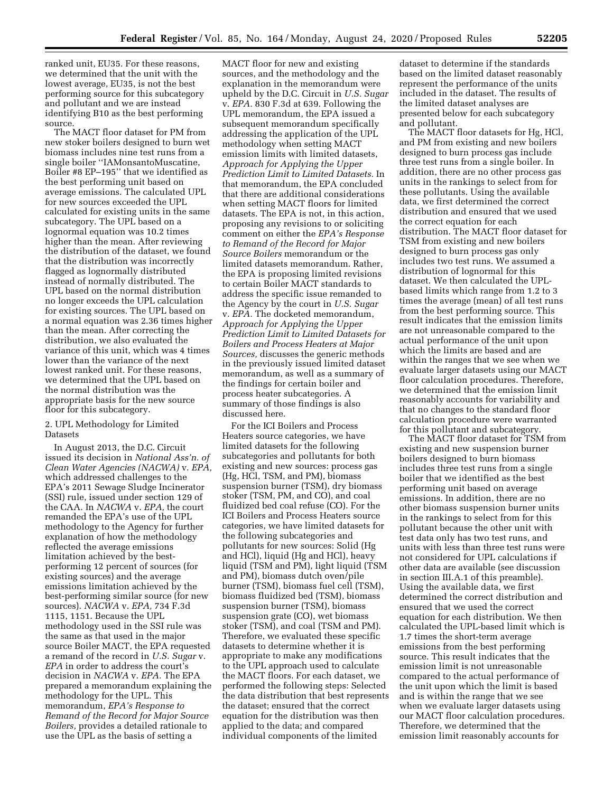ranked unit, EU35. For these reasons, we determined that the unit with the lowest average, EU35, is not the best performing source for this subcategory and pollutant and we are instead identifying B10 as the best performing source.

The MACT floor dataset for PM from new stoker boilers designed to burn wet biomass includes nine test runs from a single boiler ''IAMonsantoMuscatine, Boiler #8 EP–195'' that we identified as the best performing unit based on average emissions. The calculated UPL for new sources exceeded the UPL calculated for existing units in the same subcategory. The UPL based on a lognormal equation was 10.2 times higher than the mean. After reviewing the distribution of the dataset, we found that the distribution was incorrectly flagged as lognormally distributed instead of normally distributed. The UPL based on the normal distribution no longer exceeds the UPL calculation for existing sources. The UPL based on a normal equation was 2.36 times higher than the mean. After correcting the distribution, we also evaluated the variance of this unit, which was 4 times lower than the variance of the next lowest ranked unit. For these reasons, we determined that the UPL based on the normal distribution was the appropriate basis for the new source floor for this subcategory.

#### 2. UPL Methodology for Limited **Datasets**

In August 2013, the D.C. Circuit issued its decision in *National Ass'n. of Clean Water Agencies (NACWA)* v. *EPA,*  which addressed challenges to the EPA's 2011 Sewage Sludge Incinerator (SSI) rule, issued under section 129 of the CAA. In *NACWA* v. *EPA,* the court remanded the EPA's use of the UPL methodology to the Agency for further explanation of how the methodology reflected the average emissions limitation achieved by the bestperforming 12 percent of sources (for existing sources) and the average emissions limitation achieved by the best-performing similar source (for new sources). *NACWA* v. *EPA,* 734 F.3d 1115, 1151. Because the UPL methodology used in the SSI rule was the same as that used in the major source Boiler MACT, the EPA requested a remand of the record in *U.S. Sugar* v. *EPA* in order to address the court's decision in *NACWA* v. *EPA.* The EPA prepared a memorandum explaining the methodology for the UPL. This memorandum, *EPA's Response to Remand of the Record for Major Source Boilers,* provides a detailed rationale to use the UPL as the basis of setting a

MACT floor for new and existing sources, and the methodology and the explanation in the memorandum were upheld by the D.C. Circuit in *U.S. Sugar*  v. *EPA.* 830 F.3d at 639. Following the UPL memorandum, the EPA issued a subsequent memorandum specifically addressing the application of the UPL methodology when setting MACT emission limits with limited datasets, *Approach for Applying the Upper Prediction Limit to Limited Datasets.* In that memorandum, the EPA concluded that there are additional considerations when setting MACT floors for limited datasets. The EPA is not, in this action, proposing any revisions to or soliciting comment on either the *EPA's Response to Remand of the Record for Major Source Boilers* memorandum or the limited datasets memorandum. Rather, the EPA is proposing limited revisions to certain Boiler MACT standards to address the specific issue remanded to the Agency by the court in *U.S. Sugar*  v. *EPA.* The docketed memorandum, *Approach for Applying the Upper Prediction Limit to Limited Datasets for Boilers and Process Heaters at Major Sources,* discusses the generic methods in the previously issued limited dataset memorandum, as well as a summary of the findings for certain boiler and process heater subcategories. A summary of those findings is also discussed here.

For the ICI Boilers and Process Heaters source categories, we have limited datasets for the following subcategories and pollutants for both existing and new sources: process gas (Hg, HCl, TSM, and PM), biomass suspension burner (TSM), dry biomass stoker (TSM, PM, and CO), and coal fluidized bed coal refuse (CO). For the ICI Boilers and Process Heaters source categories, we have limited datasets for the following subcategories and pollutants for new sources: Solid (Hg and HCl), liquid (Hg and HCl), heavy liquid (TSM and PM), light liquid (TSM and PM), biomass dutch oven/pile burner (TSM), biomass fuel cell (TSM), biomass fluidized bed (TSM), biomass suspension burner (TSM), biomass suspension grate (CO), wet biomass stoker (TSM), and coal (TSM and PM). Therefore, we evaluated these specific datasets to determine whether it is appropriate to make any modifications to the UPL approach used to calculate the MACT floors. For each dataset, we performed the following steps: Selected the data distribution that best represents the dataset; ensured that the correct equation for the distribution was then applied to the data; and compared individual components of the limited

dataset to determine if the standards based on the limited dataset reasonably represent the performance of the units included in the dataset. The results of the limited dataset analyses are presented below for each subcategory and pollutant.

The MACT floor datasets for Hg, HCl, and PM from existing and new boilers designed to burn process gas include three test runs from a single boiler. In addition, there are no other process gas units in the rankings to select from for these pollutants. Using the available data, we first determined the correct distribution and ensured that we used the correct equation for each distribution. The MACT floor dataset for TSM from existing and new boilers designed to burn process gas only includes two test runs. We assumed a distribution of lognormal for this dataset. We then calculated the UPLbased limits which range from 1.2 to 3 times the average (mean) of all test runs from the best performing source. This result indicates that the emission limits are not unreasonable compared to the actual performance of the unit upon which the limits are based and are within the ranges that we see when we evaluate larger datasets using our MACT floor calculation procedures. Therefore, we determined that the emission limit reasonably accounts for variability and that no changes to the standard floor calculation procedure were warranted for this pollutant and subcategory.

The MACT floor dataset for TSM from existing and new suspension burner boilers designed to burn biomass includes three test runs from a single boiler that we identified as the best performing unit based on average emissions. In addition, there are no other biomass suspension burner units in the rankings to select from for this pollutant because the other unit with test data only has two test runs, and units with less than three test runs were not considered for UPL calculations if other data are available (see discussion in section III.A.1 of this preamble). Using the available data, we first determined the correct distribution and ensured that we used the correct equation for each distribution. We then calculated the UPL-based limit which is 1.7 times the short-term average emissions from the best performing source. This result indicates that the emission limit is not unreasonable compared to the actual performance of the unit upon which the limit is based and is within the range that we see when we evaluate larger datasets using our MACT floor calculation procedures. Therefore, we determined that the emission limit reasonably accounts for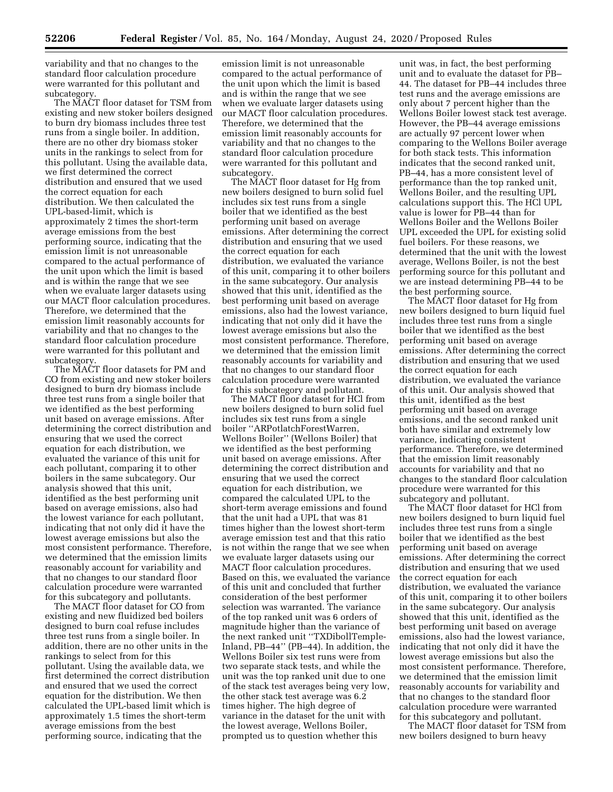variability and that no changes to the standard floor calculation procedure were warranted for this pollutant and subcategory.

The MACT floor dataset for TSM from existing and new stoker boilers designed to burn dry biomass includes three test runs from a single boiler. In addition, there are no other dry biomass stoker units in the rankings to select from for this pollutant. Using the available data, we first determined the correct distribution and ensured that we used the correct equation for each distribution. We then calculated the UPL-based-limit, which is approximately 2 times the short-term average emissions from the best performing source, indicating that the emission limit is not unreasonable compared to the actual performance of the unit upon which the limit is based and is within the range that we see when we evaluate larger datasets using our MACT floor calculation procedures. Therefore, we determined that the emission limit reasonably accounts for variability and that no changes to the standard floor calculation procedure were warranted for this pollutant and subcategory.

The MACT floor datasets for PM and CO from existing and new stoker boilers designed to burn dry biomass include three test runs from a single boiler that we identified as the best performing unit based on average emissions. After determining the correct distribution and ensuring that we used the correct equation for each distribution, we evaluated the variance of this unit for each pollutant, comparing it to other boilers in the same subcategory. Our analysis showed that this unit, identified as the best performing unit based on average emissions, also had the lowest variance for each pollutant, indicating that not only did it have the lowest average emissions but also the most consistent performance. Therefore, we determined that the emission limits reasonably account for variability and that no changes to our standard floor calculation procedure were warranted for this subcategory and pollutants.

The MACT floor dataset for CO from existing and new fluidized bed boilers designed to burn coal refuse includes three test runs from a single boiler. In addition, there are no other units in the rankings to select from for this pollutant. Using the available data, we first determined the correct distribution and ensured that we used the correct equation for the distribution. We then calculated the UPL-based limit which is approximately 1.5 times the short-term average emissions from the best performing source, indicating that the

emission limit is not unreasonable compared to the actual performance of the unit upon which the limit is based and is within the range that we see when we evaluate larger datasets using our MACT floor calculation procedures. Therefore, we determined that the emission limit reasonably accounts for variability and that no changes to the standard floor calculation procedure were warranted for this pollutant and subcategory.

The MACT floor dataset for Hg from new boilers designed to burn solid fuel includes six test runs from a single boiler that we identified as the best performing unit based on average emissions. After determining the correct distribution and ensuring that we used the correct equation for each distribution, we evaluated the variance of this unit, comparing it to other boilers in the same subcategory. Our analysis showed that this unit, identified as the best performing unit based on average emissions, also had the lowest variance, indicating that not only did it have the lowest average emissions but also the most consistent performance. Therefore, we determined that the emission limit reasonably accounts for variability and that no changes to our standard floor calculation procedure were warranted for this subcategory and pollutant.

The MACT floor dataset for HCl from new boilers designed to burn solid fuel includes six test runs from a single boiler ''ARPotlatchForestWarren, Wellons Boiler'' (Wellons Boiler) that we identified as the best performing unit based on average emissions. After determining the correct distribution and ensuring that we used the correct equation for each distribution, we compared the calculated UPL to the short-term average emissions and found that the unit had a UPL that was 81 times higher than the lowest short-term average emission test and that this ratio is not within the range that we see when we evaluate larger datasets using our MACT floor calculation procedures. Based on this, we evaluated the variance of this unit and concluded that further consideration of the best performer selection was warranted. The variance of the top ranked unit was 6 orders of magnitude higher than the variance of the next ranked unit ''TXDibollTemple-Inland, PB–44'' (PB–44). In addition, the Wellons Boiler six test runs were from two separate stack tests, and while the unit was the top ranked unit due to one of the stack test averages being very low, the other stack test average was 6.2 times higher. The high degree of variance in the dataset for the unit with the lowest average, Wellons Boiler, prompted us to question whether this

unit was, in fact, the best performing unit and to evaluate the dataset for PB– 44. The dataset for PB–44 includes three test runs and the average emissions are only about 7 percent higher than the Wellons Boiler lowest stack test average. However, the PB–44 average emissions are actually 97 percent lower when comparing to the Wellons Boiler average for both stack tests. This information indicates that the second ranked unit, PB–44, has a more consistent level of performance than the top ranked unit, Wellons Boiler, and the resulting UPL calculations support this. The HCl UPL value is lower for PB–44 than for Wellons Boiler and the Wellons Boiler UPL exceeded the UPL for existing solid fuel boilers. For these reasons, we determined that the unit with the lowest average, Wellons Boiler, is not the best performing source for this pollutant and we are instead determining PB–44 to be the best performing source.

The MACT floor dataset for Hg from new boilers designed to burn liquid fuel includes three test runs from a single boiler that we identified as the best performing unit based on average emissions. After determining the correct distribution and ensuring that we used the correct equation for each distribution, we evaluated the variance of this unit. Our analysis showed that this unit, identified as the best performing unit based on average emissions, and the second ranked unit both have similar and extremely low variance, indicating consistent performance. Therefore, we determined that the emission limit reasonably accounts for variability and that no changes to the standard floor calculation procedure were warranted for this subcategory and pollutant.

The MACT floor dataset for HCl from new boilers designed to burn liquid fuel includes three test runs from a single boiler that we identified as the best performing unit based on average emissions. After determining the correct distribution and ensuring that we used the correct equation for each distribution, we evaluated the variance of this unit, comparing it to other boilers in the same subcategory. Our analysis showed that this unit, identified as the best performing unit based on average emissions, also had the lowest variance, indicating that not only did it have the lowest average emissions but also the most consistent performance. Therefore, we determined that the emission limit reasonably accounts for variability and that no changes to the standard floor calculation procedure were warranted for this subcategory and pollutant.

The MACT floor dataset for TSM from new boilers designed to burn heavy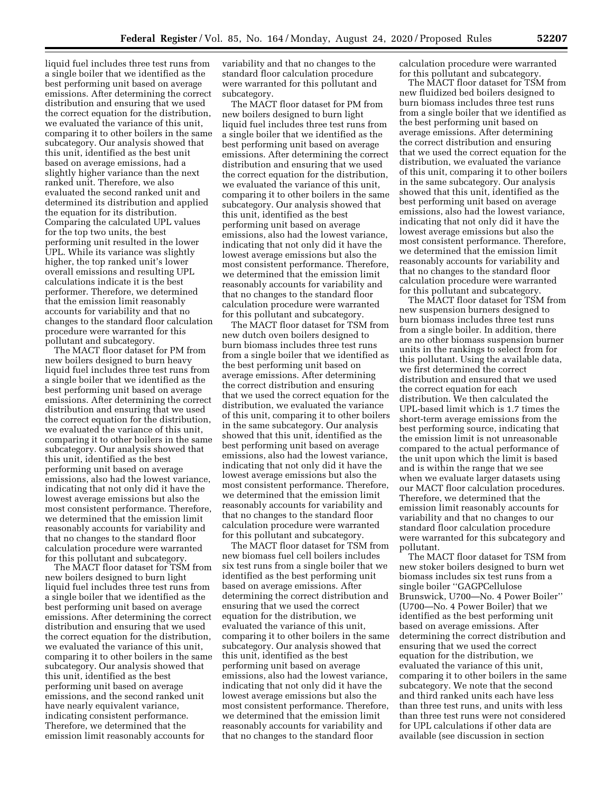liquid fuel includes three test runs from a single boiler that we identified as the best performing unit based on average emissions. After determining the correct distribution and ensuring that we used the correct equation for the distribution, we evaluated the variance of this unit, comparing it to other boilers in the same subcategory. Our analysis showed that this unit, identified as the best unit based on average emissions, had a slightly higher variance than the next ranked unit. Therefore, we also evaluated the second ranked unit and determined its distribution and applied the equation for its distribution. Comparing the calculated UPL values for the top two units, the best performing unit resulted in the lower UPL. While its variance was slightly higher, the top ranked unit's lower overall emissions and resulting UPL calculations indicate it is the best performer. Therefore, we determined that the emission limit reasonably accounts for variability and that no changes to the standard floor calculation procedure were warranted for this pollutant and subcategory.

The MACT floor dataset for PM from new boilers designed to burn heavy liquid fuel includes three test runs from a single boiler that we identified as the best performing unit based on average emissions. After determining the correct distribution and ensuring that we used the correct equation for the distribution, we evaluated the variance of this unit, comparing it to other boilers in the same subcategory. Our analysis showed that this unit, identified as the best performing unit based on average emissions, also had the lowest variance, indicating that not only did it have the lowest average emissions but also the most consistent performance. Therefore, we determined that the emission limit reasonably accounts for variability and that no changes to the standard floor calculation procedure were warranted for this pollutant and subcategory.

The MACT floor dataset for TSM from new boilers designed to burn light liquid fuel includes three test runs from a single boiler that we identified as the best performing unit based on average emissions. After determining the correct distribution and ensuring that we used the correct equation for the distribution, we evaluated the variance of this unit, comparing it to other boilers in the same subcategory. Our analysis showed that this unit, identified as the best performing unit based on average emissions, and the second ranked unit have nearly equivalent variance, indicating consistent performance. Therefore, we determined that the emission limit reasonably accounts for

variability and that no changes to the standard floor calculation procedure were warranted for this pollutant and subcategory.

The MACT floor dataset for PM from new boilers designed to burn light liquid fuel includes three test runs from a single boiler that we identified as the best performing unit based on average emissions. After determining the correct distribution and ensuring that we used the correct equation for the distribution, we evaluated the variance of this unit, comparing it to other boilers in the same subcategory. Our analysis showed that this unit, identified as the best performing unit based on average emissions, also had the lowest variance, indicating that not only did it have the lowest average emissions but also the most consistent performance. Therefore, we determined that the emission limit reasonably accounts for variability and that no changes to the standard floor calculation procedure were warranted for this pollutant and subcategory.

The MACT floor dataset for TSM from new dutch oven boilers designed to burn biomass includes three test runs from a single boiler that we identified as the best performing unit based on average emissions. After determining the correct distribution and ensuring that we used the correct equation for the distribution, we evaluated the variance of this unit, comparing it to other boilers in the same subcategory. Our analysis showed that this unit, identified as the best performing unit based on average emissions, also had the lowest variance, indicating that not only did it have the lowest average emissions but also the most consistent performance. Therefore, we determined that the emission limit reasonably accounts for variability and that no changes to the standard floor calculation procedure were warranted for this pollutant and subcategory.

The MACT floor dataset for TSM from new biomass fuel cell boilers includes six test runs from a single boiler that we identified as the best performing unit based on average emissions. After determining the correct distribution and ensuring that we used the correct equation for the distribution, we evaluated the variance of this unit, comparing it to other boilers in the same subcategory. Our analysis showed that this unit, identified as the best performing unit based on average emissions, also had the lowest variance, indicating that not only did it have the lowest average emissions but also the most consistent performance. Therefore, we determined that the emission limit reasonably accounts for variability and that no changes to the standard floor

calculation procedure were warranted for this pollutant and subcategory.

The MACT floor dataset for TSM from new fluidized bed boilers designed to burn biomass includes three test runs from a single boiler that we identified as the best performing unit based on average emissions. After determining the correct distribution and ensuring that we used the correct equation for the distribution, we evaluated the variance of this unit, comparing it to other boilers in the same subcategory. Our analysis showed that this unit, identified as the best performing unit based on average emissions, also had the lowest variance, indicating that not only did it have the lowest average emissions but also the most consistent performance. Therefore, we determined that the emission limit reasonably accounts for variability and that no changes to the standard floor calculation procedure were warranted for this pollutant and subcategory.

The MACT floor dataset for TSM from new suspension burners designed to burn biomass includes three test runs from a single boiler. In addition, there are no other biomass suspension burner units in the rankings to select from for this pollutant. Using the available data, we first determined the correct distribution and ensured that we used the correct equation for each distribution. We then calculated the UPL-based limit which is 1.7 times the short-term average emissions from the best performing source, indicating that the emission limit is not unreasonable compared to the actual performance of the unit upon which the limit is based and is within the range that we see when we evaluate larger datasets using our MACT floor calculation procedures. Therefore, we determined that the emission limit reasonably accounts for variability and that no changes to our standard floor calculation procedure were warranted for this subcategory and pollutant.

The MACT floor dataset for TSM from new stoker boilers designed to burn wet biomass includes six test runs from a single boiler ''GAGPCellulose Brunswick, U700—No. 4 Power Boiler'' (U700—No. 4 Power Boiler) that we identified as the best performing unit based on average emissions. After determining the correct distribution and ensuring that we used the correct equation for the distribution, we evaluated the variance of this unit, comparing it to other boilers in the same subcategory. We note that the second and third ranked units each have less than three test runs, and units with less than three test runs were not considered for UPL calculations if other data are available (see discussion in section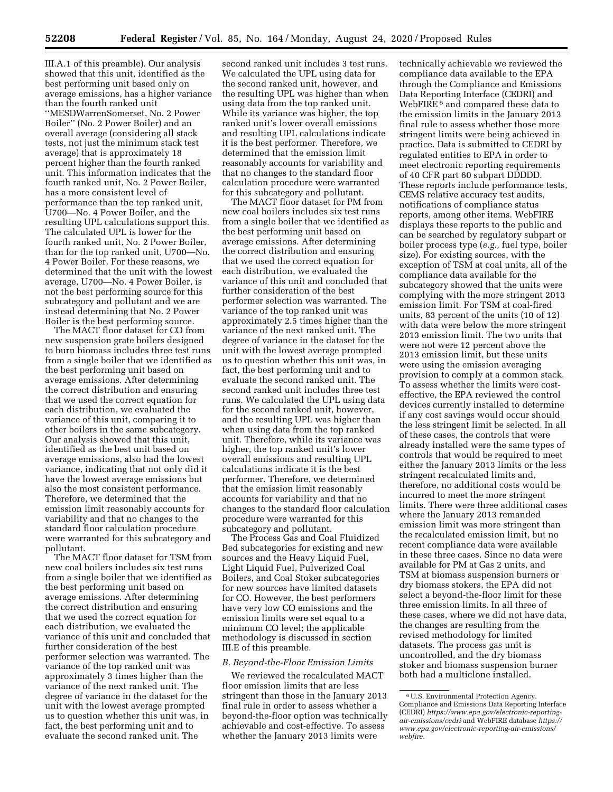III.A.1 of this preamble). Our analysis showed that this unit, identified as the best performing unit based only on average emissions, has a higher variance than the fourth ranked unit ''MESDWarrenSomerset, No. 2 Power Boiler'' (No. 2 Power Boiler) and an overall average (considering all stack tests, not just the minimum stack test average) that is approximately 18 percent higher than the fourth ranked unit. This information indicates that the fourth ranked unit, No. 2 Power Boiler, has a more consistent level of performance than the top ranked unit, U700—No. 4 Power Boiler, and the resulting UPL calculations support this. The calculated UPL is lower for the fourth ranked unit, No. 2 Power Boiler, than for the top ranked unit, U700—No. 4 Power Boiler. For these reasons, we determined that the unit with the lowest average, U700—No. 4 Power Boiler, is not the best performing source for this subcategory and pollutant and we are instead determining that No. 2 Power Boiler is the best performing source.

The MACT floor dataset for CO from new suspension grate boilers designed to burn biomass includes three test runs from a single boiler that we identified as the best performing unit based on average emissions. After determining the correct distribution and ensuring that we used the correct equation for each distribution, we evaluated the variance of this unit, comparing it to other boilers in the same subcategory. Our analysis showed that this unit, identified as the best unit based on average emissions, also had the lowest variance, indicating that not only did it have the lowest average emissions but also the most consistent performance. Therefore, we determined that the emission limit reasonably accounts for variability and that no changes to the standard floor calculation procedure were warranted for this subcategory and pollutant.

The MACT floor dataset for TSM from new coal boilers includes six test runs from a single boiler that we identified as the best performing unit based on average emissions. After determining the correct distribution and ensuring that we used the correct equation for each distribution, we evaluated the variance of this unit and concluded that further consideration of the best performer selection was warranted. The variance of the top ranked unit was approximately 3 times higher than the variance of the next ranked unit. The degree of variance in the dataset for the unit with the lowest average prompted us to question whether this unit was, in fact, the best performing unit and to evaluate the second ranked unit. The

second ranked unit includes 3 test runs. We calculated the UPL using data for the second ranked unit, however, and the resulting UPL was higher than when using data from the top ranked unit. While its variance was higher, the top ranked unit's lower overall emissions and resulting UPL calculations indicate it is the best performer. Therefore, we determined that the emission limit reasonably accounts for variability and that no changes to the standard floor calculation procedure were warranted for this subcategory and pollutant.

The MACT floor dataset for PM from new coal boilers includes six test runs from a single boiler that we identified as the best performing unit based on average emissions. After determining the correct distribution and ensuring that we used the correct equation for each distribution, we evaluated the variance of this unit and concluded that further consideration of the best performer selection was warranted. The variance of the top ranked unit was approximately 2.5 times higher than the variance of the next ranked unit. The degree of variance in the dataset for the unit with the lowest average prompted us to question whether this unit was, in fact, the best performing unit and to evaluate the second ranked unit. The second ranked unit includes three test runs. We calculated the UPL using data for the second ranked unit, however, and the resulting UPL was higher than when using data from the top ranked unit. Therefore, while its variance was higher, the top ranked unit's lower overall emissions and resulting UPL calculations indicate it is the best performer. Therefore, we determined that the emission limit reasonably accounts for variability and that no changes to the standard floor calculation procedure were warranted for this subcategory and pollutant.

The Process Gas and Coal Fluidized Bed subcategories for existing and new sources and the Heavy Liquid Fuel, Light Liquid Fuel, Pulverized Coal Boilers, and Coal Stoker subcategories for new sources have limited datasets for CO. However, the best performers have very low CO emissions and the emission limits were set equal to a minimum CO level; the applicable methodology is discussed in section III.E of this preamble.

# *B. Beyond-the-Floor Emission Limits*

We reviewed the recalculated MACT floor emission limits that are less stringent than those in the January 2013 final rule in order to assess whether a beyond-the-floor option was technically achievable and cost-effective. To assess whether the January 2013 limits were

technically achievable we reviewed the compliance data available to the EPA through the Compliance and Emissions Data Reporting Interface (CEDRI) and WebFIRE 6 and compared these data to the emission limits in the January 2013 final rule to assess whether those more stringent limits were being achieved in practice. Data is submitted to CEDRI by regulated entities to EPA in order to meet electronic reporting requirements of 40 CFR part 60 subpart DDDDD. These reports include performance tests, CEMS relative accuracy test audits, notifications of compliance status reports, among other items. WebFIRE displays these reports to the public and can be searched by regulatory subpart or boiler process type (*e.g.,* fuel type, boiler size). For existing sources, with the exception of TSM at coal units, all of the compliance data available for the subcategory showed that the units were complying with the more stringent 2013 emission limit. For TSM at coal-fired units, 83 percent of the units (10 of 12) with data were below the more stringent 2013 emission limit. The two units that were not were 12 percent above the 2013 emission limit, but these units were using the emission averaging provision to comply at a common stack. To assess whether the limits were costeffective, the EPA reviewed the control devices currently installed to determine if any cost savings would occur should the less stringent limit be selected. In all of these cases, the controls that were already installed were the same types of controls that would be required to meet either the January 2013 limits or the less stringent recalculated limits and, therefore, no additional costs would be incurred to meet the more stringent limits. There were three additional cases where the January 2013 remanded emission limit was more stringent than the recalculated emission limit, but no recent compliance data were available in these three cases. Since no data were available for PM at Gas 2 units, and TSM at biomass suspension burners or dry biomass stokers, the EPA did not select a beyond-the-floor limit for these three emission limits. In all three of these cases, where we did not have data, the changes are resulting from the revised methodology for limited datasets. The process gas unit is uncontrolled, and the dry biomass stoker and biomass suspension burner both had a multiclone installed.

<sup>6</sup>U.S. Environmental Protection Agency. Compliance and Emissions Data Reporting Interface (CEDRI) *[https://www.epa.gov/electronic-reporting](https://www.epa.gov/electronic-reporting-air-emissions/cedri)[air-emissions/cedri](https://www.epa.gov/electronic-reporting-air-emissions/cedri)* and WebFIRE database *[https://](https://www.epa.gov/electronic-reporting-air-emissions/webfire)  [www.epa.gov/electronic-reporting-air-emissions/](https://www.epa.gov/electronic-reporting-air-emissions/webfire) [webfire.](https://www.epa.gov/electronic-reporting-air-emissions/webfire)*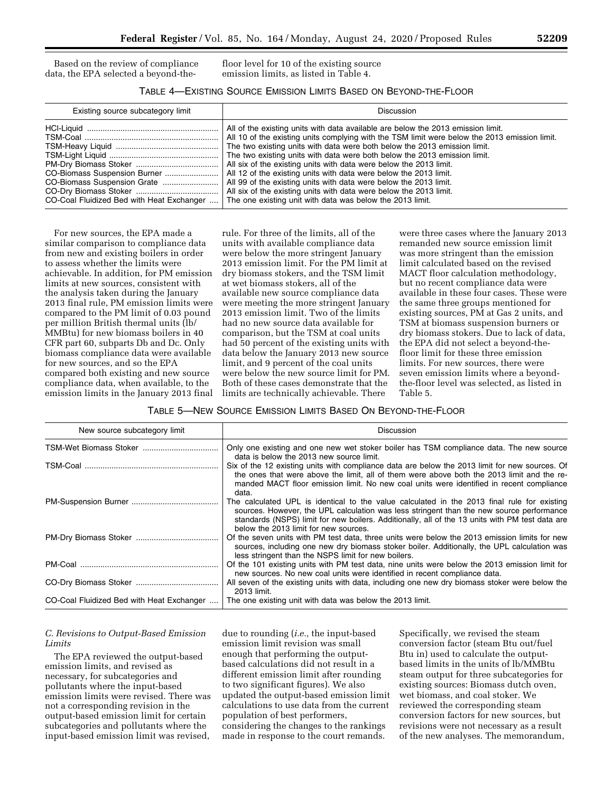Based on the review of compliance data, the EPA selected a beyond-thefloor level for 10 of the existing source emission limits, as listed in Table 4.

# TABLE 4—EXISTING SOURCE EMISSION LIMITS BASED ON BEYOND-THE-FLOOR

| Existing source subcategory limit         | Discussion                                                                                                                                                                                                                                                                                                                                                                                                                                                                                                                                                                                                                |
|-------------------------------------------|---------------------------------------------------------------------------------------------------------------------------------------------------------------------------------------------------------------------------------------------------------------------------------------------------------------------------------------------------------------------------------------------------------------------------------------------------------------------------------------------------------------------------------------------------------------------------------------------------------------------------|
| CO-Coal Fluidized Bed with Heat Exchanger | All of the existing units with data available are below the 2013 emission limit.<br>All 10 of the existing units complying with the TSM limit were below the 2013 emission limit.<br>The two existing units with data were both below the 2013 emission limit.<br>The two existing units with data were both below the 2013 emission limit.<br>All six of the existing units with data were below the 2013 limit.<br>All 99 of the existing units with data were below the 2013 limit.<br>All six of the existing units with data were below the 2013 limit.<br>The one existing unit with data was below the 2013 limit. |

For new sources, the EPA made a similar comparison to compliance data from new and existing boilers in order to assess whether the limits were achievable. In addition, for PM emission limits at new sources, consistent with the analysis taken during the January 2013 final rule, PM emission limits were compared to the PM limit of 0.03 pound per million British thermal units (lb/ MMBtu) for new biomass boilers in 40 CFR part 60, subparts Db and Dc. Only biomass compliance data were available for new sources, and so the EPA compared both existing and new source compliance data, when available, to the emission limits in the January 2013 final

rule. For three of the limits, all of the units with available compliance data were below the more stringent January 2013 emission limit. For the PM limit at dry biomass stokers, and the TSM limit at wet biomass stokers, all of the available new source compliance data were meeting the more stringent January 2013 emission limit. Two of the limits had no new source data available for comparison, but the TSM at coal units had 50 percent of the existing units with data below the January 2013 new source limit, and 9 percent of the coal units were below the new source limit for PM. Both of these cases demonstrate that the limits are technically achievable. There

were three cases where the January 2013 remanded new source emission limit was more stringent than the emission limit calculated based on the revised MACT floor calculation methodology, but no recent compliance data were available in these four cases. These were the same three groups mentioned for existing sources, PM at Gas 2 units, and TSM at biomass suspension burners or dry biomass stokers. Due to lack of data, the EPA did not select a beyond-thefloor limit for these three emission limits. For new sources, there were seven emission limits where a beyondthe-floor level was selected, as listed in Table 5.

## TABLE 5—NEW SOURCE EMISSION LIMITS BASED ON BEYOND-THE-FLOOR

| New source subcategory limit              | Discussion                                                                                                                                                                                                                                                                                                                          |
|-------------------------------------------|-------------------------------------------------------------------------------------------------------------------------------------------------------------------------------------------------------------------------------------------------------------------------------------------------------------------------------------|
|                                           | Only one existing and one new wet stoker boiler has TSM compliance data. The new source<br>data is below the 2013 new source limit.                                                                                                                                                                                                 |
|                                           | Six of the 12 existing units with compliance data are below the 2013 limit for new sources. Of<br>the ones that were above the limit, all of them were above both the 2013 limit and the re-<br>manded MACT floor emission limit. No new coal units were identified in recent compliance<br>data.                                   |
|                                           | The calculated UPL is identical to the value calculated in the 2013 final rule for existing<br>sources. However, the UPL calculation was less stringent than the new source performance<br>standards (NSPS) limit for new boilers. Additionally, all of the 13 units with PM test data are<br>below the 2013 limit for new sources. |
|                                           | Of the seven units with PM test data, three units were below the 2013 emission limits for new<br>sources, including one new dry biomass stoker boiler. Additionally, the UPL calculation was<br>less stringent than the NSPS limit for new boilers.                                                                                 |
|                                           | Of the 101 existing units with PM test data, nine units were below the 2013 emission limit for<br>new sources. No new coal units were identified in recent compliance data.                                                                                                                                                         |
|                                           | All seven of the existing units with data, including one new dry biomass stoker were below the<br>2013 limit.                                                                                                                                                                                                                       |
| CO-Coal Fluidized Bed with Heat Exchanger | The one existing unit with data was below the 2013 limit.                                                                                                                                                                                                                                                                           |

# *C. Revisions to Output-Based Emission Limits*

The EPA reviewed the output-based emission limits, and revised as necessary, for subcategories and pollutants where the input-based emission limits were revised. There was not a corresponding revision in the output-based emission limit for certain subcategories and pollutants where the input-based emission limit was revised,

due to rounding (*i.e.,* the input-based emission limit revision was small enough that performing the outputbased calculations did not result in a different emission limit after rounding to two significant figures). We also updated the output-based emission limit calculations to use data from the current population of best performers, considering the changes to the rankings made in response to the court remands.

Specifically, we revised the steam conversion factor (steam Btu out/fuel Btu in) used to calculate the outputbased limits in the units of lb/MMBtu steam output for three subcategories for existing sources: Biomass dutch oven, wet biomass, and coal stoker. We reviewed the corresponding steam conversion factors for new sources, but revisions were not necessary as a result of the new analyses. The memorandum,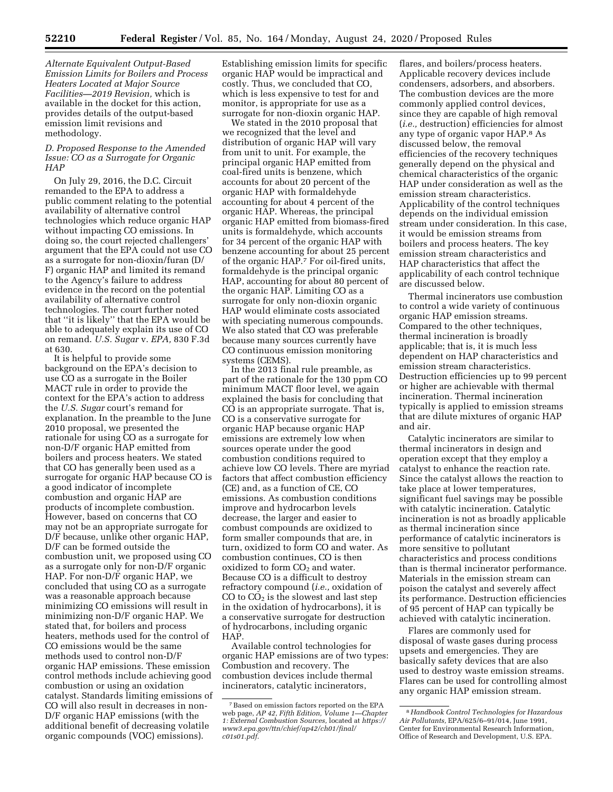*Alternate Equivalent Output-Based Emission Limits for Boilers and Process Heaters Located at Major Source Facilities—2019 Revision,* which is available in the docket for this action, provides details of the output-based emission limit revisions and methodology.

## *D. Proposed Response to the Amended Issue: CO as a Surrogate for Organic HAP*

On July 29, 2016, the D.C. Circuit remanded to the EPA to address a public comment relating to the potential availability of alternative control technologies which reduce organic HAP without impacting CO emissions. In doing so, the court rejected challengers' argument that the EPA could not use CO as a surrogate for non-dioxin/furan (D/ F) organic HAP and limited its remand to the Agency's failure to address evidence in the record on the potential availability of alternative control technologies. The court further noted that ''it is likely'' that the EPA would be able to adequately explain its use of CO on remand. *U.S. Sugar* v. *EPA,* 830 F.3d at 630.

It is helpful to provide some background on the EPA's decision to use CO as a surrogate in the Boiler MACT rule in order to provide the context for the EPA's action to address the *U.S. Sugar* court's remand for explanation. In the preamble to the June 2010 proposal, we presented the rationale for using CO as a surrogate for non-D/F organic HAP emitted from boilers and process heaters. We stated that CO has generally been used as a surrogate for organic HAP because CO is a good indicator of incomplete combustion and organic HAP are products of incomplete combustion. However, based on concerns that CO may not be an appropriate surrogate for D/F because, unlike other organic HAP, D/F can be formed outside the combustion unit, we proposed using CO as a surrogate only for non-D/F organic HAP. For non-D/F organic HAP, we concluded that using CO as a surrogate was a reasonable approach because minimizing CO emissions will result in minimizing non-D/F organic HAP. We stated that, for boilers and process heaters, methods used for the control of CO emissions would be the same methods used to control non-D/F organic HAP emissions. These emission control methods include achieving good combustion or using an oxidation catalyst. Standards limiting emissions of CO will also result in decreases in non-D/F organic HAP emissions (with the additional benefit of decreasing volatile organic compounds (VOC) emissions).

Establishing emission limits for specific organic HAP would be impractical and costly. Thus, we concluded that CO, which is less expensive to test for and monitor, is appropriate for use as a surrogate for non-dioxin organic HAP.

We stated in the 2010 proposal that we recognized that the level and distribution of organic HAP will vary from unit to unit. For example, the principal organic HAP emitted from coal-fired units is benzene, which accounts for about 20 percent of the organic HAP with formaldehyde accounting for about 4 percent of the organic HAP. Whereas, the principal organic HAP emitted from biomass-fired units is formaldehyde, which accounts for 34 percent of the organic HAP with benzene accounting for about 25 percent of the organic HAP.7 For oil-fired units, formaldehyde is the principal organic HAP, accounting for about 80 percent of the organic HAP. Limiting CO as a surrogate for only non-dioxin organic HAP would eliminate costs associated with speciating numerous compounds. We also stated that CO was preferable because many sources currently have CO continuous emission monitoring systems (CEMS).

In the 2013 final rule preamble, as part of the rationale for the 130 ppm CO minimum MACT floor level, we again explained the basis for concluding that CO is an appropriate surrogate. That is, CO is a conservative surrogate for organic HAP because organic HAP emissions are extremely low when sources operate under the good combustion conditions required to achieve low CO levels. There are myriad factors that affect combustion efficiency (CE) and, as a function of CE, CO emissions. As combustion conditions improve and hydrocarbon levels decrease, the larger and easier to combust compounds are oxidized to form smaller compounds that are, in turn, oxidized to form CO and water. As combustion continues, CO is then oxidized to form  $CO<sub>2</sub>$  and water. Because CO is a difficult to destroy refractory compound (*i.e.,* oxidation of  $CO$  to  $CO<sub>2</sub>$  is the slowest and last step in the oxidation of hydrocarbons), it is a conservative surrogate for destruction of hydrocarbons, including organic HAP.

Available control technologies for organic HAP emissions are of two types: Combustion and recovery. The combustion devices include thermal incinerators, catalytic incinerators,

flares, and boilers/process heaters. Applicable recovery devices include condensers, adsorbers, and absorbers. The combustion devices are the more commonly applied control devices, since they are capable of high removal (*i.e.,* destruction) efficiencies for almost any type of organic vapor HAP.8 As discussed below, the removal efficiencies of the recovery techniques generally depend on the physical and chemical characteristics of the organic HAP under consideration as well as the emission stream characteristics. Applicability of the control techniques depends on the individual emission stream under consideration. In this case, it would be emission streams from boilers and process heaters. The key emission stream characteristics and HAP characteristics that affect the applicability of each control technique are discussed below.

Thermal incinerators use combustion to control a wide variety of continuous organic HAP emission streams. Compared to the other techniques, thermal incineration is broadly applicable; that is, it is much less dependent on HAP characteristics and emission stream characteristics. Destruction efficiencies up to 99 percent or higher are achievable with thermal incineration. Thermal incineration typically is applied to emission streams that are dilute mixtures of organic HAP and air.

Catalytic incinerators are similar to thermal incinerators in design and operation except that they employ a catalyst to enhance the reaction rate. Since the catalyst allows the reaction to take place at lower temperatures, significant fuel savings may be possible with catalytic incineration. Catalytic incineration is not as broadly applicable as thermal incineration since performance of catalytic incinerators is more sensitive to pollutant characteristics and process conditions than is thermal incinerator performance. Materials in the emission stream can poison the catalyst and severely affect its performance. Destruction efficiencies of 95 percent of HAP can typically be achieved with catalytic incineration.

Flares are commonly used for disposal of waste gases during process upsets and emergencies. They are basically safety devices that are also used to destroy waste emission streams. Flares can be used for controlling almost any organic HAP emission stream.

<sup>7</sup>Based on emission factors reported on the EPA web page, *AP 42, Fifth Edition, Volume 1—Chapter 1: External Combustion Sources,* located at *[https://](https://www3.epa.gov/ttn/chief/ap42/ch01/final/c01s01.pdf) [www3.epa.gov/ttn/chief/ap42/ch01/final/](https://www3.epa.gov/ttn/chief/ap42/ch01/final/c01s01.pdf)  [c01s01.pdf](https://www3.epa.gov/ttn/chief/ap42/ch01/final/c01s01.pdf)*.

<sup>8</sup>*Handbook Control Technologies for Hazardous Air Pollutants,* EPA/625/6–91/014, June 1991, Center for Environmental Research Information, Office of Research and Development, U.S. EPA.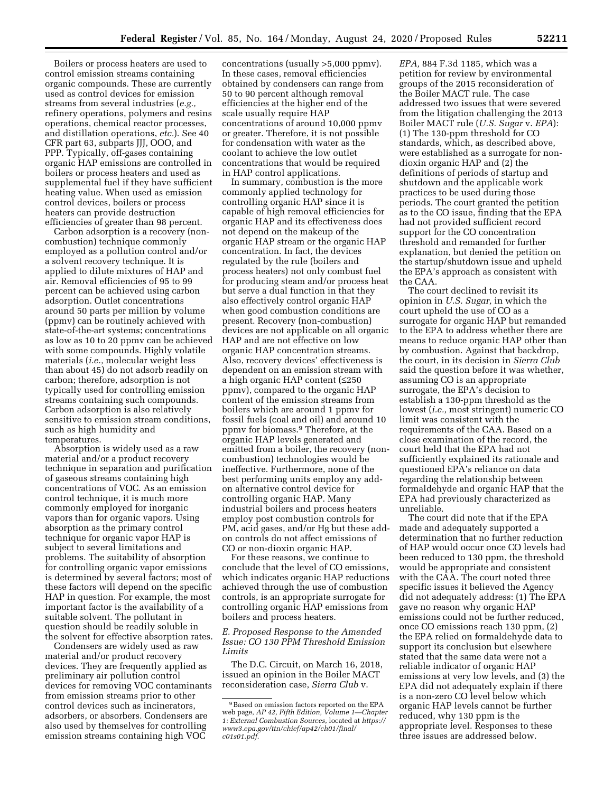Boilers or process heaters are used to control emission streams containing organic compounds. These are currently used as control devices for emission streams from several industries (*e.g.,*  refinery operations, polymers and resins operations, chemical reactor processes, and distillation operations, *etc.*). See 40 CFR part 63, subparts JJJ, OOO, and PPP. Typically, off-gases containing organic HAP emissions are controlled in boilers or process heaters and used as supplemental fuel if they have sufficient heating value. When used as emission control devices, boilers or process heaters can provide destruction efficiencies of greater than 98 percent.

Carbon adsorption is a recovery (noncombustion) technique commonly employed as a pollution control and/or a solvent recovery technique. It is applied to dilute mixtures of HAP and air. Removal efficiencies of 95 to 99 percent can be achieved using carbon adsorption. Outlet concentrations around 50 parts per million by volume (ppmv) can be routinely achieved with state-of-the-art systems; concentrations as low as 10 to 20 ppmv can be achieved with some compounds. Highly volatile materials (*i.e.,* molecular weight less than about 45) do not adsorb readily on carbon; therefore, adsorption is not typically used for controlling emission streams containing such compounds. Carbon adsorption is also relatively sensitive to emission stream conditions, such as high humidity and temperatures.

Absorption is widely used as a raw material and/or a product recovery technique in separation and purification of gaseous streams containing high concentrations of VOC. As an emission control technique, it is much more commonly employed for inorganic vapors than for organic vapors. Using absorption as the primary control technique for organic vapor HAP is subject to several limitations and problems. The suitability of absorption for controlling organic vapor emissions is determined by several factors; most of these factors will depend on the specific HAP in question. For example, the most important factor is the availability of a suitable solvent. The pollutant in question should be readily soluble in the solvent for effective absorption rates.

Condensers are widely used as raw material and/or product recovery devices. They are frequently applied as preliminary air pollution control devices for removing VOC contaminants from emission streams prior to other control devices such as incinerators, adsorbers, or absorbers. Condensers are also used by themselves for controlling emission streams containing high VOC

concentrations (usually >5,000 ppmv). In these cases, removal efficiencies obtained by condensers can range from 50 to 90 percent although removal efficiencies at the higher end of the scale usually require HAP concentrations of around 10,000 ppmv or greater. Therefore, it is not possible for condensation with water as the coolant to achieve the low outlet concentrations that would be required in HAP control applications.

In summary, combustion is the more commonly applied technology for controlling organic HAP since it is capable of high removal efficiencies for organic HAP and its effectiveness does not depend on the makeup of the organic HAP stream or the organic HAP concentration. In fact, the devices regulated by the rule (boilers and process heaters) not only combust fuel for producing steam and/or process heat but serve a dual function in that they also effectively control organic HAP when good combustion conditions are present. Recovery (non-combustion) devices are not applicable on all organic HAP and are not effective on low organic HAP concentration streams. Also, recovery devices' effectiveness is dependent on an emission stream with a high organic HAP content (≤250 ppmv), compared to the organic HAP content of the emission streams from boilers which are around 1 ppmv for fossil fuels (coal and oil) and around 10 ppmv for biomass.9 Therefore, at the organic HAP levels generated and emitted from a boiler, the recovery (noncombustion) technologies would be ineffective. Furthermore, none of the best performing units employ any addon alternative control device for controlling organic HAP. Many industrial boilers and process heaters employ post combustion controls for PM, acid gases, and/or Hg but these addon controls do not affect emissions of CO or non-dioxin organic HAP.

For these reasons, we continue to conclude that the level of CO emissions, which indicates organic HAP reductions achieved through the use of combustion controls, is an appropriate surrogate for controlling organic HAP emissions from boilers and process heaters.

## *E. Proposed Response to the Amended Issue: CO 130 PPM Threshold Emission Limits*

The D.C. Circuit, on March 16, 2018, issued an opinion in the Boiler MACT reconsideration case, *Sierra Club* v.

*EPA,* 884 F.3d 1185, which was a petition for review by environmental groups of the 2015 reconsideration of the Boiler MACT rule. The case addressed two issues that were severed from the litigation challenging the 2013 Boiler MACT rule (*U.S. Sugar* v. *EPA*): (1) The 130-ppm threshold for CO standards, which, as described above, were established as a surrogate for nondioxin organic HAP and (2) the definitions of periods of startup and shutdown and the applicable work practices to be used during those periods. The court granted the petition as to the CO issue, finding that the EPA had not provided sufficient record support for the CO concentration threshold and remanded for further explanation, but denied the petition on the startup/shutdown issue and upheld the EPA's approach as consistent with the CAA.

The court declined to revisit its opinion in *U.S. Sugar,* in which the court upheld the use of CO as a surrogate for organic HAP but remanded to the EPA to address whether there are means to reduce organic HAP other than by combustion. Against that backdrop, the court, in its decision in *Sierra Club*  said the question before it was whether, assuming CO is an appropriate surrogate, the EPA's decision to establish a 130-ppm threshold as the lowest (*i.e.,* most stringent) numeric CO limit was consistent with the requirements of the CAA. Based on a close examination of the record, the court held that the EPA had not sufficiently explained its rationale and questioned EPA's reliance on data regarding the relationship between formaldehyde and organic HAP that the EPA had previously characterized as unreliable.

The court did note that if the EPA made and adequately supported a determination that no further reduction of HAP would occur once CO levels had been reduced to 130 ppm, the threshold would be appropriate and consistent with the CAA. The court noted three specific issues it believed the Agency did not adequately address: (1) The EPA gave no reason why organic HAP emissions could not be further reduced, once CO emissions reach 130 ppm, (2) the EPA relied on formaldehyde data to support its conclusion but elsewhere stated that the same data were not a reliable indicator of organic HAP emissions at very low levels, and (3) the EPA did not adequately explain if there is a non-zero CO level below which organic HAP levels cannot be further reduced, why 130 ppm is the appropriate level. Responses to these three issues are addressed below.

<sup>9</sup>Based on emission factors reported on the EPA web page, *AP 42, Fifth Edition, Volume 1—Chapter 1: External Combustion Sources,* located at *[https://](https://www3.epa.gov/ttn/chief/ap42/ch01/final/c01s01.pdf) [www3.epa.gov/ttn/chief/ap42/ch01/final/](https://www3.epa.gov/ttn/chief/ap42/ch01/final/c01s01.pdf)  [c01s01.pdf](https://www3.epa.gov/ttn/chief/ap42/ch01/final/c01s01.pdf)*.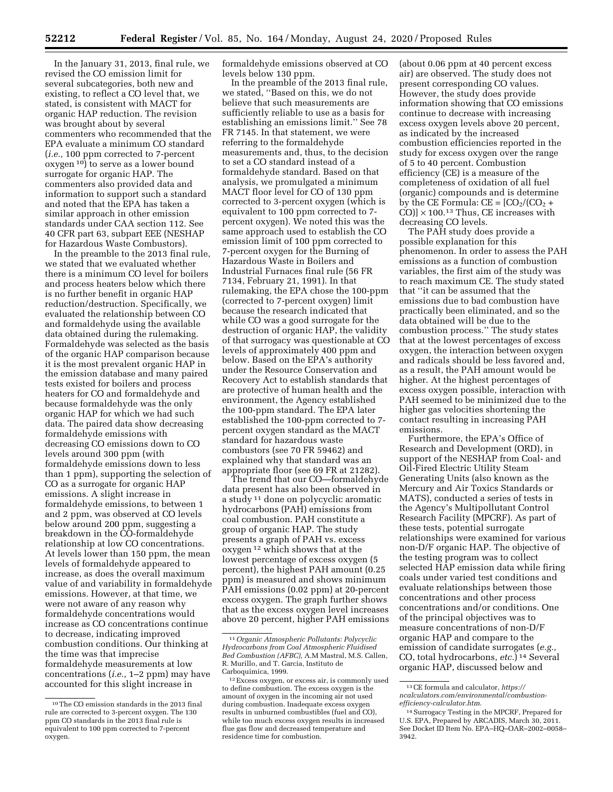In the January 31, 2013, final rule, we revised the CO emission limit for several subcategories, both new and existing, to reflect a CO level that, we stated, is consistent with MACT for organic HAP reduction. The revision was brought about by several commenters who recommended that the EPA evaluate a minimum CO standard (*i.e.,* 100 ppm corrected to 7-percent oxygen 10) to serve as a lower bound surrogate for organic HAP. The commenters also provided data and information to support such a standard and noted that the EPA has taken a similar approach in other emission standards under CAA section 112. See 40 CFR part 63, subpart EEE (NESHAP for Hazardous Waste Combustors).

In the preamble to the 2013 final rule, we stated that we evaluated whether there is a minimum CO level for boilers and process heaters below which there is no further benefit in organic HAP reduction/destruction. Specifically, we evaluated the relationship between CO and formaldehyde using the available data obtained during the rulemaking. Formaldehyde was selected as the basis of the organic HAP comparison because it is the most prevalent organic HAP in the emission database and many paired tests existed for boilers and process heaters for CO and formaldehyde and because formaldehyde was the only organic HAP for which we had such data. The paired data show decreasing formaldehyde emissions with decreasing CO emissions down to CO levels around 300 ppm (with formaldehyde emissions down to less than 1 ppm), supporting the selection of CO as a surrogate for organic HAP emissions. A slight increase in formaldehyde emissions, to between 1 and 2 ppm, was observed at CO levels below around 200 ppm, suggesting a breakdown in the CO-formaldehyde relationship at low CO concentrations. At levels lower than 150 ppm, the mean levels of formaldehyde appeared to increase, as does the overall maximum value of and variability in formaldehyde emissions. However, at that time, we were not aware of any reason why formaldehyde concentrations would increase as CO concentrations continue to decrease, indicating improved combustion conditions. Our thinking at the time was that imprecise formaldehyde measurements at low concentrations (*i.e.,* 1–2 ppm) may have accounted for this slight increase in

formaldehyde emissions observed at CO levels below 130 ppm.

In the preamble of the 2013 final rule, we stated, ''Based on this, we do not believe that such measurements are sufficiently reliable to use as a basis for establishing an emissions limit.'' See 78 FR 7145. In that statement, we were referring to the formaldehyde measurements and, thus, to the decision to set a CO standard instead of a formaldehyde standard. Based on that analysis, we promulgated a minimum MACT floor level for CO of 130 ppm corrected to 3-percent oxygen (which is equivalent to 100 ppm corrected to 7 percent oxygen). We noted this was the same approach used to establish the CO emission limit of 100 ppm corrected to 7-percent oxygen for the Burning of Hazardous Waste in Boilers and Industrial Furnaces final rule (56 FR 7134, February 21, 1991). In that rulemaking, the EPA chose the 100-ppm (corrected to 7-percent oxygen) limit because the research indicated that while CO was a good surrogate for the destruction of organic HAP, the validity of that surrogacy was questionable at CO levels of approximately 400 ppm and below. Based on the EPA's authority under the Resource Conservation and Recovery Act to establish standards that are protective of human health and the environment, the Agency established the 100-ppm standard. The EPA later established the 100-ppm corrected to 7 percent oxygen standard as the MACT standard for hazardous waste combustors (see 70 FR 59462) and explained why that standard was an appropriate floor (see 69 FR at 21282).

The trend that our CO—formaldehyde data present has also been observed in a study 11 done on polycyclic aromatic hydrocarbons (PAH) emissions from coal combustion. PAH constitute a group of organic HAP. The study presents a graph of PAH vs. excess oxygen 12 which shows that at the lowest percentage of excess oxygen (5 percent), the highest PAH amount (0.25 ppm) is measured and shows minimum PAH emissions (0.02 ppm) at 20-percent excess oxygen. The graph further shows that as the excess oxygen level increases above 20 percent, higher PAH emissions

(about 0.06 ppm at 40 percent excess air) are observed. The study does not present corresponding CO values. However, the study does provide information showing that CO emissions continue to decrease with increasing excess oxygen levels above 20 percent, as indicated by the increased combustion efficiencies reported in the study for excess oxygen over the range of 5 to 40 percent. Combustion efficiency (CE) is a measure of the completeness of oxidation of all fuel (organic) compounds and is determine by the CE Formula:  $CE = [CO_2/(CO_2 +$ CO)]  $\times$  100.<sup>13</sup> Thus, CE increases with decreasing CO levels.

The PAH study does provide a possible explanation for this phenomenon. In order to assess the PAH emissions as a function of combustion variables, the first aim of the study was to reach maximum CE. The study stated that ''it can be assumed that the emissions due to bad combustion have practically been eliminated, and so the data obtained will be due to the combustion process.'' The study states that at the lowest percentages of excess oxygen, the interaction between oxygen and radicals should be less favored and, as a result, the PAH amount would be higher. At the highest percentages of excess oxygen possible, interaction with PAH seemed to be minimized due to the higher gas velocities shortening the contact resulting in increasing PAH emissions.

Furthermore, the EPA's Office of Research and Development (ORD), in support of the NESHAP from Coal- and Oil-Fired Electric Utility Steam Generating Units (also known as the Mercury and Air Toxics Standards or MATS), conducted a series of tests in the Agency's Multipollutant Control Research Facility (MPCRF). As part of these tests, potential surrogate relationships were examined for various non-D/F organic HAP. The objective of the testing program was to collect selected HAP emission data while firing coals under varied test conditions and evaluate relationships between those concentrations and other process concentrations and/or conditions. One of the principal objectives was to measure concentrations of non-D/F organic HAP and compare to the emission of candidate surrogates (*e.g.,*  CO, total hydrocarbons, *etc.*) 14 Several organic HAP, discussed below and

 $^{\rm 10}\rm{The}$  CO emission standards in the 2013 final rule are corrected to 3-percent oxygen. The 130 ppm CO standards in the 2013 final rule is equivalent to 100 ppm corrected to 7-percent oxygen.

<sup>11</sup>*Organic Atmospheric Pollutants: Polycyclic Hydrocarbons from Coal Atmospheric Fluidised Bed Combustion (AFBC),* A.M Mastral, M.S. Callen, R. Murillo, and T. Garcia, Instituto de Carboquimica, 1999.

<sup>12</sup>Excess oxygen, or excess air, is commonly used to define combustion. The excess oxygen is the amount of oxygen in the incoming air not used during combustion. Inadequate excess oxygen results in unburned combustibles (fuel and CO), while too much excess oxygen results in increased flue gas flow and decreased temperature and residence time for combustion.

<sup>13</sup>CE formula and calculator, *[https://](https://ncalculators.com/environmental/combustion-efficiency-calculator.htm) [ncalculators.com/environmental/combustion](https://ncalculators.com/environmental/combustion-efficiency-calculator.htm)[efficiency-calculator.htm](https://ncalculators.com/environmental/combustion-efficiency-calculator.htm)*.

<sup>14</sup>Surrogacy Testing in the MPCRF, Prepared for U.S. EPA, Prepared by ARCADIS, March 30, 2011. See Docket ID Item No. EPA–HQ–OAR–2002–0058– 3942.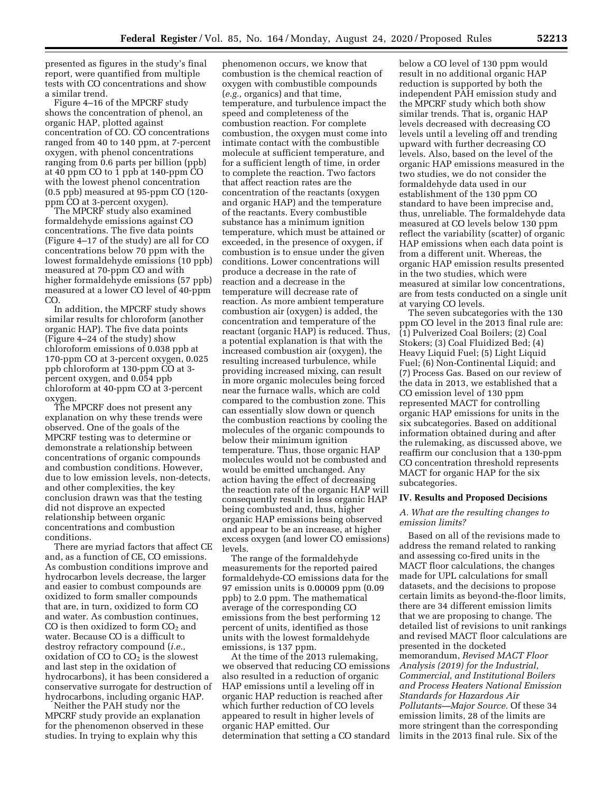presented as figures in the study's final report, were quantified from multiple tests with CO concentrations and show a similar trend.

Figure 4–16 of the MPCRF study shows the concentration of phenol, an organic HAP, plotted against concentration of CO. CO concentrations ranged from 40 to 140 ppm, at 7-percent oxygen, with phenol concentrations ranging from 0.6 parts per billion (ppb) at 40 ppm CO to 1 ppb at 140-ppm CO with the lowest phenol concentration (0.5 ppb) measured at 95-ppm CO (120 ppm CO at 3-percent oxygen).

The MPCRF study also examined formaldehyde emissions against CO concentrations. The five data points (Figure 4–17 of the study) are all for CO concentrations below 70 ppm with the lowest formaldehyde emissions (10 ppb) measured at 70-ppm CO and with higher formaldehyde emissions (57 ppb) measured at a lower CO level of 40-ppm CO.

In addition, the MPCRF study shows similar results for chloroform (another organic HAP). The five data points (Figure 4–24 of the study) show chloroform emissions of 0.038 ppb at 170-ppm CO at 3-percent oxygen, 0.025 ppb chloroform at 130-ppm CO at 3 percent oxygen, and 0.054 ppb chloroform at 40-ppm CO at 3-percent oxygen.

The MPCRF does not present any explanation on why these trends were observed. One of the goals of the MPCRF testing was to determine or demonstrate a relationship between concentrations of organic compounds and combustion conditions. However, due to low emission levels, non-detects, and other complexities, the key conclusion drawn was that the testing did not disprove an expected relationship between organic concentrations and combustion conditions.

There are myriad factors that affect CE and, as a function of CE, CO emissions. As combustion conditions improve and hydrocarbon levels decrease, the larger and easier to combust compounds are oxidized to form smaller compounds that are, in turn, oxidized to form CO and water. As combustion continues, CO is then oxidized to form  $CO<sub>2</sub>$  and water. Because CO is a difficult to destroy refractory compound (*i.e.,*  oxidation of CO to  $CO<sub>2</sub>$  is the slowest and last step in the oxidation of hydrocarbons), it has been considered a conservative surrogate for destruction of hydrocarbons, including organic HAP.

Neither the PAH study nor the MPCRF study provide an explanation for the phenomenon observed in these studies. In trying to explain why this

phenomenon occurs, we know that combustion is the chemical reaction of oxygen with combustible compounds (*e.g.,* organics) and that time, temperature, and turbulence impact the speed and completeness of the combustion reaction. For complete combustion, the oxygen must come into intimate contact with the combustible molecule at sufficient temperature, and for a sufficient length of time, in order to complete the reaction. Two factors that affect reaction rates are the concentration of the reactants (oxygen and organic HAP) and the temperature of the reactants. Every combustible substance has a minimum ignition temperature, which must be attained or exceeded, in the presence of oxygen, if combustion is to ensue under the given conditions. Lower concentrations will produce a decrease in the rate of reaction and a decrease in the temperature will decrease rate of reaction. As more ambient temperature combustion air (oxygen) is added, the concentration and temperature of the reactant (organic HAP) is reduced. Thus, a potential explanation is that with the increased combustion air (oxygen), the resulting increased turbulence, while providing increased mixing, can result in more organic molecules being forced near the furnace walls, which are cold compared to the combustion zone. This can essentially slow down or quench the combustion reactions by cooling the molecules of the organic compounds to below their minimum ignition temperature. Thus, those organic HAP molecules would not be combusted and would be emitted unchanged. Any action having the effect of decreasing the reaction rate of the organic HAP will consequently result in less organic HAP being combusted and, thus, higher organic HAP emissions being observed and appear to be an increase, at higher excess oxygen (and lower CO emissions) levels.

The range of the formaldehyde measurements for the reported paired formaldehyde-CO emissions data for the 97 emission units is 0.00009 ppm (0.09 ppb) to 2.0 ppm. The mathematical average of the corresponding CO emissions from the best performing 12 percent of units, identified as those units with the lowest formaldehyde emissions, is 137 ppm.

At the time of the 2013 rulemaking, we observed that reducing CO emissions also resulted in a reduction of organic HAP emissions until a leveling off in organic HAP reduction is reached after which further reduction of CO levels appeared to result in higher levels of organic HAP emitted. Our determination that setting a CO standard

below a CO level of 130 ppm would result in no additional organic HAP reduction is supported by both the independent PAH emission study and the MPCRF study which both show similar trends. That is, organic HAP levels decreased with decreasing CO levels until a leveling off and trending upward with further decreasing CO levels. Also, based on the level of the organic HAP emissions measured in the two studies, we do not consider the formaldehyde data used in our establishment of the 130 ppm CO standard to have been imprecise and, thus, unreliable. The formaldehyde data measured at CO levels below 130 ppm reflect the variability (scatter) of organic HAP emissions when each data point is from a different unit. Whereas, the organic HAP emission results presented in the two studies, which were measured at similar low concentrations, are from tests conducted on a single unit at varying CO levels.

The seven subcategories with the 130 ppm CO level in the 2013 final rule are: (1) Pulverized Coal Boilers; (2) Coal Stokers; (3) Coal Fluidized Bed; (4) Heavy Liquid Fuel; (5) Light Liquid Fuel; (6) Non-Continental Liquid; and (7) Process Gas. Based on our review of the data in 2013, we established that a CO emission level of 130 ppm represented MACT for controlling organic HAP emissions for units in the six subcategories. Based on additional information obtained during and after the rulemaking, as discussed above, we reaffirm our conclusion that a 130-ppm CO concentration threshold represents MACT for organic HAP for the six subcategories.

#### **IV. Results and Proposed Decisions**

#### *A. What are the resulting changes to emission limits?*

Based on all of the revisions made to address the remand related to ranking and assessing co-fired units in the MACT floor calculations, the changes made for UPL calculations for small datasets, and the decisions to propose certain limits as beyond-the-floor limits, there are 34 different emission limits that we are proposing to change. The detailed list of revisions to unit rankings and revised MACT floor calculations are presented in the docketed memorandum, *Revised MACT Floor Analysis (2019) for the Industrial, Commercial, and Institutional Boilers and Process Heaters National Emission Standards for Hazardous Air Pollutants—Major Source.* Of these 34 emission limits, 28 of the limits are more stringent than the corresponding limits in the 2013 final rule. Six of the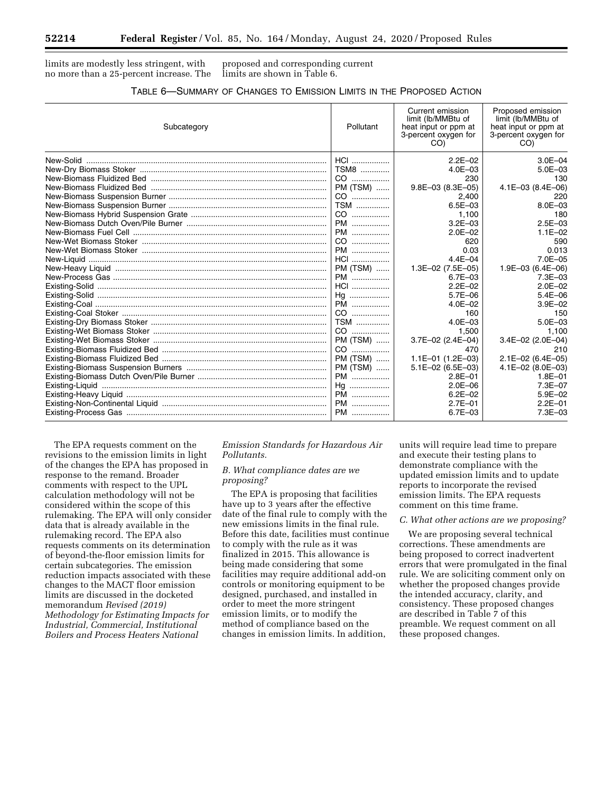limits are modestly less stringent, with no more than a 25-percent increase. The

proposed and corresponding current limits are shown in Table 6.

| TABLE 6-SUMMARY OF CHANGES TO EMISSION LIMITS IN THE PROPOSED ACTION |  |  |
|----------------------------------------------------------------------|--|--|
|----------------------------------------------------------------------|--|--|

| Subcategory | Pollutant  | Current emission<br>limit (lb/MMBtu of<br>heat input or ppm at<br>3-percent oxygen for<br>CO) | Proposed emission<br>limit (lb/MMBtu of<br>heat input or ppm at<br>3-percent oxygen for<br>CO) |
|-------------|------------|-----------------------------------------------------------------------------------------------|------------------------------------------------------------------------------------------------|
|             | $HCI$      | $2.2E - 02$                                                                                   | $3.0E - 04$                                                                                    |
|             | TSM8       | $4.0E - 03$                                                                                   | $5.0E - 03$                                                                                    |
|             | CO         | 230                                                                                           | 130                                                                                            |
|             | PM (TSM)   | $9.8E - 03$ (8.3E $-05$ )                                                                     | 4.1E-03 (8.4E-06)                                                                              |
|             | CO         | 2.400                                                                                         | 220                                                                                            |
|             | <b>TSM</b> | $6.5E - 03$                                                                                   | $8.0E - 03$                                                                                    |
|             | CO         | 1,100                                                                                         | 180                                                                                            |
|             | PM         | $3.2E - 03$                                                                                   | $2.5E - 03$                                                                                    |
|             | PM         | $2.0E - 02$                                                                                   | $1.1E - 02$                                                                                    |
|             | CO         | 620                                                                                           | 590                                                                                            |
|             | PM         | 0.03                                                                                          | 0.013                                                                                          |
|             | HCI        | $4.4E - 04$                                                                                   | $7.0E - 05$                                                                                    |
|             | PM (TSM)   | $1.3E-02$ (7.5E-05)                                                                           | 1.9E-03 (6.4E-06)                                                                              |
|             | PM         | $6.7E - 03$                                                                                   | $7.3E - 03$                                                                                    |
|             | $HCl$      | $2.2E - 02$                                                                                   | $2.0E - 02$                                                                                    |
|             | Hq         | $5.7E - 06$                                                                                   | $5.4E - 06$                                                                                    |
|             | PM         | $4.0E - 02$                                                                                   | $3.9E - 02$                                                                                    |
|             | CO         | 160                                                                                           | 150                                                                                            |
|             | <b>TSM</b> | $4.0E - 03$                                                                                   | $5.0E - 03$                                                                                    |
|             | CO         | 1.500                                                                                         | 1.100                                                                                          |
|             | PM (TSM)   | $3.7E-02$ (2.4E-04)                                                                           | $3.4E-02$ (2.0E-04)                                                                            |
|             | CO         | 470                                                                                           | 210                                                                                            |
|             | PM (TSM)   | $1.1E-01$ (1.2E-03)                                                                           | 2.1E-02 (6.4E-05)                                                                              |
|             | PM (TSM)   | $5.1E-02$ (6.5E-03)                                                                           | $4.1E-02$ (8.0E-03)                                                                            |
|             | PM         | $2.8E - 01$                                                                                   | $1.8E - 01$                                                                                    |
|             | Hq         | $2.0E - 06$                                                                                   | 7.3E-07                                                                                        |
|             | PM         | $6.2E - 02$                                                                                   | $5.9E - 02$                                                                                    |
|             | PM         | $2.7E - 01$                                                                                   | $2.2E - 01$                                                                                    |
|             | PM         | $6.7E - 03$                                                                                   | 7.3E-03                                                                                        |

The EPA requests comment on the revisions to the emission limits in light of the changes the EPA has proposed in response to the remand. Broader comments with respect to the UPL calculation methodology will not be considered within the scope of this rulemaking. The EPA will only consider data that is already available in the rulemaking record. The EPA also requests comments on its determination of beyond-the-floor emission limits for certain subcategories. The emission reduction impacts associated with these changes to the MACT floor emission limits are discussed in the docketed memorandum *Revised (2019) Methodology for Estimating Impacts for Industrial, Commercial, Institutional Boilers and Process Heaters National* 

*Emission Standards for Hazardous Air Pollutants.* 

## *B. What compliance dates are we proposing?*

The EPA is proposing that facilities have up to 3 years after the effective date of the final rule to comply with the new emissions limits in the final rule. Before this date, facilities must continue to comply with the rule as it was finalized in 2015. This allowance is being made considering that some facilities may require additional add-on controls or monitoring equipment to be designed, purchased, and installed in order to meet the more stringent emission limits, or to modify the method of compliance based on the changes in emission limits. In addition,

units will require lead time to prepare and execute their testing plans to demonstrate compliance with the updated emission limits and to update reports to incorporate the revised emission limits. The EPA requests comment on this time frame.

#### *C. What other actions are we proposing?*

We are proposing several technical corrections. These amendments are being proposed to correct inadvertent errors that were promulgated in the final rule. We are soliciting comment only on whether the proposed changes provide the intended accuracy, clarity, and consistency. These proposed changes are described in Table 7 of this preamble. We request comment on all these proposed changes.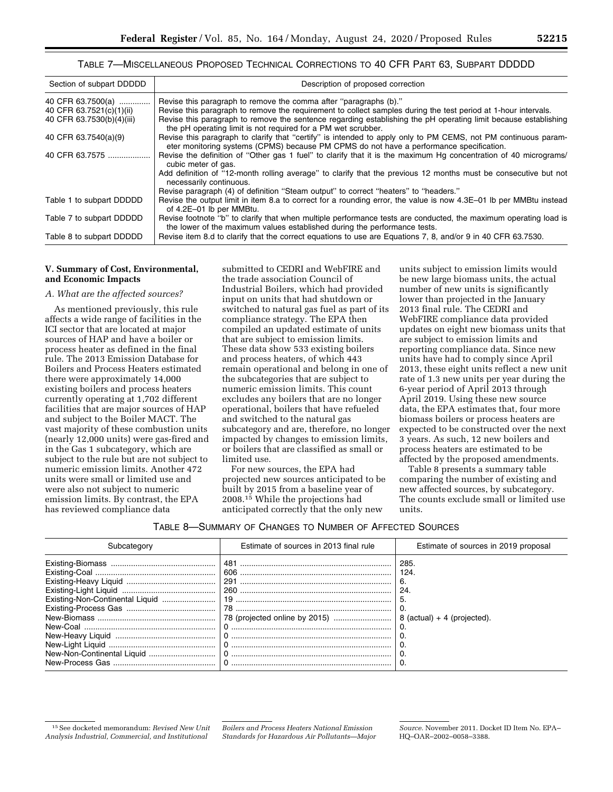## TABLE 7—MISCELLANEOUS PROPOSED TECHNICAL CORRECTIONS TO 40 CFR PART 63, SUBPART DDDDD

| Section of subpart DDDDD  | Description of proposed correction                                                                                                                                                                        |
|---------------------------|-----------------------------------------------------------------------------------------------------------------------------------------------------------------------------------------------------------|
| 40 CFR 63.7500(a)         | Revise this paragraph to remove the comma after "paragraphs (b)."                                                                                                                                         |
| 40 CFR 63.7521(c)(1)(ii)  | Revise this paragraph to remove the requirement to collect samples during the test period at 1-hour intervals.                                                                                            |
| 40 CFR 63.7530(b)(4)(iii) | Revise this paragraph to remove the sentence regarding establishing the pH operating limit because establishing<br>the pH operating limit is not required for a PM wet scrubber.                          |
| 40 CFR 63.7540(a)(9)      | Revise this paragraph to clarify that "certify" is intended to apply only to PM CEMS, not PM continuous param-<br>eter monitoring systems (CPMS) because PM CPMS do not have a performance specification. |
| 40 CFR 63.7575            | Revise the definition of "Other gas 1 fuel" to clarify that it is the maximum Hg concentration of 40 micrograms/<br>cubic meter of gas.                                                                   |
|                           | Add definition of "12-month rolling average" to clarify that the previous 12 months must be consecutive but not<br>necessarily continuous.                                                                |
|                           | Revise paragraph (4) of definition "Steam output" to correct "heaters" to "headers."                                                                                                                      |
| Table 1 to subpart DDDDD  | Revise the output limit in item 8.a to correct for a rounding error, the value is now 4.3E-01 lb per MMBtu instead<br>of 4.2E-01 lb per MMBtu.                                                            |
| Table 7 to subpart DDDDD  | Revise footnote "b" to clarify that when multiple performance tests are conducted, the maximum operating load is<br>the lower of the maximum values established during the performance tests.             |
| Table 8 to subpart DDDDD  | Revise item 8.d to clarify that the correct equations to use are Equations 7, 8, and/or 9 in 40 CFR 63.7530.                                                                                              |

#### **V. Summary of Cost, Environmental, and Economic Impacts**

#### *A. What are the affected sources?*

As mentioned previously, this rule affects a wide range of facilities in the ICI sector that are located at major sources of HAP and have a boiler or process heater as defined in the final rule. The 2013 Emission Database for Boilers and Process Heaters estimated there were approximately 14,000 existing boilers and process heaters currently operating at 1,702 different facilities that are major sources of HAP and subject to the Boiler MACT. The vast majority of these combustion units (nearly 12,000 units) were gas-fired and in the Gas 1 subcategory, which are subject to the rule but are not subject to numeric emission limits. Another 472 units were small or limited use and were also not subject to numeric emission limits. By contrast, the EPA has reviewed compliance data

submitted to CEDRI and WebFIRE and the trade association Council of Industrial Boilers, which had provided input on units that had shutdown or switched to natural gas fuel as part of its compliance strategy. The EPA then compiled an updated estimate of units that are subject to emission limits. These data show 533 existing boilers and process heaters, of which 443 remain operational and belong in one of the subcategories that are subject to numeric emission limits. This count excludes any boilers that are no longer operational, boilers that have refueled and switched to the natural gas subcategory and are, therefore, no longer impacted by changes to emission limits, or boilers that are classified as small or limited use.

For new sources, the EPA had projected new sources anticipated to be built by 2015 from a baseline year of 2008.15 While the projections had anticipated correctly that the only new

units subject to emission limits would be new large biomass units, the actual number of new units is significantly lower than projected in the January 2013 final rule. The CEDRI and WebFIRE compliance data provided updates on eight new biomass units that are subject to emission limits and reporting compliance data. Since new units have had to comply since April 2013, these eight units reflect a new unit rate of 1.3 new units per year during the 6-year period of April 2013 through April 2019. Using these new source data, the EPA estimates that, four more biomass boilers or process heaters are expected to be constructed over the next 3 years. As such, 12 new boilers and process heaters are estimated to be affected by the proposed amendments.

Table 8 presents a summary table comparing the number of existing and new affected sources, by subcategory. The counts exclude small or limited use units.

#### TABLE 8—SUMMARY OF CHANGES TO NUMBER OF AFFECTED SOURCES

| Subcategory                     | Estimate of sources in 2013 final rule | Estimate of sources in 2019 proposal |
|---------------------------------|----------------------------------------|--------------------------------------|
|                                 | 481                                    | 285                                  |
|                                 | 606                                    | 124                                  |
|                                 |                                        | 6.                                   |
|                                 | 260                                    | 24                                   |
| Existing-Non-Continental Liquid |                                        |                                      |
|                                 |                                        |                                      |
|                                 |                                        | $8$ (actual) + 4 (projected).        |
|                                 |                                        |                                      |
|                                 |                                        |                                      |
|                                 |                                        |                                      |
|                                 |                                        |                                      |
| New-Process Gas                 |                                        |                                      |

<sup>15</sup>See docketed memorandum: *Revised New Unit Analysis Industrial, Commercial, and Institutional* 

*Boilers and Process Heaters National Emission Standards for Hazardous Air Pollutants—Major* 

*Source.* November 2011. Docket ID Item No. EPA– HQ–OAR–2002–0058–3388.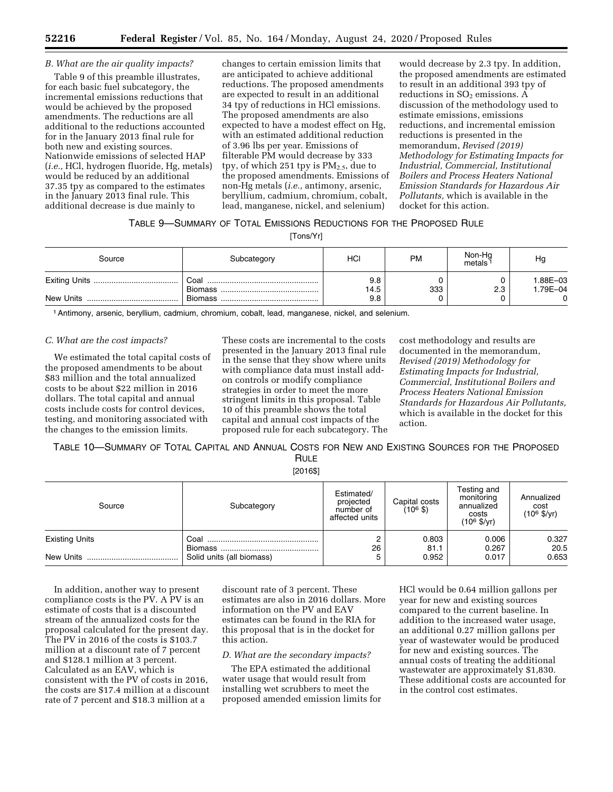# *B. What are the air quality impacts?*

Table 9 of this preamble illustrates, for each basic fuel subcategory, the incremental emissions reductions that would be achieved by the proposed amendments. The reductions are all additional to the reductions accounted for in the January 2013 final rule for both new and existing sources. Nationwide emissions of selected HAP (*i.e.,* HCl, hydrogen fluoride, Hg, metals) would be reduced by an additional 37.35 tpy as compared to the estimates in the January 2013 final rule. This additional decrease is due mainly to

changes to certain emission limits that are anticipated to achieve additional reductions. The proposed amendments are expected to result in an additional 34 tpy of reductions in HCl emissions. The proposed amendments are also expected to have a modest effect on Hg, with an estimated additional reduction of 3.96 lbs per year. Emissions of filterable PM would decrease by 333 tpy, of which 251 tpy is  $PM_{2.5}$ , due to the proposed amendments. Emissions of non-Hg metals (*i.e.,* antimony, arsenic, beryllium, cadmium, chromium, cobalt, lead, manganese, nickel, and selenium)

would decrease by 2.3 tpy. In addition, the proposed amendments are estimated to result in an additional 393 tpy of reductions in  $SO<sub>2</sub>$  emissions. A discussion of the methodology used to estimate emissions, emissions reductions, and incremental emission reductions is presented in the memorandum, *Revised (2019) Methodology for Estimating Impacts for Industrial, Commercial, Institutional Boilers and Process Heaters National Emission Standards for Hazardous Air Pollutants,* which is available in the docket for this action.

# TABLE 9—SUMMARY OF TOTAL EMISSIONS REDUCTIONS FOR THE PROPOSED RULE

[Tons/Yr]

| Source | Subcategory | HCI  | <b>PM</b> | Non-Hg<br>metals | Ho       |
|--------|-------------|------|-----------|------------------|----------|
|        | Coal        | 9.8  |           |                  | 1.88E-03 |
|        |             | 14.5 | 333       | 2.3              | 1.79E-04 |
|        |             | 9.8  |           |                  | 0        |

1Antimony, arsenic, beryllium, cadmium, chromium, cobalt, lead, manganese, nickel, and selenium.

#### *C. What are the cost impacts?*

We estimated the total capital costs of the proposed amendments to be about \$83 million and the total annualized costs to be about \$22 million in 2016 dollars. The total capital and annual costs include costs for control devices, testing, and monitoring associated with the changes to the emission limits.

These costs are incremental to the costs presented in the January 2013 final rule in the sense that they show where units with compliance data must install addon controls or modify compliance strategies in order to meet the more stringent limits in this proposal. Table 10 of this preamble shows the total capital and annual cost impacts of the proposed rule for each subcategory. The

cost methodology and results are documented in the memorandum, *Revised (2019) Methodology for Estimating Impacts for Industrial, Commercial, Institutional Boilers and Process Heaters National Emission Standards for Hazardous Air Pollutants,*  which is available in the docket for this action.

TABLE 10—SUMMARY OF TOTAL CAPITAL AND ANNUAL COSTS FOR NEW AND EXISTING SOURCES FOR THE PROPOSED RULE

[2016\$]

| Source                | Subcategory               | Estimated/<br>projected<br>number of<br>affected units | Capital costs<br>(10 <sup>6</sup> \$) | Testing and<br>monitoring<br>annualized<br>costs<br>$(10^6 \frac{5}{yr})$ | Annualized<br>cost<br>$(10^6 \frac{5}{yr})$ |
|-----------------------|---------------------------|--------------------------------------------------------|---------------------------------------|---------------------------------------------------------------------------|---------------------------------------------|
| <b>Existing Units</b> |                           | 26                                                     | 0.803<br>81.1                         | 0.006<br>0.267                                                            | 0.327<br>20.5                               |
|                       | Solid units (all biomass) |                                                        | 0.952                                 | 0.017                                                                     | 0.653                                       |

In addition, another way to present compliance costs is the PV. A PV is an estimate of costs that is a discounted stream of the annualized costs for the proposal calculated for the present day. The PV in 2016 of the costs is \$103.7 million at a discount rate of 7 percent and \$128.1 million at 3 percent. Calculated as an EAV, which is consistent with the PV of costs in 2016, the costs are \$17.4 million at a discount rate of 7 percent and \$18.3 million at a

discount rate of 3 percent. These estimates are also in 2016 dollars. More information on the PV and EAV estimates can be found in the RIA for this proposal that is in the docket for this action.

## *D. What are the secondary impacts?*

The EPA estimated the additional water usage that would result from installing wet scrubbers to meet the proposed amended emission limits for HCl would be 0.64 million gallons per year for new and existing sources compared to the current baseline. In addition to the increased water usage, an additional 0.27 million gallons per year of wastewater would be produced for new and existing sources. The annual costs of treating the additional wastewater are approximately \$1,830. These additional costs are accounted for in the control cost estimates.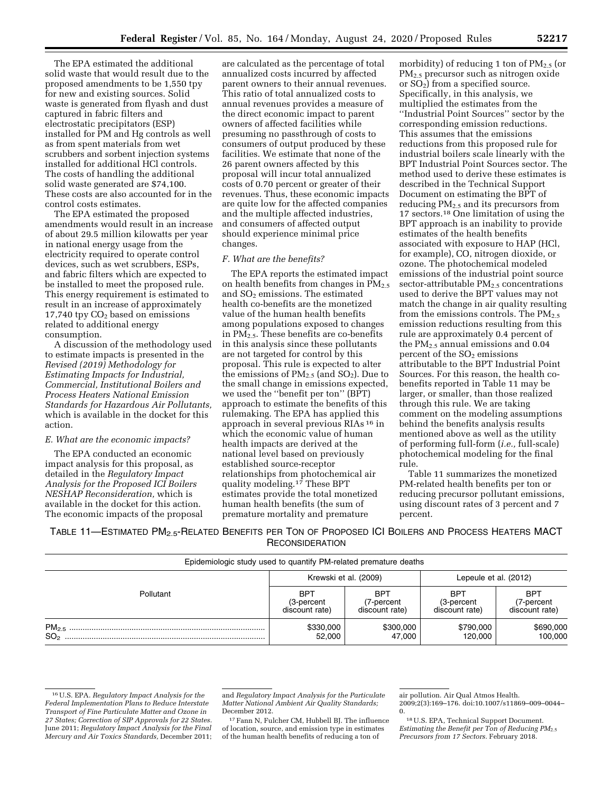The EPA estimated the additional solid waste that would result due to the proposed amendments to be 1,550 tpy for new and existing sources. Solid waste is generated from flyash and dust captured in fabric filters and electrostatic precipitators (ESP) installed for PM and Hg controls as well as from spent materials from wet scrubbers and sorbent injection systems installed for additional HCl controls. The costs of handling the additional solid waste generated are \$74,100. These costs are also accounted for in the control costs estimates.

The EPA estimated the proposed amendments would result in an increase of about 29.5 million kilowatts per year in national energy usage from the electricity required to operate control devices, such as wet scrubbers, ESPs, and fabric filters which are expected to be installed to meet the proposed rule. This energy requirement is estimated to result in an increase of approximately  $17,740$  tpy  $CO<sub>2</sub>$  based on emissions related to additional energy consumption.

A discussion of the methodology used to estimate impacts is presented in the *Revised (2019) Methodology for Estimating Impacts for Industrial, Commercial, Institutional Boilers and Process Heaters National Emission Standards for Hazardous Air Pollutants,*  which is available in the docket for this action.

#### *E. What are the economic impacts?*

The EPA conducted an economic impact analysis for this proposal, as detailed in the *Regulatory Impact Analysis for the Proposed ICI Boilers NESHAP Reconsideration,* which is available in the docket for this action. The economic impacts of the proposal

are calculated as the percentage of total annualized costs incurred by affected parent owners to their annual revenues. This ratio of total annualized costs to annual revenues provides a measure of the direct economic impact to parent owners of affected facilities while presuming no passthrough of costs to consumers of output produced by these facilities. We estimate that none of the 26 parent owners affected by this proposal will incur total annualized costs of 0.70 percent or greater of their revenues. Thus, these economic impacts are quite low for the affected companies and the multiple affected industries, and consumers of affected output should experience minimal price changes.

#### *F. What are the benefits?*

The EPA reports the estimated impact on health benefits from changes in  $PM_{2.5}$ and  $SO<sub>2</sub>$  emissions. The estimated health co-benefits are the monetized value of the human health benefits among populations exposed to changes in PM2.5. These benefits are co-benefits in this analysis since these pollutants are not targeted for control by this proposal. This rule is expected to alter the emissions of  $PM_{2.5}$  (and  $SO_2$ ). Due to the small change in emissions expected, we used the ''benefit per ton'' (BPT) approach to estimate the benefits of this rulemaking. The EPA has applied this approach in several previous RIAs 16 in which the economic value of human health impacts are derived at the national level based on previously established source-receptor relationships from photochemical air quality modeling.<sup>17</sup> These BPT estimates provide the total monetized human health benefits (the sum of premature mortality and premature

morbidity) of reducing 1 ton of  $PM_{2.5}$  (or PM2.5 precursor such as nitrogen oxide or  $SO<sub>2</sub>$ ) from a specified source. Specifically, in this analysis, we multiplied the estimates from the ''Industrial Point Sources'' sector by the corresponding emission reductions. This assumes that the emissions reductions from this proposed rule for industrial boilers scale linearly with the BPT Industrial Point Sources sector. The method used to derive these estimates is described in the Technical Support Document on estimating the BPT of reducing PM2.5 and its precursors from 17 sectors.18 One limitation of using the BPT approach is an inability to provide estimates of the health benefits associated with exposure to HAP (HCl, for example), CO, nitrogen dioxide, or ozone. The photochemical modeled emissions of the industrial point source sector-attributable  $PM_{2.5}$  concentrations used to derive the BPT values may not match the change in air quality resulting from the emissions controls. The  $PM_{2.5}$ emission reductions resulting from this rule are approximately 0.4 percent of the  $PM_{2.5}$  annual emissions and 0.04 percent of the  $SO<sub>2</sub>$  emissions attributable to the BPT Industrial Point Sources. For this reason, the health cobenefits reported in Table 11 may be larger, or smaller, than those realized through this rule. We are taking comment on the modeling assumptions behind the benefits analysis results mentioned above as well as the utility of performing full-form (*i.e.,* full-scale) photochemical modeling for the final rule.

Table 11 summarizes the monetized PM-related health benefits per ton or reducing precursor pollutant emissions, using discount rates of 3 percent and 7 percent.

TABLE 11—ESTIMATED PM<sub>2.5</sub>-RELATED BENEFITS PER TON OF PROPOSED ICI BOILERS AND PROCESS HEATERS MACT **RECONSIDERATION** 

| Epidemiologic study used to quantify PM-related premature deaths |                       |                |                       |                |
|------------------------------------------------------------------|-----------------------|----------------|-----------------------|----------------|
|                                                                  | Krewski et al. (2009) |                | Lepeule et al. (2012) |                |
| Pollutant                                                        | <b>BPT</b>            | BPT            | <b>BPT</b>            | <b>BPT</b>     |
|                                                                  | (3-percent            | (7-percent     | (3-percent            | (7-percent     |
|                                                                  | discount rate)        | discount rate) | discount rate)        | discount rate) |
|                                                                  | \$330,000             | \$300,000      | \$790,000             | \$690,000      |
|                                                                  | 52.000                | 47.000         | 120.000               | 100,000        |

and *Regulatory Impact Analysis for the Particulate Matter National Ambient Air Quality Standards;*  December 2012.

17Fann N, Fulcher CM, Hubbell BJ. The influence of location, source, and emission type in estimates of the human health benefits of reducing a ton of

18U.S. EPA, Technical Support Document. *Estimating the Benefit per Ton of Reducing PM*2.5 *Precursors from 17 Sectors.* February 2018.

<sup>16</sup>U.S. EPA. *Regulatory Impact Analysis for the Federal Implementation Plans to Reduce Interstate Transport of Fine Particulate Matter and Ozone in 27 States; Correction of SIP Approvals for 22 States.*  June 2011; *Regulatory Impact Analysis for the Final Mercury and Air Toxics Standards,* December 2011;

air pollution. Air Qual Atmos Health. 2009;2(3):169–176. doi:10.1007/s11869–009–0044– 0.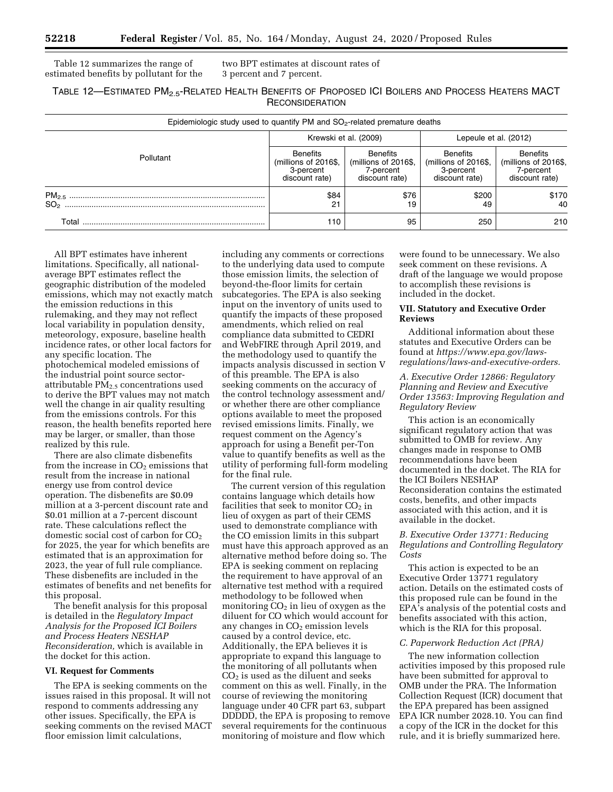Table 12 summarizes the range of estimated benefits by pollutant for the

two BPT estimates at discount rates of 3 percent and 7 percent.

# TABLE 12—ESTIMATED PM2.5-RELATED HEALTH BENEFITS OF PROPOSED ICI BOILERS AND PROCESS HEATERS MACT **RECONSIDERATION**

| Epidemiologic study used to quantify PM and $SO2$ -related premature deaths |                                                                        |                                                                        |                                                                        |                                                                        |  |
|-----------------------------------------------------------------------------|------------------------------------------------------------------------|------------------------------------------------------------------------|------------------------------------------------------------------------|------------------------------------------------------------------------|--|
|                                                                             |                                                                        | Krewski et al. (2009)                                                  | Lepeule et al. (2012)                                                  |                                                                        |  |
| Pollutant                                                                   | <b>Benefits</b><br>(millions of 2016\$,<br>3-percent<br>discount rate) | <b>Benefits</b><br>(millions of 2016\$,<br>7-percent<br>discount rate) | <b>Benefits</b><br>(millions of 2016\$,<br>3-percent<br>discount rate) | <b>Benefits</b><br>(millions of 2016\$,<br>7-percent<br>discount rate) |  |
| SO <sub>2</sub>                                                             | \$84<br>21                                                             | \$76<br>19                                                             | \$200<br>49                                                            | \$170<br>40                                                            |  |
| Total                                                                       | 110                                                                    | 95                                                                     | 250                                                                    | 210                                                                    |  |

All BPT estimates have inherent limitations. Specifically, all nationalaverage BPT estimates reflect the geographic distribution of the modeled emissions, which may not exactly match the emission reductions in this rulemaking, and they may not reflect local variability in population density, meteorology, exposure, baseline health incidence rates, or other local factors for any specific location. The photochemical modeled emissions of the industrial point source sectorattributable PM2.5 concentrations used to derive the BPT values may not match well the change in air quality resulting from the emissions controls. For this reason, the health benefits reported here may be larger, or smaller, than those realized by this rule.

There are also climate disbenefits from the increase in  $CO<sub>2</sub>$  emissions that result from the increase in national energy use from control device operation. The disbenefits are \$0.09 million at a 3-percent discount rate and \$0.01 million at a 7-percent discount rate. These calculations reflect the domestic social cost of carbon for  $CO<sub>2</sub>$ for 2025, the year for which benefits are estimated that is an approximation for 2023, the year of full rule compliance. These disbenefits are included in the estimates of benefits and net benefits for this proposal.

The benefit analysis for this proposal is detailed in the *Regulatory Impact Analysis for the Proposed ICI Boilers and Process Heaters NESHAP Reconsideration,* which is available in the docket for this action.

#### **VI. Request for Comments**

The EPA is seeking comments on the issues raised in this proposal. It will not respond to comments addressing any other issues. Specifically, the EPA is seeking comments on the revised MACT floor emission limit calculations,

including any comments or corrections to the underlying data used to compute those emission limits, the selection of beyond-the-floor limits for certain subcategories. The EPA is also seeking input on the inventory of units used to quantify the impacts of these proposed amendments, which relied on real compliance data submitted to CEDRI and WebFIRE through April 2019, and the methodology used to quantify the impacts analysis discussed in section V of this preamble. The EPA is also seeking comments on the accuracy of the control technology assessment and/ or whether there are other compliance options available to meet the proposed revised emissions limits. Finally, we request comment on the Agency's approach for using a Benefit per-Ton value to quantify benefits as well as the utility of performing full-form modeling for the final rule.

The current version of this regulation contains language which details how facilities that seek to monitor  $CO<sub>2</sub>$  in lieu of oxygen as part of their CEMS used to demonstrate compliance with the CO emission limits in this subpart must have this approach approved as an alternative method before doing so. The EPA is seeking comment on replacing the requirement to have approval of an alternative test method with a required methodology to be followed when monitoring  $CO<sub>2</sub>$  in lieu of oxygen as the diluent for CO which would account for any changes in  $CO<sub>2</sub>$  emission levels caused by a control device, etc. Additionally, the EPA believes it is appropriate to expand this language to the monitoring of all pollutants when CO2 is used as the diluent and seeks comment on this as well. Finally, in the course of reviewing the monitoring language under 40 CFR part 63, subpart DDDDD, the EPA is proposing to remove several requirements for the continuous monitoring of moisture and flow which

were found to be unnecessary. We also seek comment on these revisions. A draft of the language we would propose to accomplish these revisions is included in the docket.

#### **VII. Statutory and Executive Order Reviews**

Additional information about these statutes and Executive Orders can be found at *[https://www.epa.gov/laws](https://www.epa.gov/laws-regulations/laws-and-executive-orders)[regulations/laws-and-executive-orders.](https://www.epa.gov/laws-regulations/laws-and-executive-orders)* 

### *A. Executive Order 12866: Regulatory Planning and Review and Executive Order 13563: Improving Regulation and Regulatory Review*

This action is an economically significant regulatory action that was submitted to OMB for review. Any changes made in response to OMB recommendations have been documented in the docket. The RIA for the ICI Boilers NESHAP Reconsideration contains the estimated costs, benefits, and other impacts associated with this action, and it is available in the docket.

## *B. Executive Order 13771: Reducing Regulations and Controlling Regulatory Costs*

This action is expected to be an Executive Order 13771 regulatory action. Details on the estimated costs of this proposed rule can be found in the EPA's analysis of the potential costs and benefits associated with this action, which is the RIA for this proposal.

## *C. Paperwork Reduction Act (PRA)*

The new information collection activities imposed by this proposed rule have been submitted for approval to OMB under the PRA. The Information Collection Request (ICR) document that the EPA prepared has been assigned EPA ICR number 2028.10. You can find a copy of the ICR in the docket for this rule, and it is briefly summarized here.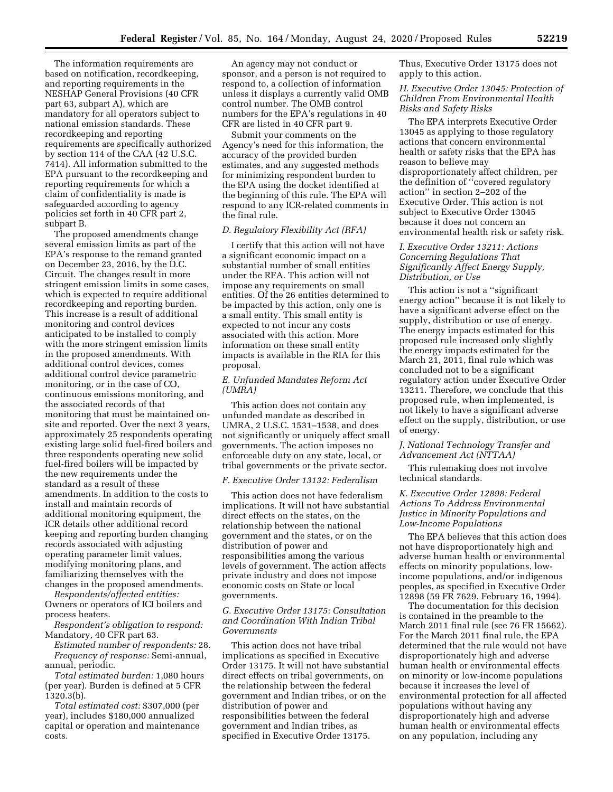The information requirements are based on notification, recordkeeping, and reporting requirements in the NESHAP General Provisions (40 CFR part 63, subpart A), which are mandatory for all operators subject to national emission standards. These recordkeeping and reporting requirements are specifically authorized by section 114 of the CAA (42 U.S.C. 7414). All information submitted to the EPA pursuant to the recordkeeping and reporting requirements for which a claim of confidentiality is made is safeguarded according to agency policies set forth in 40 CFR part 2, subpart B.

The proposed amendments change several emission limits as part of the EPA's response to the remand granted on December 23, 2016, by the D.C. Circuit. The changes result in more stringent emission limits in some cases, which is expected to require additional recordkeeping and reporting burden. This increase is a result of additional monitoring and control devices anticipated to be installed to comply with the more stringent emission limits in the proposed amendments. With additional control devices, comes additional control device parametric monitoring, or in the case of CO, continuous emissions monitoring, and the associated records of that monitoring that must be maintained onsite and reported. Over the next 3 years, approximately 25 respondents operating existing large solid fuel-fired boilers and three respondents operating new solid fuel-fired boilers will be impacted by the new requirements under the standard as a result of these amendments. In addition to the costs to install and maintain records of additional monitoring equipment, the ICR details other additional record keeping and reporting burden changing records associated with adjusting operating parameter limit values, modifying monitoring plans, and familiarizing themselves with the changes in the proposed amendments.

*Respondents/affected entities:*  Owners or operators of ICI boilers and process heaters.

*Respondent's obligation to respond:*  Mandatory, 40 CFR part 63.

*Estimated number of respondents:* 28. *Frequency of response:* Semi-annual, annual, periodic.

*Total estimated burden:* 1,080 hours (per year). Burden is defined at 5 CFR 1320.3(b).

*Total estimated cost:* \$307,000 (per year), includes \$180,000 annualized capital or operation and maintenance costs.

An agency may not conduct or sponsor, and a person is not required to respond to, a collection of information unless it displays a currently valid OMB control number. The OMB control numbers for the EPA's regulations in 40 CFR are listed in 40 CFR part 9.

Submit your comments on the Agency's need for this information, the accuracy of the provided burden estimates, and any suggested methods for minimizing respondent burden to the EPA using the docket identified at the beginning of this rule. The EPA will respond to any ICR-related comments in the final rule.

### *D. Regulatory Flexibility Act (RFA)*

I certify that this action will not have a significant economic impact on a substantial number of small entities under the RFA. This action will not impose any requirements on small entities. Of the 26 entities determined to be impacted by this action, only one is a small entity. This small entity is expected to not incur any costs associated with this action. More information on these small entity impacts is available in the RIA for this proposal.

#### *E. Unfunded Mandates Reform Act (UMRA)*

This action does not contain any unfunded mandate as described in UMRA, 2 U.S.C. 1531–1538, and does not significantly or uniquely affect small governments. The action imposes no enforceable duty on any state, local, or tribal governments or the private sector.

#### *F. Executive Order 13132: Federalism*

This action does not have federalism implications. It will not have substantial direct effects on the states, on the relationship between the national government and the states, or on the distribution of power and responsibilities among the various levels of government. The action affects private industry and does not impose economic costs on State or local governments.

## *G. Executive Order 13175: Consultation and Coordination With Indian Tribal Governments*

This action does not have tribal implications as specified in Executive Order 13175. It will not have substantial direct effects on tribal governments, on the relationship between the federal government and Indian tribes, or on the distribution of power and responsibilities between the federal government and Indian tribes, as specified in Executive Order 13175.

Thus, Executive Order 13175 does not apply to this action.

## *H. Executive Order 13045: Protection of Children From Environmental Health Risks and Safety Risks*

The EPA interprets Executive Order 13045 as applying to those regulatory actions that concern environmental health or safety risks that the EPA has reason to believe may disproportionately affect children, per the definition of ''covered regulatory action'' in section 2–202 of the Executive Order. This action is not subject to Executive Order 13045 because it does not concern an environmental health risk or safety risk.

#### *I. Executive Order 13211: Actions Concerning Regulations That Significantly Affect Energy Supply, Distribution, or Use*

This action is not a ''significant energy action'' because it is not likely to have a significant adverse effect on the supply, distribution or use of energy. The energy impacts estimated for this proposed rule increased only slightly the energy impacts estimated for the March 21, 2011, final rule which was concluded not to be a significant regulatory action under Executive Order 13211. Therefore, we conclude that this proposed rule, when implemented, is not likely to have a significant adverse effect on the supply, distribution, or use of energy.

#### *J. National Technology Transfer and Advancement Act (NTTAA)*

This rulemaking does not involve technical standards.

## *K. Executive Order 12898: Federal Actions To Address Environmental Justice in Minority Populations and Low-Income Populations*

The EPA believes that this action does not have disproportionately high and adverse human health or environmental effects on minority populations, lowincome populations, and/or indigenous peoples, as specified in Executive Order 12898 (59 FR 7629, February 16, 1994).

The documentation for this decision is contained in the preamble to the March 2011 final rule (see 76 FR 15662). For the March 2011 final rule, the EPA determined that the rule would not have disproportionately high and adverse human health or environmental effects on minority or low-income populations because it increases the level of environmental protection for all affected populations without having any disproportionately high and adverse human health or environmental effects on any population, including any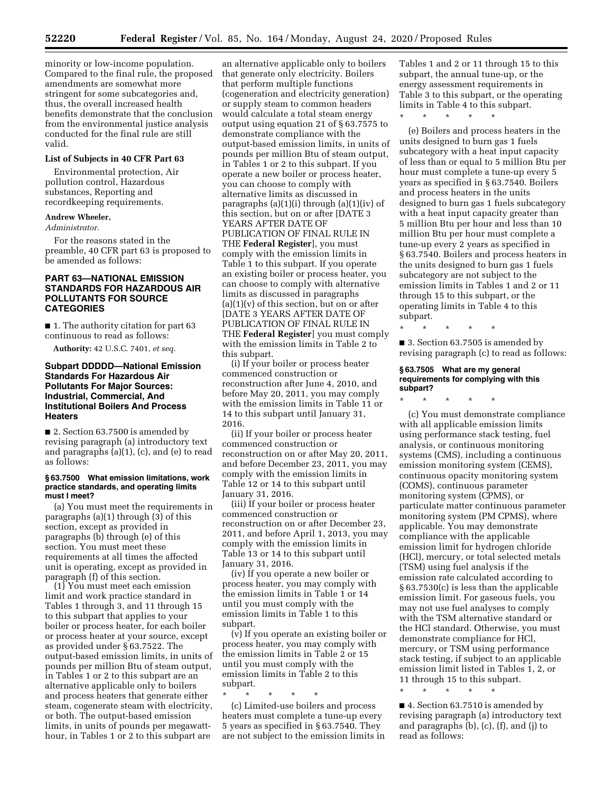minority or low-income population. Compared to the final rule, the proposed amendments are somewhat more stringent for some subcategories and, thus, the overall increased health benefits demonstrate that the conclusion from the environmental justice analysis conducted for the final rule are still valid.

# **List of Subjects in 40 CFR Part 63**

Environmental protection, Air pollution control, Hazardous substances, Reporting and recordkeeping requirements.

#### **Andrew Wheeler,**

*Administrator.* 

For the reasons stated in the preamble, 40 CFR part 63 is proposed to be amended as follows:

#### **PART 63—NATIONAL EMISSION STANDARDS FOR HAZARDOUS AIR POLLUTANTS FOR SOURCE CATEGORIES**

■ 1. The authority citation for part 63 continuous to read as follows:

**Authority:** 42 U.S.C. 7401, *et seq.* 

## **Subpart DDDDD—National Emission Standards For Hazardous Air Pollutants For Major Sources: Industrial, Commercial, And Institutional Boilers And Process Heaters**

■ 2. Section 63.7500 is amended by revising paragraph (a) introductory text and paragraphs (a)(1), (c), and (e) to read as follows:

#### **§ 63.7500 What emission limitations, work practice standards, and operating limits must I meet?**

(a) You must meet the requirements in paragraphs (a)(1) through (3) of this section, except as provided in paragraphs (b) through (e) of this section. You must meet these requirements at all times the affected unit is operating, except as provided in paragraph (f) of this section.

(1) You must meet each emission limit and work practice standard in Tables 1 through 3, and 11 through 15 to this subpart that applies to your boiler or process heater, for each boiler or process heater at your source, except as provided under § 63.7522. The output-based emission limits, in units of pounds per million Btu of steam output, in Tables 1 or 2 to this subpart are an alternative applicable only to boilers and process heaters that generate either steam, cogenerate steam with electricity, or both. The output-based emission limits, in units of pounds per megawatthour, in Tables 1 or 2 to this subpart are

an alternative applicable only to boilers that generate only electricity. Boilers that perform multiple functions (cogeneration and electricity generation) or supply steam to common headers would calculate a total steam energy output using equation 21 of § 63.7575 to demonstrate compliance with the output-based emission limits, in units of pounds per million Btu of steam output, in Tables 1 or 2 to this subpart. If you operate a new boiler or process heater, you can choose to comply with alternative limits as discussed in paragraphs (a)(1)(i) through (a)(1)(iv) of this section, but on or after [DATE 3 YEARS AFTER DATE OF PUBLICATION OF FINAL RULE IN THE **Federal Register**], you must comply with the emission limits in Table 1 to this subpart. If you operate an existing boiler or process heater, you can choose to comply with alternative limits as discussed in paragraphs  $(a)(1)(v)$  of this section, but on or after [DATE 3 YEARS AFTER DATE OF PUBLICATION OF FINAL RULE IN THE **Federal Register**] you must comply with the emission limits in Table 2 to this subpart.

(i) If your boiler or process heater commenced construction or reconstruction after June 4, 2010, and before May 20, 2011, you may comply with the emission limits in Table 11 or 14 to this subpart until January 31, 2016.

(ii) If your boiler or process heater commenced construction or reconstruction on or after May 20, 2011, and before December 23, 2011, you may comply with the emission limits in Table 12 or 14 to this subpart until January 31, 2016.

(iii) If your boiler or process heater commenced construction or reconstruction on or after December 23, 2011, and before April 1, 2013, you may comply with the emission limits in Table 13 or 14 to this subpart until January 31, 2016.

(iv) If you operate a new boiler or process heater, you may comply with the emission limits in Table 1 or 14 until you must comply with the emission limits in Table 1 to this subpart.

(v) If you operate an existing boiler or process heater, you may comply with the emission limits in Table 2 or 15 until you must comply with the emission limits in Table 2 to this subpart.

\* \* \* \* \* (c) Limited-use boilers and process heaters must complete a tune-up every 5 years as specified in § 63.7540. They are not subject to the emission limits in Tables 1 and 2 or 11 through 15 to this subpart, the annual tune-up, or the energy assessment requirements in Table 3 to this subpart, or the operating limits in Table 4 to this subpart.

\* \* \* \* \*

(e) Boilers and process heaters in the units designed to burn gas 1 fuels subcategory with a heat input capacity of less than or equal to 5 million Btu per hour must complete a tune-up every 5 years as specified in § 63.7540. Boilers and process heaters in the units designed to burn gas 1 fuels subcategory with a heat input capacity greater than 5 million Btu per hour and less than 10 million Btu per hour must complete a tune-up every 2 years as specified in § 63.7540. Boilers and process heaters in the units designed to burn gas 1 fuels subcategory are not subject to the emission limits in Tables 1 and 2 or 11 through 15 to this subpart, or the operating limits in Table 4 to this subpart.

■ 3. Section 63.7505 is amended by revising paragraph (c) to read as follows:

#### **§ 63.7505 What are my general requirements for complying with this subpart?**

\* \* \* \* \*

\* \* \* \* \*

(c) You must demonstrate compliance with all applicable emission limits using performance stack testing, fuel analysis, or continuous monitoring systems (CMS), including a continuous emission monitoring system (CEMS), continuous opacity monitoring system (COMS), continuous parameter monitoring system (CPMS), or particulate matter continuous parameter monitoring system (PM CPMS), where applicable. You may demonstrate compliance with the applicable emission limit for hydrogen chloride (HCl), mercury, or total selected metals (TSM) using fuel analysis if the emission rate calculated according to § 63.7530(c) is less than the applicable emission limit. For gaseous fuels, you may not use fuel analyses to comply with the TSM alternative standard or the HCl standard. Otherwise, you must demonstrate compliance for HCl, mercury, or TSM using performance stack testing, if subject to an applicable emission limit listed in Tables 1, 2, or 11 through 15 to this subpart.

\* \* \* \* \*

■ 4. Section 63.7510 is amended by revising paragraph (a) introductory text and paragraphs (b), (c), (f), and (j) to read as follows: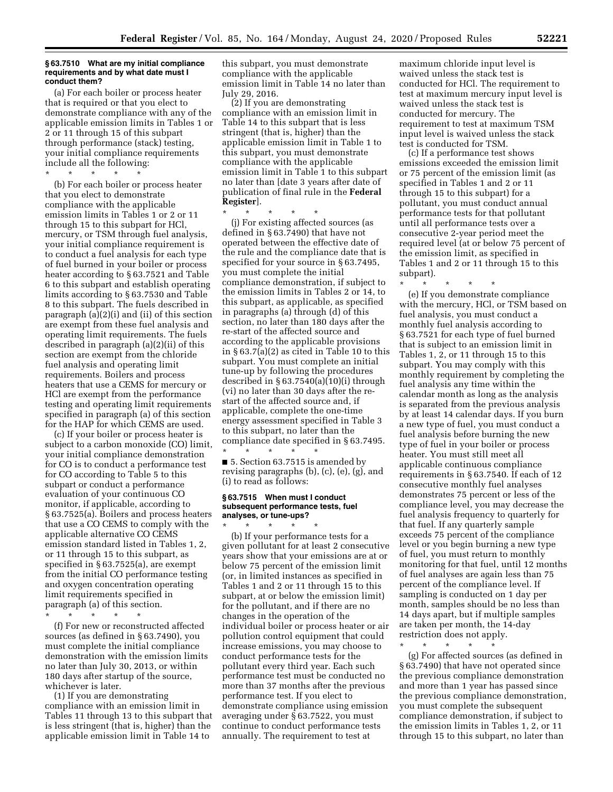#### **§ 63.7510 What are my initial compliance requirements and by what date must I conduct them?**

(a) For each boiler or process heater that is required or that you elect to demonstrate compliance with any of the applicable emission limits in Tables 1 or 2 or 11 through 15 of this subpart through performance (stack) testing, your initial compliance requirements include all the following:

\* \* \* \* \*

(b) For each boiler or process heater that you elect to demonstrate compliance with the applicable emission limits in Tables 1 or 2 or 11 through 15 to this subpart for HCl, mercury, or TSM through fuel analysis, your initial compliance requirement is to conduct a fuel analysis for each type of fuel burned in your boiler or process heater according to § 63.7521 and Table 6 to this subpart and establish operating limits according to § 63.7530 and Table 8 to this subpart. The fuels described in paragraph (a)(2)(i) and (ii) of this section are exempt from these fuel analysis and operating limit requirements. The fuels described in paragraph (a)(2)(ii) of this section are exempt from the chloride fuel analysis and operating limit requirements. Boilers and process heaters that use a CEMS for mercury or HCl are exempt from the performance testing and operating limit requirements specified in paragraph (a) of this section for the HAP for which CEMS are used.

(c) If your boiler or process heater is subject to a carbon monoxide (CO) limit, your initial compliance demonstration for CO is to conduct a performance test for CO according to Table 5 to this subpart or conduct a performance evaluation of your continuous CO monitor, if applicable, according to § 63.7525(a). Boilers and process heaters that use a CO CEMS to comply with the applicable alternative CO CEMS emission standard listed in Tables 1, 2, or 11 through 15 to this subpart, as specified in § 63.7525(a), are exempt from the initial CO performance testing and oxygen concentration operating limit requirements specified in paragraph (a) of this section.

\* \* \* \* \*

(f) For new or reconstructed affected sources (as defined in § 63.7490), you must complete the initial compliance demonstration with the emission limits no later than July 30, 2013, or within 180 days after startup of the source, whichever is later.

(1) If you are demonstrating compliance with an emission limit in Tables 11 through 13 to this subpart that is less stringent (that is, higher) than the applicable emission limit in Table 14 to

this subpart, you must demonstrate compliance with the applicable emission limit in Table 14 no later than July 29, 2016.

(2) If you are demonstrating compliance with an emission limit in Table 14 to this subpart that is less stringent (that is, higher) than the applicable emission limit in Table 1 to this subpart, you must demonstrate compliance with the applicable emission limit in Table 1 to this subpart no later than [date 3 years after date of publication of final rule in the **Federal Register**].

\* \* \* \* \* (j) For existing affected sources (as defined in § 63.7490) that have not operated between the effective date of the rule and the compliance date that is specified for your source in § 63.7495, you must complete the initial compliance demonstration, if subject to the emission limits in Tables 2 or 14, to this subpart, as applicable, as specified in paragraphs (a) through (d) of this section, no later than 180 days after the re-start of the affected source and according to the applicable provisions in § 63.7(a)(2) as cited in Table 10 to this subpart. You must complete an initial tune-up by following the procedures described in  $\S 63.7540(a)(10)(i)$  through (vi) no later than 30 days after the restart of the affected source and, if applicable, complete the one-time energy assessment specified in Table 3 to this subpart, no later than the compliance date specified in § 63.7495.

\* \* \* \* \* ■ 5. Section 63.7515 is amended by revising paragraphs (b), (c), (e), (g), and (i) to read as follows:

#### **§ 63.7515 When must I conduct subsequent performance tests, fuel analyses, or tune-ups?**

\* \* \* \* \* (b) If your performance tests for a given pollutant for at least 2 consecutive years show that your emissions are at or below 75 percent of the emission limit (or, in limited instances as specified in Tables 1 and 2 or 11 through 15 to this subpart, at or below the emission limit) for the pollutant, and if there are no changes in the operation of the individual boiler or process heater or air pollution control equipment that could increase emissions, you may choose to conduct performance tests for the pollutant every third year. Each such performance test must be conducted no more than 37 months after the previous performance test. If you elect to demonstrate compliance using emission averaging under § 63.7522, you must continue to conduct performance tests annually. The requirement to test at

maximum chloride input level is waived unless the stack test is conducted for HCl. The requirement to test at maximum mercury input level is waived unless the stack test is conducted for mercury. The requirement to test at maximum TSM input level is waived unless the stack test is conducted for TSM.

(c) If a performance test shows emissions exceeded the emission limit or 75 percent of the emission limit (as specified in Tables 1 and 2 or 11 through 15 to this subpart) for a pollutant, you must conduct annual performance tests for that pollutant until all performance tests over a consecutive 2-year period meet the required level (at or below 75 percent of the emission limit, as specified in Tables 1 and 2 or 11 through 15 to this subpart).

\* \* \* \* \* (e) If you demonstrate compliance with the mercury, HCl, or TSM based on fuel analysis, you must conduct a monthly fuel analysis according to § 63.7521 for each type of fuel burned that is subject to an emission limit in Tables 1, 2, or 11 through 15 to this subpart. You may comply with this monthly requirement by completing the fuel analysis any time within the calendar month as long as the analysis is separated from the previous analysis by at least 14 calendar days. If you burn a new type of fuel, you must conduct a fuel analysis before burning the new type of fuel in your boiler or process heater. You must still meet all applicable continuous compliance requirements in § 63.7540. If each of 12 consecutive monthly fuel analyses demonstrates 75 percent or less of the compliance level, you may decrease the fuel analysis frequency to quarterly for that fuel. If any quarterly sample exceeds 75 percent of the compliance level or you begin burning a new type of fuel, you must return to monthly monitoring for that fuel, until 12 months of fuel analyses are again less than 75 percent of the compliance level. If sampling is conducted on 1 day per month, samples should be no less than 14 days apart, but if multiple samples are taken per month, the 14-day restriction does not apply.

\* \* \* \* \*

(g) For affected sources (as defined in § 63.7490) that have not operated since the previous compliance demonstration and more than 1 year has passed since the previous compliance demonstration, you must complete the subsequent compliance demonstration, if subject to the emission limits in Tables 1, 2, or 11 through 15 to this subpart, no later than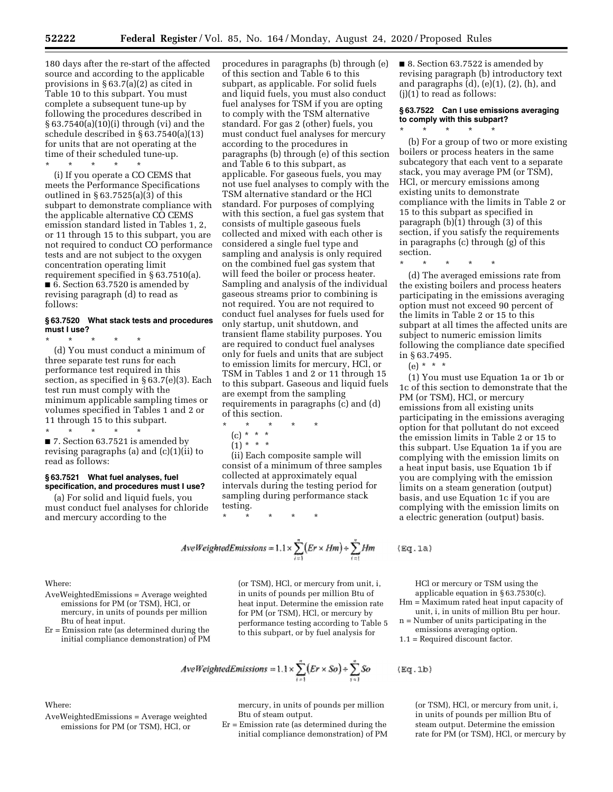180 days after the re-start of the affected source and according to the applicable provisions in § 63.7(a)(2) as cited in Table 10 to this subpart. You must complete a subsequent tune-up by following the procedures described in § 63.7540(a)(10)(i) through (vi) and the schedule described in § 63.7540(a)(13) for units that are not operating at the time of their scheduled tune-up.

\* \* \* \* \* (i) If you operate a CO CEMS that meets the Performance Specifications outlined in § 63.7525(a)(3) of this subpart to demonstrate compliance with the applicable alternative CO CEMS emission standard listed in Tables 1, 2, or 11 through 15 to this subpart, you are not required to conduct CO performance tests and are not subject to the oxygen concentration operating limit requirement specified in § 63.7510(a). ■ 6. Section 63.7520 is amended by revising paragraph (d) to read as follows:

## **§ 63.7520 What stack tests and procedures must I use?**

\* \* \* \* \* (d) You must conduct a minimum of three separate test runs for each performance test required in this section, as specified in § 63.7(e)(3). Each test run must comply with the minimum applicable sampling times or volumes specified in Tables 1 and 2 or 11 through 15 to this subpart.

\* \* \* \* \* ■ 7. Section 63.7521 is amended by revising paragraphs (a) and (c)(1)(ii) to read as follows:

#### **§ 63.7521 What fuel analyses, fuel specification, and procedures must I use?**

(a) For solid and liquid fuels, you must conduct fuel analyses for chloride and mercury according to the

procedures in paragraphs (b) through (e) of this section and Table 6 to this subpart, as applicable. For solid fuels and liquid fuels, you must also conduct fuel analyses for TSM if you are opting to comply with the TSM alternative standard. For gas 2 (other) fuels, you must conduct fuel analyses for mercury according to the procedures in paragraphs (b) through (e) of this section and Table 6 to this subpart, as applicable. For gaseous fuels, you may not use fuel analyses to comply with the TSM alternative standard or the HCl standard. For purposes of complying with this section, a fuel gas system that consists of multiple gaseous fuels collected and mixed with each other is considered a single fuel type and sampling and analysis is only required on the combined fuel gas system that will feed the boiler or process heater. Sampling and analysis of the individual gaseous streams prior to combining is not required. You are not required to conduct fuel analyses for fuels used for only startup, unit shutdown, and transient flame stability purposes. You are required to conduct fuel analyses only for fuels and units that are subject to emission limits for mercury, HCl, or TSM in Tables 1 and 2 or 11 through 15 to this subpart. Gaseous and liquid fuels are exempt from the sampling requirements in paragraphs (c) and (d) of this section.

- \* \* \* \* \*
	- (c) \* \* \*
	- $(1) * * * *$

(ii) Each composite sample will consist of a minimum of three samples collected at approximately equal intervals during the testing period for sampling during performance stack testing.

$$
\star\quad\star\quad\star\quad\star\quad\star
$$

$$
AveWeightedEmissions = 1.1 \times \sum_{i=1}^{n} (Er \times Hm) \div \sum_{i=1}^{n} Hm
$$

Where:

Where:

- AveWeightedEmissions = Average weighted emissions for PM (or TSM), HCl, or mercury, in units of pounds per million Btu of heat input.
- Er = Emission rate (as determined during the initial compliance demonstration) of PM

AveWeightedEmissions = Average weighted emissions for PM (or TSM), HCl, or

(or TSM), HCl, or mercury from unit, i, in units of pounds per million Btu of heat input. Determine the emission rate for PM (or TSM), HCl, or mercury by performance testing according to Table 5 to this subpart, or by fuel analysis for

$$
AveWeightedEmissions = 1.1 \times \sum_{i=1}^{n} (Er \times So) \div \sum_{i=1}^{n} So
$$

mercury, in units of pounds per million Btu of steam output.

Er = Emission rate (as determined during the initial compliance demonstration) of PM ■ 8. Section 63.7522 is amended by revising paragraph (b) introductory text and paragraphs (d), (e)(1), (2), (h), and (j)(1) to read as follows:

#### **§ 63.7522 Can I use emissions averaging to comply with this subpart?**  \* \* \* \* \*

(b) For a group of two or more existing boilers or process heaters in the same subcategory that each vent to a separate stack, you may average PM (or TSM), HCl, or mercury emissions among existing units to demonstrate compliance with the limits in Table 2 or 15 to this subpart as specified in paragraph (b)(1) through (3) of this section, if you satisfy the requirements in paragraphs (c) through (g) of this section.

\* \* \* \* \*

(d) The averaged emissions rate from the existing boilers and process heaters participating in the emissions averaging option must not exceed 90 percent of the limits in Table 2 or 15 to this subpart at all times the affected units are subject to numeric emission limits following the compliance date specified in § 63.7495.

(e) \* \* \*

 $(gq.1a)$ 

 $Eq.1b)$ 

(1) You must use Equation 1a or 1b or 1c of this section to demonstrate that the PM (or TSM), HCl, or mercury emissions from all existing units participating in the emissions averaging option for that pollutant do not exceed the emission limits in Table 2 or 15 to this subpart. Use Equation 1a if you are complying with the emission limits on a heat input basis, use Equation 1b if you are complying with the emission limits on a steam generation (output) basis, and use Equation 1c if you are complying with the emission limits on a electric generation (output) basis.

HCl or mercury or TSM using the applicable equation in § 63.7530(c).

- Hm = Maximum rated heat input capacity of unit, i, in units of million Btu per hour.
- n = Number of units participating in the

emissions averaging option. 1.1 = Required discount factor.

> (or TSM), HCl, or mercury from unit, i, in units of pounds per million Btu of steam output. Determine the emission rate for PM (or TSM), HCl, or mercury by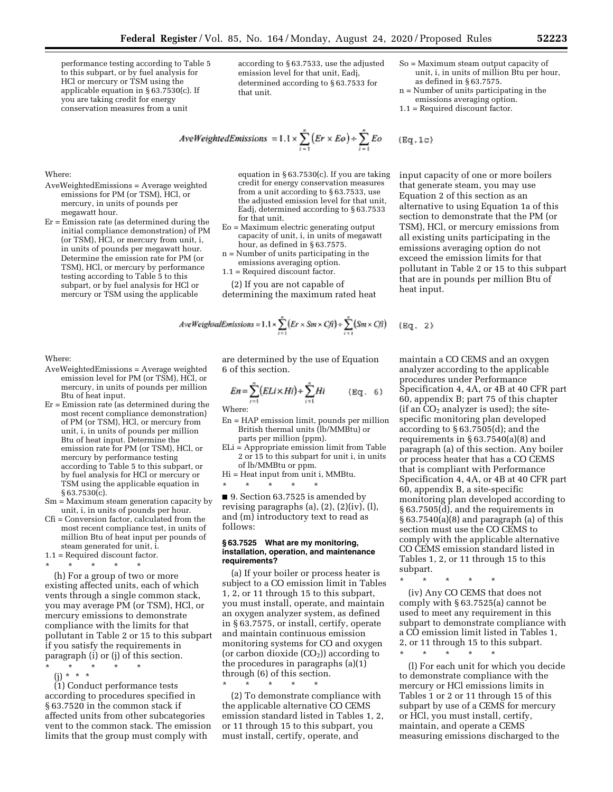performance testing according to Table 5 to this subpart, or by fuel analysis for HCl or mercury or TSM using the applicable equation in § 63.7530(c). If you are taking credit for energy conservation measures from a unit

AveWeightedEmissions = Average weighted emissions for PM (or TSM), HCl, or mercury, in units of pounds per

Er = Emission rate (as determined during the initial compliance demonstration) of PM (or TSM), HCl, or mercury from unit, i, in units of pounds per megawatt hour. Determine the emission rate for PM (or TSM), HCl, or mercury by performance testing according to Table 5 to this subpart, or by fuel analysis for HCl or mercury or TSM using the applicable

according to § 63.7533, use the adjusted emission level for that unit, Eadj, determined according to § 63.7533 for that unit.

- So = Maximum steam output capacity of unit, i, in units of million Btu per hour, as defined in § 63.7575.
- n = Number of units participating in the emissions averaging option.
- 1.1 = Required discount factor.

 $(Bq,1c)$ 

 $2)$ 

$$
AveWeightedEmissions = 1.1 \times \sum_{i=1}^{n} (Er \times Eo) + \sum_{i=1}^{n} Eo
$$

equation in § 63.7530(c). If you are taking credit for energy conservation measures from a unit according to § 63.7533, use the adjusted emission level for that unit, Eadj, determined according to § 63.7533 for that unit.

- Eo = Maximum electric generating output capacity of unit, i, in units of megawatt hour, as defined in § 63.7575.
- n = Number of units participating in the emissions averaging option.
- 1.1 = Required discount factor.

(2) If you are not capable of determining the maximum rated heat

$$
AveWeightedEmissions = 1.1 \times \sum_{i=1}^{n} \{Er \times Sm \times Cfi\} \times \sum_{i=1}^{n} (Sm \times Cfi)
$$
 (Eq.

Where:

Where:

megawatt hour.

- AveWeightedEmissions = Average weighted emission level for PM (or TSM), HCl, or mercury, in units of pounds per million Btu of heat input.
- Er = Emission rate (as determined during the most recent compliance demonstration) of PM (or TSM), HCl, or mercury from unit, i, in units of pounds per million Btu of heat input. Determine the emission rate for PM (or TSM), HCl, or mercury by performance testing according to Table 5 to this subpart, or by fuel analysis for HCl or mercury or TSM using the applicable equation in § 63.7530(c).
- Sm = Maximum steam generation capacity by unit, i, in units of pounds per hour.
- Cfi = Conversion factor, calculated from the most recent compliance test, in units of million Btu of heat input per pounds of steam generated for unit, i.
- 1.1 = Required discount factor.
- \* \* \* \* \* (h) For a group of two or more existing affected units, each of which vents through a single common stack, you may average PM (or TSM), HCl, or mercury emissions to demonstrate compliance with the limits for that pollutant in Table 2 or 15 to this subpart if you satisfy the requirements in paragraph (i) or (j) of this section.
- \* \* \* \* \*
	- (j) \* \* \*

(1) Conduct performance tests according to procedures specified in § 63.7520 in the common stack if affected units from other subcategories vent to the common stack. The emission limits that the group must comply with

are determined by the use of Equation 6 of this section.

$$
En = \sum_{i=1}^{n} (ELi \times Hi) + \sum_{i=1}^{n} Hi
$$
 (Eq. 6)

Where:

- En = HAP emission limit, pounds per million British thermal units (lb/MMBtu) or parts per million (ppm).
- ELi = Appropriate emission limit from Table 2 or 15 to this subpart for unit i, in units of lb/MMBtu or ppm.
- Hi = Heat input from unit i, MMBtu. \* \* \* \* \*

■ 9. Section 63.7525 is amended by revising paragraphs  $(a)$ ,  $(2)$ ,  $(2)(iv)$ ,  $(l)$ , and (m) introductory text to read as follows:

#### **§ 63.7525 What are my monitoring, installation, operation, and maintenance requirements?**

(a) If your boiler or process heater is subject to a CO emission limit in Tables 1, 2, or 11 through 15 to this subpart, you must install, operate, and maintain an oxygen analyzer system, as defined in § 63.7575, or install, certify, operate and maintain continuous emission monitoring systems for CO and oxygen (or carbon dioxide  $(CO<sub>2</sub>)$ ) according to the procedures in paragraphs (a)(1) through (6) of this section.

\* \* \* \* \*

(2) To demonstrate compliance with the applicable alternative CO CEMS emission standard listed in Tables 1, 2, or 11 through 15 to this subpart, you must install, certify, operate, and

input capacity of one or more boilers that generate steam, you may use Equation 2 of this section as an alternative to using Equation 1a of this section to demonstrate that the PM (or TSM), HCl, or mercury emissions from all existing units participating in the emissions averaging option do not exceed the emission limits for that pollutant in Table 2 or 15 to this subpart that are in pounds per million Btu of heat input.

maintain a CO CEMS and an oxygen analyzer according to the applicable procedures under Performance Specification 4, 4A, or 4B at 40 CFR part 60, appendix B; part 75 of this chapter (if an  $CO<sub>2</sub>$  analyzer is used); the sitespecific monitoring plan developed according to § 63.7505(d); and the requirements in § 63.7540(a)(8) and paragraph (a) of this section. Any boiler or process heater that has a CO CEMS that is compliant with Performance Specification 4, 4A, or 4B at 40 CFR part 60, appendix B, a site-specific monitoring plan developed according to § 63.7505(d), and the requirements in  $§ 63.7540(a)(8)$  and paragraph (a) of this section must use the CO CEMS to comply with the applicable alternative CO CEMS emission standard listed in Tables 1, 2, or 11 through 15 to this subpart.

\* \* \* \* \* (iv) Any CO CEMS that does not comply with § 63.7525(a) cannot be used to meet any requirement in this subpart to demonstrate compliance with a CO emission limit listed in Tables 1, 2, or 11 through 15 to this subpart.

\* \* \* \* \*

(l) For each unit for which you decide to demonstrate compliance with the mercury or HCl emissions limits in Tables 1 or 2 or 11 through 15 of this subpart by use of a CEMS for mercury or HCl, you must install, certify, maintain, and operate a CEMS measuring emissions discharged to the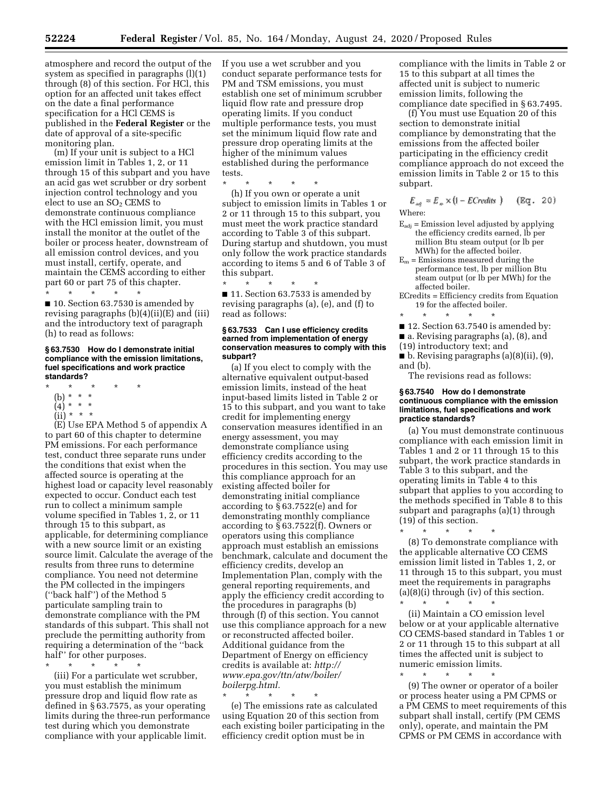atmosphere and record the output of the system as specified in paragraphs (l)(1) through (8) of this section. For HCl, this option for an affected unit takes effect on the date a final performance specification for a HCl CEMS is published in the **Federal Register** or the date of approval of a site-specific monitoring plan.

(m) If your unit is subject to a HCl emission limit in Tables 1, 2, or 11 through 15 of this subpart and you have an acid gas wet scrubber or dry sorbent injection control technology and you elect to use an SO<sub>2</sub> CEMS to demonstrate continuous compliance with the HCl emission limit, you must install the monitor at the outlet of the boiler or process heater, downstream of all emission control devices, and you must install, certify, operate, and maintain the CEMS according to either part 60 or part 75 of this chapter.

\* \* \* \* \* ■ 10. Section 63.7530 is amended by revising paragraphs (b)(4)(ii)(E) and (iii) and the introductory text of paragraph (h) to read as follows:

#### **§ 63.7530 How do I demonstrate initial compliance with the emission limitations, fuel specifications and work practice standards?**

- \* \* \* \* \*
- (b) \* \* \*
- (4) \* \* \*  $(ii) * * * *$
- 

(E) Use EPA Method 5 of appendix A to part 60 of this chapter to determine PM emissions. For each performance test, conduct three separate runs under the conditions that exist when the affected source is operating at the highest load or capacity level reasonably expected to occur. Conduct each test run to collect a minimum sample volume specified in Tables 1, 2, or 11 through 15 to this subpart, as applicable, for determining compliance with a new source limit or an existing source limit. Calculate the average of the results from three runs to determine compliance. You need not determine the PM collected in the impingers (''back half'') of the Method 5 particulate sampling train to demonstrate compliance with the PM standards of this subpart. This shall not preclude the permitting authority from requiring a determination of the ''back half'' for other purposes.

\* \* \* \* \*

(iii) For a particulate wet scrubber, you must establish the minimum pressure drop and liquid flow rate as defined in § 63.7575, as your operating limits during the three-run performance test during which you demonstrate compliance with your applicable limit.

If you use a wet scrubber and you conduct separate performance tests for PM and TSM emissions, you must establish one set of minimum scrubber liquid flow rate and pressure drop operating limits. If you conduct multiple performance tests, you must set the minimum liquid flow rate and pressure drop operating limits at the higher of the minimum values established during the performance tests.

\* \* \* \* \*

(h) If you own or operate a unit subject to emission limits in Tables 1 or 2 or 11 through 15 to this subpart, you must meet the work practice standard according to Table 3 of this subpart. During startup and shutdown, you must only follow the work practice standards according to items 5 and 6 of Table 3 of this subpart.

\* \* \* \* \* ■ 11. Section 63.7533 is amended by revising paragraphs (a), (e), and (f) to read as follows:

#### **§ 63.7533 Can I use efficiency credits earned from implementation of energy conservation measures to comply with this subpart?**

(a) If you elect to comply with the alternative equivalent output-based emission limits, instead of the heat input-based limits listed in Table 2 or 15 to this subpart, and you want to take credit for implementing energy conservation measures identified in an energy assessment, you may demonstrate compliance using efficiency credits according to the procedures in this section. You may use this compliance approach for an existing affected boiler for demonstrating initial compliance according to § 63.7522(e) and for demonstrating monthly compliance according to § 63.7522(f). Owners or operators using this compliance approach must establish an emissions benchmark, calculate and document the efficiency credits, develop an Implementation Plan, comply with the general reporting requirements, and apply the efficiency credit according to the procedures in paragraphs (b) through (f) of this section. You cannot use this compliance approach for a new or reconstructed affected boiler. Additional guidance from the Department of Energy on efficiency credits is available at: *[http://](http://www.epa.gov/ttn/atw/boiler/boilerpg.html) [www.epa.gov/ttn/atw/boiler/](http://www.epa.gov/ttn/atw/boiler/boilerpg.html)  [boilerpg.html.](http://www.epa.gov/ttn/atw/boiler/boilerpg.html)* 

\* \* \* \* \* (e) The emissions rate as calculated using Equation 20 of this section from each existing boiler participating in the efficiency credit option must be in

compliance with the limits in Table 2 or 15 to this subpart at all times the affected unit is subject to numeric emission limits, following the compliance date specified in § 63.7495.

(f) You must use Equation 20 of this section to demonstrate initial compliance by demonstrating that the emissions from the affected boiler participating in the efficiency credit compliance approach do not exceed the emission limits in Table 2 or 15 to this subpart.

 $E_{\alpha\beta} = E_{\alpha} \times (1 - ECreatits)$  (Eq. 20) Where:

- $E_{\text{adj}}$  = Emission level adjusted by applying the efficiency credits earned, lb per million Btu steam output (or lb per MWh) for the affected boiler.
- $E_m =$  Emissions measured during the performance test, lb per million Btu steam output (or lb per MWh) for the affected boiler.
- ECredits = Efficiency credits from Equation 19 for the affected boiler.
- \* \* \* \* \*
- 12. Section 63.7540 is amended by:
- a. Revising paragraphs (a), (8), and
- (19) introductory text; and
- b. Revising paragraphs (a)(8)(ii), (9), and (b).

The revisions read as follows:

#### **§ 63.7540 How do I demonstrate continuous compliance with the emission limitations, fuel specifications and work practice standards?**

(a) You must demonstrate continuous compliance with each emission limit in Tables 1 and 2 or 11 through 15 to this subpart, the work practice standards in Table 3 to this subpart, and the operating limits in Table 4 to this subpart that applies to you according to the methods specified in Table 8 to this subpart and paragraphs (a)(1) through (19) of this section.

\* \* \* \* \*

(8) To demonstrate compliance with the applicable alternative CO CEMS emission limit listed in Tables 1, 2, or 11 through 15 to this subpart, you must meet the requirements in paragraphs  $(a)(8)(i)$  through  $(iv)$  of this section. \* \* \* \* \*

(ii) Maintain a CO emission level below or at your applicable alternative CO CEMS-based standard in Tables 1 or 2 or 11 through 15 to this subpart at all times the affected unit is subject to numeric emission limits.

\* \* \* \* \* (9) The owner or operator of a boiler or process heater using a PM CPMS or a PM CEMS to meet requirements of this subpart shall install, certify (PM CEMS only), operate, and maintain the PM CPMS or PM CEMS in accordance with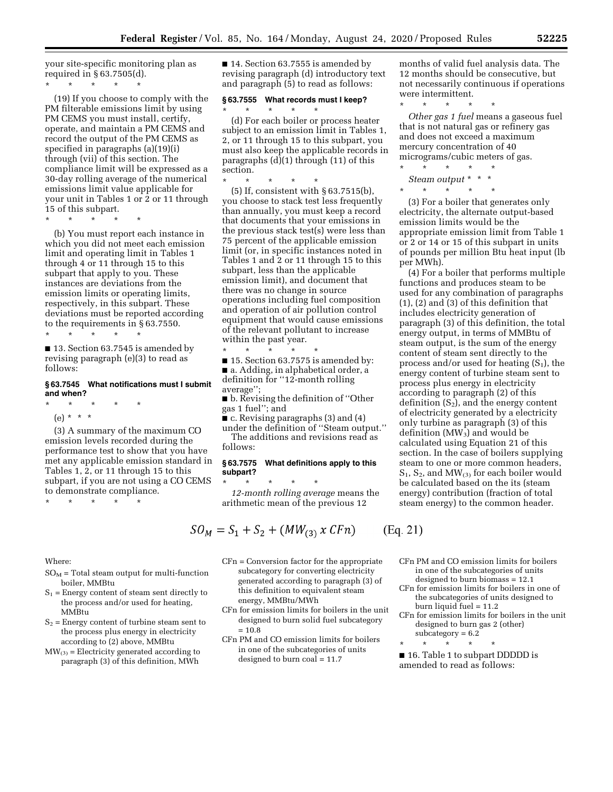your site-specific monitoring plan as required in § 63.7505(d).

\* \* \* \* \*

(19) If you choose to comply with the PM filterable emissions limit by using PM CEMS you must install, certify, operate, and maintain a PM CEMS and record the output of the PM CEMS as specified in paragraphs (a)(19)(i) through (vii) of this section. The compliance limit will be expressed as a 30-day rolling average of the numerical emissions limit value applicable for your unit in Tables 1 or 2 or 11 through 15 of this subpart.

\* \* \* \* \*

(b) You must report each instance in which you did not meet each emission limit and operating limit in Tables 1 through 4 or 11 through 15 to this subpart that apply to you. These instances are deviations from the emission limits or operating limits, respectively, in this subpart. These deviations must be reported according to the requirements in § 63.7550.

\* \* \* \* \*

■ 13. Section 63.7545 is amended by revising paragraph (e)(3) to read as follows:

#### **§ 63.7545 What notifications must I submit and when?**

- \* \* \* \* \*
- (e) \* \* \*

(3) A summary of the maximum CO emission levels recorded during the performance test to show that you have met any applicable emission standard in Tables 1, 2, or 11 through 15 to this subpart, if you are not using a CO CEMS to demonstrate compliance.

\* \* \* \* \*

Where:

- $SO_M$  = Total steam output for multi-function boiler, MMBtu
- $S_1$  = Energy content of steam sent directly to the process and/or used for heating, MMBtu
- $S_2$  = Energy content of turbine steam sent to the process plus energy in electricity according to (2) above, MMBtu
- $MW_{(3)}$  = Electricity generated according to paragraph (3) of this definition, MWh

■ 14. Section 63.7555 is amended by revising paragraph (d) introductory text and paragraph (5) to read as follows:

# **§ 63.7555 What records must I keep?**

\* \* \* \* \* (d) For each boiler or process heater subject to an emission limit in Tables 1, 2, or 11 through 15 to this subpart, you must also keep the applicable records in paragraphs (d)(1) through (11) of this section.

\* \* \* \* \* (5) If, consistent with § 63.7515(b), you choose to stack test less frequently than annually, you must keep a record that documents that your emissions in the previous stack test(s) were less than 75 percent of the applicable emission limit (or, in specific instances noted in Tables 1 and 2 or 11 through 15 to this subpart, less than the applicable emission limit), and document that there was no change in source operations including fuel composition and operation of air pollution control equipment that would cause emissions of the relevant pollutant to increase within the past year.

\* \* \* \* \* ■ 15. Section 63.7575 is amended by: ■ a. Adding, in alphabetical order, a definition for ''12-month rolling average'';

■ b. Revising the definition of "Other gas 1 fuel''; and

 $\bullet$  c. Revising paragraphs (3) and (4)

under the definition of ''Steam output.'' The additions and revisions read as follows:

## **§ 63.7575 What definitions apply to this subpart?**

\* \* \* \* \* *12-month rolling average* means the arithmetic mean of the previous 12

$$
SO_M = S_1 + S_2 + (MW_{(3)} \times CFn) \qquad \text{(Eq. 21)}
$$

CFn = Conversion factor for the appropriate subcategory for converting electricity generated according to paragraph (3) of this definition to equivalent steam energy, MMBtu/MWh

CFn for emission limits for boilers in the unit designed to burn solid fuel subcategory  $= 10.8$ 

CFn PM and CO emission limits for boilers in one of the subcategories of units designed to burn coal = 11.7

months of valid fuel analysis data. The 12 months should be consecutive, but not necessarily continuous if operations were intermittent.

\* \* \* \* \*

*Other gas 1 fuel* means a gaseous fuel that is not natural gas or refinery gas and does not exceed a maximum mercury concentration of 40 micrograms/cubic meters of gas. \* \* \* \* \*

*Steam output* \* \* \*  $*$  \*

(3) For a boiler that generates only electricity, the alternate output-based emission limits would be the appropriate emission limit from Table 1 or 2 or 14 or 15 of this subpart in units of pounds per million Btu heat input (lb per MWh).

(4) For a boiler that performs multiple functions and produces steam to be used for any combination of paragraphs (1), (2) and (3) of this definition that includes electricity generation of paragraph (3) of this definition, the total energy output, in terms of MMBtu of steam output, is the sum of the energy content of steam sent directly to the process and/or used for heating  $(S_1)$ , the energy content of turbine steam sent to process plus energy in electricity according to paragraph (2) of this definition  $(S_2)$ , and the energy content of electricity generated by a electricity only turbine as paragraph (3) of this definition (MW<sub>3</sub>) and would be calculated using Equation 21 of this section. In the case of boilers supplying steam to one or more common headers,  $S_1$ ,  $S_2$ , and  $MW_{(3)}$  for each boiler would be calculated based on the its (steam energy) contribution (fraction of total steam energy) to the common header.

- CFn PM and CO emission limits for boilers in one of the subcategories of units designed to burn biomass = 12.1
- CFn for emission limits for boilers in one of the subcategories of units designed to burn liquid fuel = 11.2
- CFn for emission limits for boilers in the unit designed to burn gas 2 (other)  $subcategory = 6.2$

\* \* \* \* \*

 $\mathcal{E}$ 

■ 16. Table 1 to subpart DDDDD is amended to read as follows: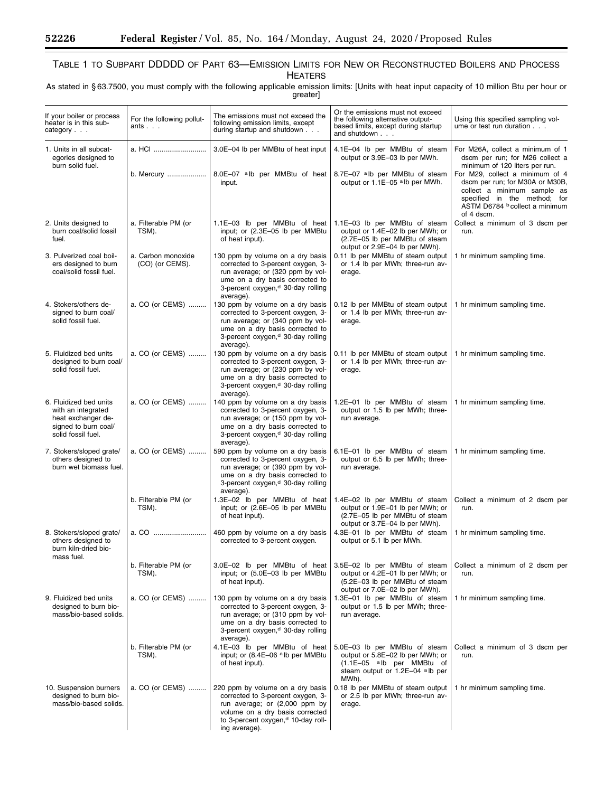۳

# TABLE 1 TO SUBPART DDDDD OF PART 63—EMISSION LIMITS FOR NEW OR RECONSTRUCTED BOILERS AND PROCESS **HEATERS**

As stated in § 63.7500, you must comply with the following applicable emission limits: [Units with heat input capacity of 10 million Btu per hour or greater]

| If your boiler or process<br>For the following pollut-<br>heater is in this sub-<br>ants<br>category $\ldots$    |                                       | The emissions must not exceed the<br>following emission limits, except<br>during startup and shutdown                                                                                                        | Or the emissions must not exceed<br>the following alternative output-<br>based limits, except during startup<br>and shutdown                 | Using this specified sampling vol-<br>ume or test run duration                                                                                                                    |
|------------------------------------------------------------------------------------------------------------------|---------------------------------------|--------------------------------------------------------------------------------------------------------------------------------------------------------------------------------------------------------------|----------------------------------------------------------------------------------------------------------------------------------------------|-----------------------------------------------------------------------------------------------------------------------------------------------------------------------------------|
| 1. Units in all subcat-<br>egories designed to<br>burn solid fuel.                                               | a. HCI                                | 3.0E-04 lb per MMBtu of heat input                                                                                                                                                                           | 4.1E-04 lb per MMBtu of steam<br>output or 3.9E-03 lb per MWh.                                                                               | For M26A, collect a minimum of 1<br>dscm per run; for M26 collect a<br>minimum of 120 liters per run.                                                                             |
|                                                                                                                  |                                       | b. Mercury    8.0E-07 alb per MMBtu of heat<br>input.                                                                                                                                                        | 8.7E-07 alb per MMBtu of steam<br>output or 1.1E-05 alb per MWh.                                                                             | For M29, collect a minimum of 4<br>dscm per run; for M30A or M30B,<br>collect a minimum sample as<br>specified in the method; for<br>ASTM D6784 b collect a minimum<br>of 4 dscm. |
| 2. Units designed to<br>burn coal/solid fossil<br>fuel.                                                          | a. Filterable PM (or<br>TSM).         | 1.1E-03 lb per MMBtu of heat<br>input; or (2.3E-05 lb per MMBtu<br>of heat input).                                                                                                                           | 1.1E-03 lb per MMBtu of steam<br>output or 1.4E-02 lb per MWh; or<br>(2.7E-05 lb per MMBtu of steam<br>output or 2.9E-04 lb per MWh).        | Collect a minimum of 3 dscm per<br>run.                                                                                                                                           |
| 3. Pulverized coal boil-<br>ers designed to burn<br>coal/solid fossil fuel.                                      | a. Carbon monoxide<br>(CO) (or CEMS). | 130 ppm by volume on a dry basis<br>corrected to 3-percent oxygen, 3-<br>run average; or (320 ppm by vol-<br>ume on a dry basis corrected to<br>3-percent oxygen, <sup>d</sup> 30-day rolling<br>average).   | 0.11 lb per MMBtu of steam output<br>or 1.4 lb per MWh; three-run av-<br>erage.                                                              | 1 hr minimum sampling time.                                                                                                                                                       |
| 4. Stokers/others de-<br>signed to burn coal/<br>solid fossil fuel.                                              | a. CO (or CEMS)                       | 130 ppm by volume on a dry basis<br>corrected to 3-percent oxygen, 3-<br>run average; or (340 ppm by vol-<br>ume on a dry basis corrected to<br>3-percent oxygen, <sup>d</sup> 30-day rolling<br>average).   | 0.12 lb per MMBtu of steam output<br>or 1.4 lb per MWh; three-run av-<br>erage.                                                              | 1 hr minimum sampling time.                                                                                                                                                       |
| 5. Fluidized bed units<br>designed to burn coal/<br>solid fossil fuel.                                           | a. CO (or CEMS)                       | 130 ppm by volume on a dry basis<br>corrected to 3-percent oxygen, 3-<br>run average; or (230 ppm by vol-<br>ume on a dry basis corrected to<br>3-percent oxygen, <sup>d</sup> 30-day rolling<br>average).   | 0.11 lb per MMBtu of steam output<br>or 1.4 lb per MWh; three-run av-<br>erage.                                                              | 1 hr minimum sampling time.                                                                                                                                                       |
| 6. Fluidized bed units<br>with an integrated<br>heat exchanger de-<br>signed to burn coal/<br>solid fossil fuel. | a. CO (or CEMS)                       | 140 ppm by volume on a dry basis<br>corrected to 3-percent oxygen, 3-<br>run average; or (150 ppm by vol-<br>ume on a dry basis corrected to<br>3-percent oxygen, <sup>d</sup> 30-day rolling<br>average).   | 1.2E-01 lb per MMBtu of steam $ $<br>output or 1.5 lb per MWh; three-<br>run average.                                                        | 1 hr minimum sampling time.                                                                                                                                                       |
| 7. Stokers/sloped grate/<br>others designed to<br>burn wet biomass fuel.                                         | a. CO (or CEMS)                       | 590 ppm by volume on a dry basis<br>corrected to 3-percent oxygen, 3-<br>run average; or (390 ppm by vol-<br>ume on a dry basis corrected to<br>3-percent oxygen, <sup>d</sup> 30-day rolling<br>average).   | 6.1E-01 lb per MMBtu of steam<br>output or 6.5 lb per MWh; three-<br>run average.                                                            | 1 hr minimum sampling time.                                                                                                                                                       |
|                                                                                                                  | b. Filterable PM (or<br>TSM).         | 1.3E-02 lb per MMBtu of heat<br>input; or (2.6E-05 lb per MMBtu<br>of heat input).                                                                                                                           | 1.4E-02 lb per MMBtu of steam<br>output or 1.9E-01 lb per MWh; or<br>(2.7E-05 lb per MMBtu of steam<br>output or 3.7E-04 lb per MWh).        | Collect a minimum of 2 dscm per<br>run.                                                                                                                                           |
| 8. Stokers/sloped grate/<br>others designed to<br>burn kiln-dried bio-<br>mass fuel.                             |                                       | 460 ppm by volume on a dry basis<br>corrected to 3-percent oxygen.                                                                                                                                           | 4.3E-01 lb per MMBtu of steam<br>output or 5.1 lb per MWh.                                                                                   | 1 hr minimum sampling time.                                                                                                                                                       |
|                                                                                                                  | b. Filterable PM (or<br>TSM).         | 3.0E-02 lb per MMBtu of heat<br>input; or (5.0E-03 lb per MMBtu<br>of heat input).                                                                                                                           | 3.5E-02 lb per MMBtu of steam<br>output or 4.2E-01 lb per MWh; or<br>(5.2E-03 lb per MMBtu of steam<br>output or 7.0E-02 lb per MWh).        | Collect a minimum of 2 dscm per<br>run.                                                                                                                                           |
| 9. Fluidized bed units<br>designed to burn bio-<br>mass/bio-based solids.                                        | a. CO (or CEMS)                       | 130 ppm by volume on a dry basis<br>corrected to 3-percent oxygen, 3-<br>run average; or (310 ppm by vol-<br>ume on a dry basis corrected to<br>3-percent oxygen, <sup>d</sup> 30-day rolling<br>average).   | 1.3E-01 lb per MMBtu of steam<br>output or 1.5 lb per MWh; three-<br>run average.                                                            | 1 hr minimum sampling time.                                                                                                                                                       |
|                                                                                                                  | b. Filterable PM (or<br>TSM).         | 4.1E-03 lb per MMBtu of heat<br>input; or (8.4E-06 alb per MMBtu<br>of heat input).                                                                                                                          | 5.0E-03 lb per MMBtu of steam<br>output or 5.8E-02 lb per MWh; or<br>$(1.1E-05$ alb per MMBtu of<br>steam output or 1.2E-04 alb per<br>MWh). | Collect a minimum of 3 dscm per<br>run.                                                                                                                                           |
| 10. Suspension burners<br>designed to burn bio-<br>mass/bio-based solids.                                        | a. CO (or CEMS)                       | 220 ppm by volume on a dry basis<br>corrected to 3-percent oxygen, 3-<br>run average; or (2,000 ppm by<br>volume on a dry basis corrected<br>to 3-percent oxygen, <sup>d</sup> 10-day roll-<br>ing average). | 0.18 lb per MMBtu of steam output<br>or 2.5 lb per MWh; three-run av-<br>erage.                                                              | 1 hr minimum sampling time.                                                                                                                                                       |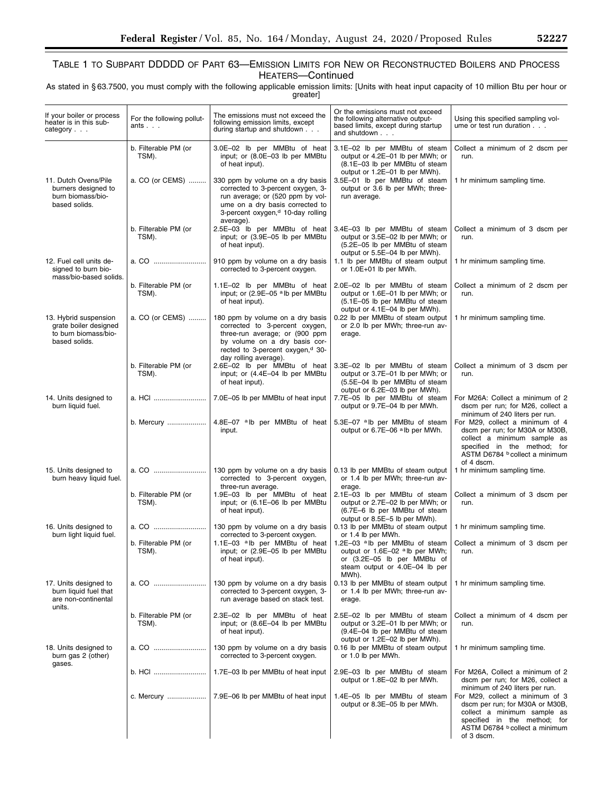# TABLE 1 TO SUBPART DDDDD OF PART 63—EMISSION LIMITS FOR NEW OR RECONSTRUCTED BOILERS AND PROCESS HEATERS—Continued

As stated in § 63.7500, you must comply with the following applicable emission limits: [Units with heat input capacity of 10 million Btu per hour or greater]

| If your boiler or process<br>heater is in this sub-<br>category $\ldots$                | For the following pollut-<br>ants $\ldots$ | The emissions must not exceed the<br>following emission limits, except<br>during startup and shutdown                                                                                                          | Or the emissions must not exceed<br>the following alternative output-<br>based limits, except during startup<br>and shutdown                                                                               | Using this specified sampling vol-<br>ume or test run duration                                                                                                                    |
|-----------------------------------------------------------------------------------------|--------------------------------------------|----------------------------------------------------------------------------------------------------------------------------------------------------------------------------------------------------------------|------------------------------------------------------------------------------------------------------------------------------------------------------------------------------------------------------------|-----------------------------------------------------------------------------------------------------------------------------------------------------------------------------------|
|                                                                                         | b. Filterable PM (or<br>TSM).              | 3.0E-02 lb per MMBtu of heat<br>input; or (8.0E-03 lb per MMBtu<br>of heat input).                                                                                                                             | 3.1E-02 lb per MMBtu of steam<br>output or 4.2E-01 lb per MWh; or<br>(8.1E-03 lb per MMBtu of steam<br>output or 1.2E-01 lb per MWh).                                                                      | Collect a minimum of 2 dscm per<br>run.                                                                                                                                           |
| 11. Dutch Ovens/Pile<br>burners designed to<br>burn biomass/bio-<br>based solids.       | a. CO (or CEMS)                            | 330 ppm by volume on a dry basis<br>corrected to 3-percent oxygen, 3-<br>run average; or (520 ppm by vol-<br>ume on a dry basis corrected to<br>3-percent oxygen, <sup>d</sup> 10-day rolling<br>average).     | 3.5E-01 lb per MMBtu of steam<br>output or 3.6 lb per MWh; three-<br>run average.                                                                                                                          | 1 hr minimum sampling time.                                                                                                                                                       |
|                                                                                         | b. Filterable PM (or<br>TSM).              | 2.5E-03 lb per MMBtu of heat<br>input; or (3.9E-05 lb per MMBtu<br>of heat input).                                                                                                                             | 3.4E-03 lb per MMBtu of steam<br>output or 3.5E-02 lb per MWh; or<br>(5.2E-05 lb per MMBtu of steam<br>output or 5.5E-04 lb per MWh).                                                                      | Collect a minimum of 3 dscm per<br>run.                                                                                                                                           |
| 12. Fuel cell units de-<br>signed to burn bio-<br>mass/bio-based solids.                | a. CO                                      | 910 ppm by volume on a dry basis<br>corrected to 3-percent oxygen.                                                                                                                                             | 1.1 lb per MMBtu of steam output<br>or 1.0E+01 lb per MWh.                                                                                                                                                 | 1 hr minimum sampling time.                                                                                                                                                       |
|                                                                                         | b. Filterable PM (or<br>TSM).              | 1.1E-02 lb per MMBtu of heat<br>input; or (2.9E-05 alb per MMBtu<br>of heat input).                                                                                                                            | 2.0E-02 lb per MMBtu of steam<br>output or 1.6E-01 lb per MWh; or<br>(5.1E-05 lb per MMBtu of steam<br>output or 4.1E-04 lb per MWh).                                                                      | Collect a minimum of 2 dscm per<br>run.                                                                                                                                           |
| 13. Hybrid suspension<br>grate boiler designed<br>to burn biomass/bio-<br>based solids. | a. CO (or CEMS)                            | 180 ppm by volume on a dry basis<br>corrected to 3-percent oxygen,<br>three-run average; or (900 ppm<br>by volume on a dry basis cor-<br>rected to 3-percent oxygen, <sup>d</sup> 30-<br>day rolling average). | 0.22 lb per MMBtu of steam output<br>or 2.0 lb per MWh; three-run av-<br>erage.                                                                                                                            | 1 hr minimum sampling time.                                                                                                                                                       |
|                                                                                         | b. Filterable PM (or<br>TSM).              | 2.6E-02 lb per MMBtu of heat<br>input; or (4.4E-04 lb per MMBtu<br>of heat input).                                                                                                                             | 3.3E-02 lb per MMBtu of steam<br>output or 3.7E-01 lb per MWh; or<br>(5.5E-04 lb per MMBtu of steam<br>output or 6.2E-03 lb per MWh).                                                                      | Collect a minimum of 3 dscm per<br>run.                                                                                                                                           |
| 14. Units designed to<br>burn liquid fuel.                                              | a. HCI                                     | 7.0E-05 lb per MMBtu of heat input                                                                                                                                                                             | 7.7E-05 lb per MMBtu of steam<br>output or 9.7E-04 lb per MWh.                                                                                                                                             | For M26A: Collect a minimum of 2<br>dscm per run; for M26, collect a<br>minimum of 240 liters per run.                                                                            |
|                                                                                         | b. Mercury                                 | 4.8E-07 alb per MMBtu of heat<br>input.                                                                                                                                                                        | 5.3E-07 alb per MMBtu of steam<br>output or 6.7E-06 alb per MWh.                                                                                                                                           | For M29, collect a minimum of 4<br>dscm per run; for M30A or M30B,<br>collect a minimum sample as<br>specified in the method; for<br>ASTM D6784 b collect a minimum<br>of 4 dscm. |
| 15. Units designed to<br>burn heavy liquid fuel.                                        | a. CO                                      | 130 ppm by volume on a dry basis<br>corrected to 3-percent oxygen,<br>three-run average.                                                                                                                       | 0.13 lb per MMBtu of steam output<br>or 1.4 lb per MWh; three-run av-<br>erage.                                                                                                                            | 1 hr minimum sampling time.                                                                                                                                                       |
|                                                                                         | b. Filterable PM (or<br>TSM).              | 1.9E-03 lb per MMBtu of heat<br>input; or (6.1E-06 lb per MMBtu<br>of heat input).                                                                                                                             | 2.1E-03 lb per MMBtu of steam<br>output or 2.7E-02 lb per MWh; or<br>(6.7E-6 lb per MMBtu of steam<br>output or 8.5E-5 lb per MWh).                                                                        | Collect a minimum of 3 dscm per<br>run.                                                                                                                                           |
| 16. Units designed to<br>burn light liquid fuel.                                        | a. CO                                      | 130 ppm by volume on a dry basis<br>corrected to 3-percent oxygen.                                                                                                                                             | 0.13 lb per MMBtu of steam output  <br>or 1.4 lb per MWh.                                                                                                                                                  | 1 hr minimum sampling time.                                                                                                                                                       |
|                                                                                         | b. Filterable PM (or<br>TSM).              | input; or (2.9E-05 lb per MMBtu<br>of heat input).                                                                                                                                                             | 1.1E-03 alb per MMB tu of heat 1.2E-03 alb per MMB tu of steam Collect a minimum of 3 dscm per<br>output or 1.6E-02 alb per MWh;<br>or (3.2E-05 lb per MMBtu of<br>steam output or 4.0E-04 lb per<br>MWh). | run.                                                                                                                                                                              |
| 17. Units designed to<br>burn liquid fuel that<br>are non-continental<br>units.         | a. CO                                      | 130 ppm by volume on a dry basis<br>corrected to 3-percent oxygen, 3-<br>run average based on stack test.                                                                                                      | 0.13 lb per MMBtu of steam output<br>or 1.4 lb per MWh; three-run av-<br>erage.                                                                                                                            | 1 hr minimum sampling time.                                                                                                                                                       |
|                                                                                         | b. Filterable PM (or<br>TSM).              | 2.3E-02 lb per MMBtu of heat<br>input; or (8.6E-04 lb per MMBtu<br>of heat input).                                                                                                                             | 2.5E-02 lb per MMBtu of steam<br>output or 3.2E-01 lb per MWh; or<br>(9.4E-04 lb per MMBtu of steam<br>output or 1.2E-02 lb per MWh).                                                                      | Collect a minimum of 4 dscm per<br>run.                                                                                                                                           |
| 18. Units designed to<br>burn gas 2 (other)<br>gases.                                   |                                            | 130 ppm by volume on a dry basis<br>corrected to 3-percent oxygen.                                                                                                                                             | 0.16 lb per MMBtu of steam output<br>or 1.0 lb per MWh.                                                                                                                                                    | 1 hr minimum sampling time.                                                                                                                                                       |
|                                                                                         | b. HCI                                     | 1.7E-03 lb per MMBtu of heat input                                                                                                                                                                             | 2.9E-03 lb per MMBtu of steam<br>output or 1.8E-02 lb per MWh.                                                                                                                                             | For M26A, Collect a minimum of 2<br>dscm per run; for M26, collect a<br>minimum of 240 liters per run.                                                                            |
|                                                                                         | c. Mercury                                 | 7.9E-06 lb per MMBtu of heat input                                                                                                                                                                             | 1.4E-05 lb per MMBtu of steam<br>output or 8.3E-05 lb per MWh.                                                                                                                                             | For M29, collect a minimum of 3<br>dscm per run; for M30A or M30B,<br>collect a minimum sample as<br>specified in the method; for<br>ASTM D6784 b collect a minimum<br>of 3 dscm. |

۰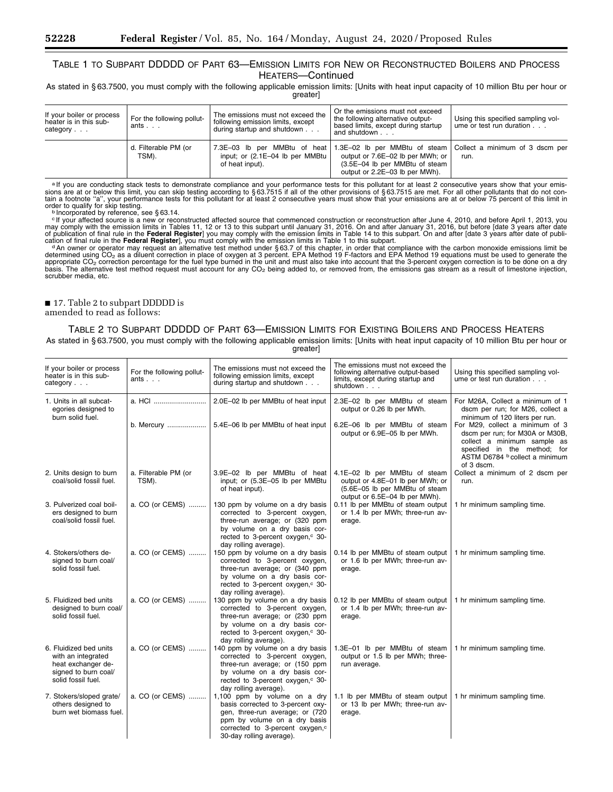# TABLE 1 TO SUBPART DDDDD OF PART 63—EMISSION LIMITS FOR NEW OR RECONSTRUCTED BOILERS AND PROCESS HEATERS—Continued

As stated in § 63.7500, you must comply with the following applicable emission limits: [Units with heat input capacity of 10 million Btu per hour or greater]

| If your boiler or process<br>heater is in this sub-<br>category | For the following pollut-<br>ants | The emissions must not exceed the<br>following emission limits, except<br>during startup and shutdown | Or the emissions must not exceed<br>the following alternative output-<br>based limits, except during startup<br>and shutdown                                                                       | Using this specified sampling vol-<br>ume or test run duration |  |
|-----------------------------------------------------------------|-----------------------------------|-------------------------------------------------------------------------------------------------------|----------------------------------------------------------------------------------------------------------------------------------------------------------------------------------------------------|----------------------------------------------------------------|--|
|                                                                 | d. Filterable PM (or<br>TSM).     | input; or $(2.1E-04$ lb per MMBtu<br>of heat input).                                                  | 7.3E-03 lb per MMBtu of heat 1.3E-02 lb per MMBtu of steam Collect a minimum of 3 dscm per<br>output or 7.6E-02 lb per MWh; or<br>(3.5E-04 lb per MMBtu of steam<br>output or 2.2E-03 lb per MWh). | run.                                                           |  |

alf you are conducting stack tests to demonstrate compliance and your performance tests for this pollutant for at least 2 consecutive years show that your emis-<br>sions are at or below this limit, you can skip testing accord tain a footnote "a", your performance tests for this pollutant for at least 2 consecutive years must show that your emissions are at or below 75 percent of this limit in<br>order to qualify for skip testing.<br>Phroorporated by

<sup>c</sup>If your affected source is a new or reconstructed affected source that commenced construction or reconstruction after June 4, 2010, and before April 1, 2013, you may comply with the emission limits in Tables 11, 12 or scrubber media, etc.

# ■ 17. Table 2 to subpart DDDDD is

# amended to read as follows:

# TABLE 2 TO SUBPART DDDDD OF PART 63—EMISSION LIMITS FOR EXISTING BOILERS AND PROCESS HEATERS

As stated in § 63.7500, you must comply with the following applicable emission limits: [Units with heat input capacity of 10 million Btu per hour or greater]

| If your boiler or process<br>For the following pollut-<br>heater is in this sub-<br>ants<br>category $\ldots$    |                               | The emissions must not exceed the<br>following emission limits, except<br>during startup and shutdown                                                                                                            | The emissions must not exceed the<br>following alternative output-based<br>limits, except during startup and<br>shutdown              | Using this specified sampling vol-<br>ume or test run duration.                                                                                                                   |  |
|------------------------------------------------------------------------------------------------------------------|-------------------------------|------------------------------------------------------------------------------------------------------------------------------------------------------------------------------------------------------------------|---------------------------------------------------------------------------------------------------------------------------------------|-----------------------------------------------------------------------------------------------------------------------------------------------------------------------------------|--|
| 1. Units in all subcat-<br>egories designed to<br>burn solid fuel.                                               |                               | 2.0E-02 lb per MMBtu of heat input                                                                                                                                                                               | 2.3E-02 lb per MMBtu of steam<br>output or 0.26 lb per MWh.                                                                           | For M26A, Collect a minimum of 1<br>dscm per run; for M26, collect a<br>minimum of 120 liters per run.                                                                            |  |
|                                                                                                                  | b. Mercury                    | 5.4E-06 lb per MMBtu of heat input                                                                                                                                                                               | 6.2E-06 lb per MMBtu of steam<br>output or 6.9E-05 lb per MWh.                                                                        | For M29, collect a minimum of 3<br>dscm per run; for M30A or M30B,<br>collect a minimum sample as<br>specified in the method; for<br>ASTM D6784 b collect a minimum<br>of 3 dscm. |  |
| 2. Units design to burn<br>coal/solid fossil fuel.                                                               | a. Filterable PM (or<br>TSM). | 3.9E-02 lb per MMBtu of heat<br>input; or (5.3E-05 lb per MMBtu<br>of heat input).                                                                                                                               | 4.1E-02 lb per MMBtu of steam<br>output or 4.8E-01 lb per MWh; or<br>(5.6E-05 lb per MMBtu of steam<br>output or 6.5E-04 lb per MWh). | Collect a minimum of 2 dscm per<br>run.                                                                                                                                           |  |
| 3. Pulverized coal boil-<br>ers designed to burn<br>coal/solid fossil fuel.                                      | a. CO (or CEMS)               | 130 ppm by volume on a dry basis<br>corrected to 3-percent oxygen,<br>three-run average; or (320 ppm<br>by volume on a dry basis cor-<br>rected to 3-percent oxygen, <sup>c</sup> 30-<br>day rolling average).   | 0.11 lb per MMBtu of steam output<br>or 1.4 lb per MWh; three-run av-<br>erage.                                                       | 1 hr minimum sampling time.                                                                                                                                                       |  |
| 4. Stokers/others de-<br>signed to burn coal/<br>solid fossil fuel.                                              | a. CO (or CEMS)               | 150 ppm by volume on a dry basis<br>corrected to 3-percent oxygen,<br>three-run average; or (340 ppm<br>by volume on a dry basis cor-<br>rected to 3-percent oxygen, <sup>c</sup> 30-<br>day rolling average).   | 0.14 lb per MMBtu of steam output<br>or 1.6 lb per MWh; three-run av-<br>erage.                                                       | 1 hr minimum sampling time.                                                                                                                                                       |  |
| 5. Fluidized bed units<br>designed to burn coal/<br>solid fossil fuel.                                           | a. CO (or CEMS)               | 130 ppm by volume on a dry basis<br>corrected to 3-percent oxygen,<br>three-run average; or (230 ppm<br>by volume on a dry basis cor-<br>rected to 3-percent oxygen, <sup>c</sup> 30-<br>day rolling average).   | 0.12 lb per MMBtu of steam output<br>or 1.4 lb per MWh; three-run av-<br>erage.                                                       | 1 hr minimum sampling time.                                                                                                                                                       |  |
| 6. Fluidized bed units<br>with an integrated<br>heat exchanger de-<br>signed to burn coal/<br>solid fossil fuel. | a. CO (or CEMS)               | 140 ppm by volume on a dry basis<br>corrected to 3-percent oxygen,<br>three-run average; or (150 ppm<br>by volume on a dry basis cor-<br>rected to 3-percent oxygen, <sup>c</sup> 30-<br>day rolling average).   | 1.3E-01 lb per MMBtu of steam<br>output or 1.5 lb per MWh; three-<br>run average.                                                     | 1 hr minimum sampling time.                                                                                                                                                       |  |
| 7. Stokers/sloped grate/<br>others designed to<br>burn wet biomass fuel.                                         | a. CO (or CEMS)               | 1,100 ppm by volume on a dry<br>basis corrected to 3-percent oxy-<br>gen, three-run average; or (720)<br>ppm by volume on a dry basis<br>corrected to 3-percent oxygen, <sup>c</sup><br>30-day rolling average). | 1.1 lb per MMBtu of steam output<br>or 13 lb per MWh; three-run av-<br>erage.                                                         | 1 hr minimum sampling time.                                                                                                                                                       |  |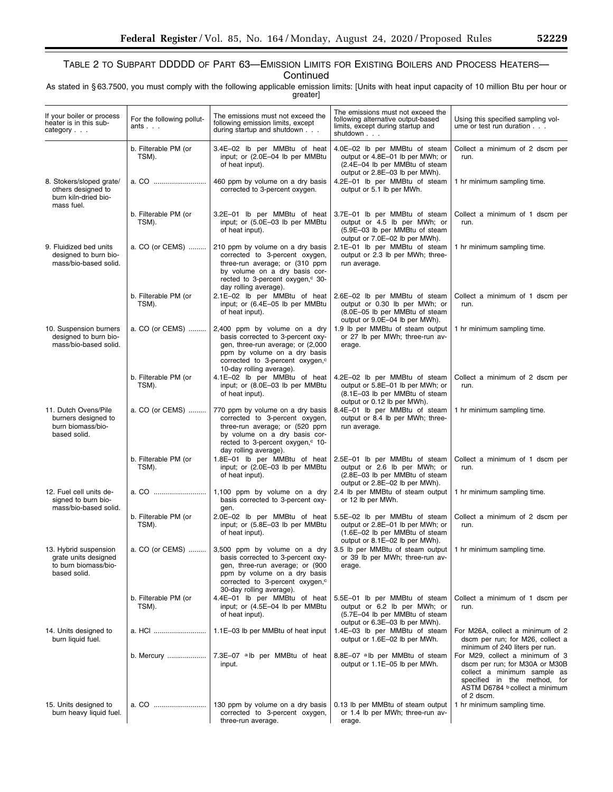**Continued** 

As stated in § 63.7500, you must comply with the following applicable emission limits: [Units with heat input capacity of 10 million Btu per hour or greater]

| If your boiler or process<br>heater is in this sub-<br>category $\ldots$              | For the following pollut-<br>ants $\ldots$ | The emissions must not exceed the<br>following emission limits, except<br>during startup and shutdown                                                                                                             | The emissions must not exceed the<br>following alternative output-based<br>limits, except during startup and<br>shutdown              | Using this specified sampling vol-<br>ume or test run duration                                                                                                                   |
|---------------------------------------------------------------------------------------|--------------------------------------------|-------------------------------------------------------------------------------------------------------------------------------------------------------------------------------------------------------------------|---------------------------------------------------------------------------------------------------------------------------------------|----------------------------------------------------------------------------------------------------------------------------------------------------------------------------------|
|                                                                                       | b. Filterable PM (or<br>TSM).              | 3.4E-02 lb per MMBtu of heat<br>input; or (2.0E-04 lb per MMBtu<br>of heat input).                                                                                                                                | 4.0E-02 lb per MMBtu of steam<br>output or 4.8E-01 lb per MWh; or<br>(2.4E-04 lb per MMBtu of steam<br>output or 2.8E-03 lb per MWh). | Collect a minimum of 2 dscm per<br>run.                                                                                                                                          |
| 8. Stokers/sloped grate/<br>others designed to<br>burn kiln-dried bio-<br>mass fuel.  | a. CO                                      | 460 ppm by volume on a dry basis<br>corrected to 3-percent oxygen.                                                                                                                                                | 4.2E-01 lb per MMBtu of steam<br>output or 5.1 lb per MWh.                                                                            | 1 hr minimum sampling time.                                                                                                                                                      |
|                                                                                       | b. Filterable PM (or<br>TSM).              | 3.2E-01 lb per MMBtu of heat<br>input; or (5.0E-03 lb per MMBtu<br>of heat input).                                                                                                                                | 3.7E-01 lb per MMBtu of steam<br>output or 4.5 lb per MWh; or<br>(5.9E-03 lb per MMBtu of steam<br>output or 7.0E-02 lb per MWh).     | Collect a minimum of 1 dscm per<br>run.                                                                                                                                          |
| 9. Fluidized bed units<br>designed to burn bio-<br>mass/bio-based solid.              | a. CO (or CEMS)                            | 210 ppm by volume on a dry basis<br>corrected to 3-percent oxygen,<br>three-run average; or (310 ppm<br>by volume on a dry basis cor-<br>rected to 3-percent oxygen, <sup>c</sup> 30-<br>day rolling average).    | 2.1E-01 lb per MMBtu of steam<br>output or 2.3 lb per MWh; three-<br>run average.                                                     | 1 hr minimum sampling time.                                                                                                                                                      |
|                                                                                       | b. Filterable PM (or<br>TSM).              | 2.1E-02 lb per MMBtu of heat<br>input; or (6.4E-05 lb per MMBtu<br>of heat input).                                                                                                                                | 2.6E-02 lb per MMBtu of steam<br>output or 0.30 lb per MWh; or<br>(8.0E-05 lb per MMBtu of steam<br>output or 9.0E-04 lb per MWh).    | Collect a minimum of 1 dscm per<br>run.                                                                                                                                          |
| 10. Suspension burners<br>designed to burn bio-<br>mass/bio-based solid.              | a. CO (or CEMS)                            | 2,400 ppm by volume on a dry<br>basis corrected to 3-percent oxy-<br>gen, three-run average; or (2,000<br>ppm by volume on a dry basis<br>corrected to 3-percent oxygen, <sup>c</sup><br>10-day rolling average). | 1.9 lb per MMBtu of steam output<br>or 27 lb per MWh; three-run av-<br>erage.                                                         | 1 hr minimum sampling time.                                                                                                                                                      |
|                                                                                       | b. Filterable PM (or<br>TSM).              | 4.1E-02 lb per MMBtu of heat<br>input; or (8.0E-03 lb per MMBtu<br>of heat input).                                                                                                                                | 4.2E-02 lb per MMBtu of steam<br>output or 5.8E-01 lb per MWh; or<br>(8.1E-03 lb per MMBtu of steam<br>output or 0.12 lb per MWh).    | Collect a minimum of 2 dscm per<br>run.                                                                                                                                          |
| 11. Dutch Ovens/Pile<br>burners designed to<br>burn biomass/bio-<br>based solid.      | a. CO (or CEMS)                            | 770 ppm by volume on a dry basis<br>corrected to 3-percent oxygen,<br>three-run average; or (520 ppm<br>by volume on a dry basis cor-<br>rected to 3-percent oxygen, c 10-<br>day rolling average).               | 8.4E-01 lb per MMBtu of steam<br>output or 8.4 lb per MWh; three-<br>run average.                                                     | 1 hr minimum sampling time.                                                                                                                                                      |
|                                                                                       | b. Filterable PM (or<br>TSM).              | 1.8E-01 lb per MMBtu of heat<br>input; or (2.0E-03 lb per MMBtu<br>of heat input).                                                                                                                                | 2.5E-01 lb per MMBtu of steam<br>output or 2.6 lb per MWh; or<br>(2.8E-03 lb per MMBtu of steam<br>output or 2.8E-02 lb per MWh).     | Collect a minimum of 1 dscm per<br>run.                                                                                                                                          |
| 12. Fuel cell units de-<br>signed to burn bio-<br>mass/bio-based solid.               | a. CO                                      | 1,100 ppm by volume on a dry<br>basis corrected to 3-percent oxy-<br>gen.                                                                                                                                         | 2.4 lb per MMBtu of steam output<br>or 12 lb per MWh.                                                                                 | 1 hr minimum sampling time.                                                                                                                                                      |
|                                                                                       | b. Filterable PM (or<br>TSM).              | 2.0E-02 lb per MMBtu of heat<br>input; or (5.8E-03 lb per MMBtu<br>of heat input).                                                                                                                                | 5.5E-02 lb per MMBtu of steam<br>output or 2.8E-01 lb per MWh; or<br>(1.6E-02 lb per MMBtu of steam<br>output or 8.1E-02 lb per MWh). | Collect a minimum of 2 dscm per<br>run.                                                                                                                                          |
| 13. Hybrid suspension<br>grate units designed<br>to burn biomass/bio-<br>based solid. | a. CO (or CEMS)                            | 3,500 ppm by volume on a dry<br>basis corrected to 3-percent oxy-<br>gen, three-run average; or (900<br>ppm by volume on a dry basis<br>corrected to 3-percent oxygen, <sup>c</sup><br>30-day rolling average).   | 3.5 lb per MMBtu of steam output  <br>or 39 lb per MWh; three-run av-<br>erage.                                                       | 1 hr minimum sampling time.                                                                                                                                                      |
|                                                                                       | b. Filterable PM (or<br>TSM).              | 4.4E-01 lb per MMBtu of heat<br>input; or (4.5E-04 lb per MMBtu<br>of heat input).                                                                                                                                | 5.5E-01 lb per MMBtu of steam<br>output or 6.2 lb per MWh; or<br>(5.7E-04 lb per MMBtu of steam<br>output or 6.3E-03 lb per MWh).     | Collect a minimum of 1 dscm per<br>run.                                                                                                                                          |
| 14. Units designed to<br>burn liquid fuel.                                            |                                            | 1.1E-03 lb per MMBtu of heat input                                                                                                                                                                                | 1.4E-03 lb per MMBtu of steam<br>output or 1.6E-02 lb per MWh.                                                                        | For M26A, collect a minimum of 2<br>dscm per run; for M26, collect a<br>minimum of 240 liters per run.                                                                           |
|                                                                                       | b. Mercury                                 | 7.3E-07 alb per MMBtu of heat<br>input.                                                                                                                                                                           | 8.8E-07 alb per MMBtu of steam<br>output or 1.1E-05 lb per MWh.                                                                       | For M29, collect a minimum of 3<br>dscm per run; for M30A or M30B<br>collect a minimum sample as<br>specified in the method, for<br>ASTM D6784 b collect a minimum<br>of 2 dscm. |
| 15. Units designed to<br>burn heavy liquid fuel.                                      | a. CO                                      | 130 ppm by volume on a dry basis<br>corrected to 3-percent oxygen,<br>three-run average.                                                                                                                          | 0.13 lb per MMBtu of steam output<br>or 1.4 lb per MWh; three-run av-<br>erage.                                                       | 1 hr minimum sampling time.                                                                                                                                                      |

٠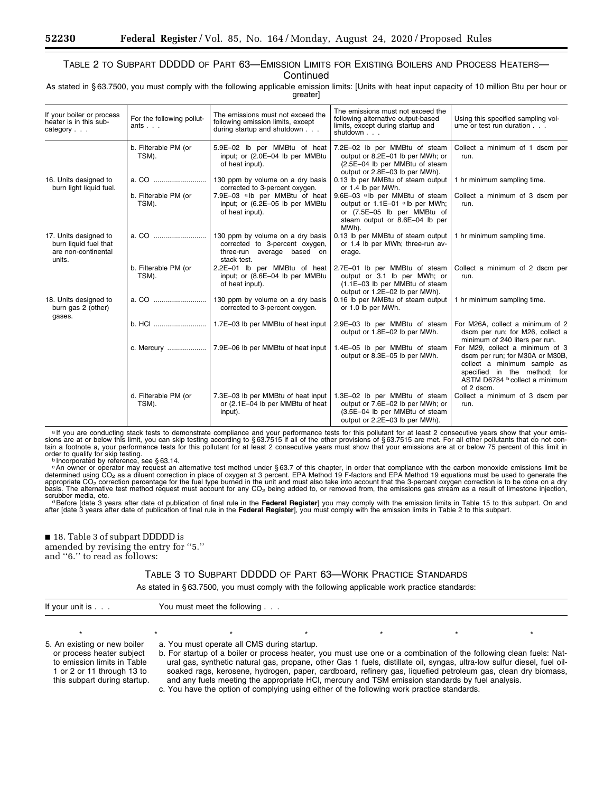# TABLE 2 TO SUBPART DDDDD OF PART 63—EMISSION LIMITS FOR EXISTING BOILERS AND PROCESS HEATERS— **Continued**

As stated in § 63.7500, you must comply with the following applicable emission limits: [Units with heat input capacity of 10 million Btu per hour or greater]

| If your boiler or process<br>heater is in this sub-<br>category $\ldots$        | For the following pollut-<br>ants | The emissions must not exceed the<br>following emission limits, except<br>during startup and shutdown           | The emissions must not exceed the<br>following alternative output-based<br>limits, except during startup and<br>shutdown                               | Using this specified sampling vol-<br>ume or test run duration                                                                                                                    |
|---------------------------------------------------------------------------------|-----------------------------------|-----------------------------------------------------------------------------------------------------------------|--------------------------------------------------------------------------------------------------------------------------------------------------------|-----------------------------------------------------------------------------------------------------------------------------------------------------------------------------------|
|                                                                                 | b. Filterable PM (or<br>TSM).     | 5.9E-02 lb per MMBtu of heat<br>input; or (2.0E-04 lb per MMBtu<br>of heat input).                              | 7.2E-02 lb per MMBtu of steam<br>output or 8.2E-01 lb per MWh; or<br>(2.5E-04 lb per MMBtu of steam<br>output or 2.8E-03 lb per MWh).                  | Collect a minimum of 1 dscm per<br>run.                                                                                                                                           |
| 16. Units designed to<br>burn light liquid fuel.                                |                                   | 130 ppm by volume on a dry basis<br>corrected to 3-percent oxygen.                                              | 0.13 lb per MMBtu of steam output<br>or 1.4 lb per MWh.                                                                                                | 1 hr minimum sampling time.                                                                                                                                                       |
|                                                                                 | b. Filterable PM (or<br>TSM).     | 7.9E-03 alb per MMBtu of heat<br>input; or (6.2E-05 lb per MMBtu<br>of heat input).                             | 9.6E-03 <sup>a</sup> lb per MMBtu of steam<br>output or 1.1E-01 alb per MWh;<br>or (7.5E-05 lb per MMBtu of<br>steam output or 8.6E-04 lb per<br>MWh). | Collect a minimum of 3 dscm per<br>run.                                                                                                                                           |
| 17. Units designed to<br>burn liquid fuel that<br>are non-continental<br>units. |                                   | 130 ppm by volume on a dry basis<br>corrected to 3-percent oxygen,<br>three-run average based on<br>stack test. | 0.13 lb per MMBtu of steam output<br>or 1.4 lb per MWh; three-run av-<br>erage.                                                                        | 1 hr minimum sampling time.                                                                                                                                                       |
|                                                                                 | b. Filterable PM (or<br>TSM).     | 2.2E-01 lb per MMBtu of heat<br>input; or (8.6E-04 lb per MMBtu<br>of heat input).                              | 2.7E-01 lb per MMBtu of steam<br>output or 3.1 lb per MWh; or<br>(1.1E-03 lb per MMBtu of steam<br>output or 1.2E-02 lb per MWh).                      | Collect a minimum of 2 dscm per<br>run.                                                                                                                                           |
| 18. Units designed to<br>burn gas 2 (other)                                     |                                   | 130 ppm by volume on a dry basis<br>corrected to 3-percent oxygen.                                              | 0.16 lb per MMBtu of steam output<br>or 1.0 lb per MWh.                                                                                                | 1 hr minimum sampling time.                                                                                                                                                       |
| gases.                                                                          | b. HCI                            | 1.7E-03 lb per MMBtu of heat input                                                                              | 2.9E-03 lb per MMBtu of steam<br>output or 1.8E-02 lb per MWh.                                                                                         | For M26A, collect a minimum of 2<br>dscm per run; for M26, collect a<br>minimum of 240 liters per run.                                                                            |
|                                                                                 |                                   |                                                                                                                 | 1.4E-05 lb per MMBtu of steam<br>output or 8.3E-05 lb per MWh.                                                                                         | For M29, collect a minimum of 3<br>dscm per run; for M30A or M30B,<br>collect a minimum sample as<br>specified in the method; for<br>ASTM D6784 b collect a minimum<br>of 2 dscm. |
|                                                                                 | d. Filterable PM (or<br>TSM).     | 7.3E-03 lb per MMBtu of heat input<br>or (2.1E-04 lb per MMBtu of heat<br>input).                               | 1.3E-02 lb per MMBtu of steam<br>output or 7.6E-02 lb per MWh; or<br>(3.5E-04 lb per MMBtu of steam<br>output or 2.2E-03 lb per MWh).                  | Collect a minimum of 3 dscm per<br>run.                                                                                                                                           |

alf you are conducting stack tests to demonstrate compliance and your performance tests for this pollutant for at least 2 consecutive years show that your emis-<br>sions are at or below this limit, you can skip testing accord order to qualify for skip testing.<br><sup>b</sup> Incorporated by reference, see § 63.14.

<sup>c</sup>An owner or operator may request an alternative test method under §63.7 of this chapter, in order that compliance with the carbon monoxide emissions limit be determined using CO<sub>2</sub> as a diluent correction in place of o

scrubber media, etc.<br>○ <sup>d</sup>efore [date 3 years after date of publication of final rule in the **Federal Register**] you may comply with the emission limits in Table 15 to this subpart. On and<br>after [date 3 years after date o

■ 18. Table 3 of subpart DDDDD is amended by revising the entry for ''5.'' and ''6.'' to read as follows:

# TABLE 3 TO SUBPART DDDDD OF PART 63—WORK PRACTICE STANDARDS

As stated in § 63.7500, you must comply with the following applicable work practice standards:

| If your unit is $\ldots$                                                                                                                               | You must meet the following |                                             |  |                                                                                                                                                                                                                                                                                                                                                                                                                                                                                                                                                                                    |  |  |  |
|--------------------------------------------------------------------------------------------------------------------------------------------------------|-----------------------------|---------------------------------------------|--|------------------------------------------------------------------------------------------------------------------------------------------------------------------------------------------------------------------------------------------------------------------------------------------------------------------------------------------------------------------------------------------------------------------------------------------------------------------------------------------------------------------------------------------------------------------------------------|--|--|--|
|                                                                                                                                                        |                             |                                             |  |                                                                                                                                                                                                                                                                                                                                                                                                                                                                                                                                                                                    |  |  |  |
| 5. An existing or new boiler<br>or process heater subject<br>to emission limits in Table<br>1 or 2 or 11 through 13 to<br>this subpart during startup. |                             | a. You must operate all CMS during startup. |  | b. For startup of a boiler or process heater, you must use one or a combination of the following clean fuels: Nat-<br>ural gas, synthetic natural gas, propane, other Gas 1 fuels, distillate oil, syngas, ultra-low sulfur diesel, fuel oil-<br>soaked rags, kerosene, hydrogen, paper, cardboard, refinery gas, liquefied petroleum gas, clean dry biomass,<br>and any fuels meeting the appropriate HCI, mercury and TSM emission standards by fuel analysis.<br>المامسولومية والمنافسين واستبرز ومساوياتها والملائم ومتطلق ومناصب ومساواته ومستحركم ومتلقيه والملاحي والرمالات |  |  |  |

c. You have the option of complying using either of the following work practice standards.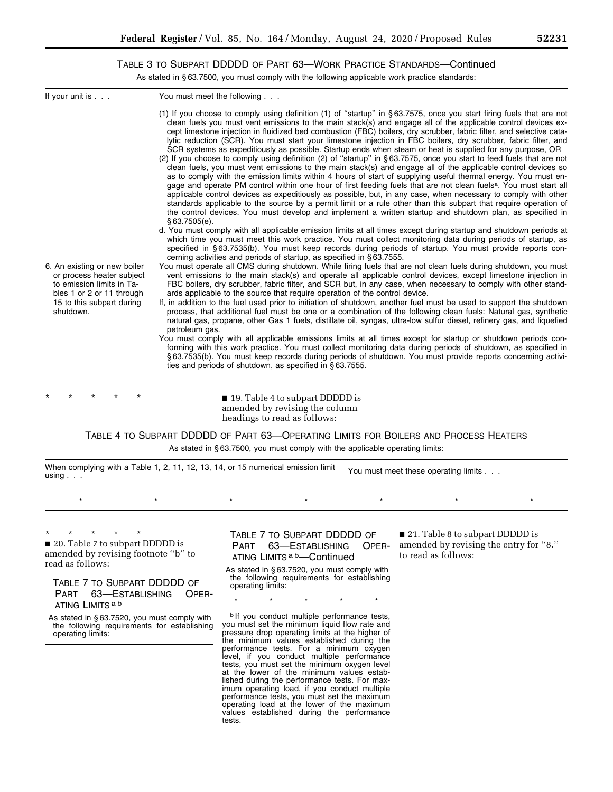٠

TABLE 3 TO SUBPART DDDDD OF PART 63—WORK PRACTICE STANDARDS—Continued

As stated in § 63.7500, you must comply with the following applicable work practice standards:

| If your unit is $\ldots$                                                                                                                                                                                                                                                                              | You must meet the following |                                                       |                                                                                                                                                                                                                                                                                                                                                                                                                                                                                 |                                   |                                                                                                                                                                                                                                                                                                                                                                                                                                                                                                                                                                                                                                                                                                                                                                                                                                                                                                                                                                                                                                                                                                                                                                                                                                                                                                                                                                                                                                            |
|-------------------------------------------------------------------------------------------------------------------------------------------------------------------------------------------------------------------------------------------------------------------------------------------------------|-----------------------------|-------------------------------------------------------|---------------------------------------------------------------------------------------------------------------------------------------------------------------------------------------------------------------------------------------------------------------------------------------------------------------------------------------------------------------------------------------------------------------------------------------------------------------------------------|-----------------------------------|--------------------------------------------------------------------------------------------------------------------------------------------------------------------------------------------------------------------------------------------------------------------------------------------------------------------------------------------------------------------------------------------------------------------------------------------------------------------------------------------------------------------------------------------------------------------------------------------------------------------------------------------------------------------------------------------------------------------------------------------------------------------------------------------------------------------------------------------------------------------------------------------------------------------------------------------------------------------------------------------------------------------------------------------------------------------------------------------------------------------------------------------------------------------------------------------------------------------------------------------------------------------------------------------------------------------------------------------------------------------------------------------------------------------------------------------|
|                                                                                                                                                                                                                                                                                                       | \$63.7505(e).               |                                                       |                                                                                                                                                                                                                                                                                                                                                                                                                                                                                 |                                   | (1) If you choose to comply using definition (1) of "startup" in §63.7575, once you start firing fuels that are not<br>clean fuels you must vent emissions to the main stack(s) and engage all of the applicable control devices ex-<br>cept limestone injection in fluidized bed combustion (FBC) boilers, dry scrubber, fabric filter, and selective cata-<br>lytic reduction (SCR). You must start your limestone injection in FBC boilers, dry scrubber, fabric filter, and<br>SCR systems as expeditiously as possible. Startup ends when steam or heat is supplied for any purpose, OR<br>(2) If you choose to comply using definition (2) of "startup" in §63.7575, once you start to feed fuels that are not<br>clean fuels, you must vent emissions to the main stack(s) and engage all of the applicable control devices so<br>as to comply with the emission limits within 4 hours of start of supplying useful thermal energy. You must en-<br>gage and operate PM control within one hour of first feeding fuels that are not clean fuels <sup>a</sup> . You must start all<br>applicable control devices as expeditiously as possible, but, in any case, when necessary to comply with other<br>standards applicable to the source by a permit limit or a rule other than this subpart that require operation of<br>the control devices. You must develop and implement a written startup and shutdown plan, as specified in |
|                                                                                                                                                                                                                                                                                                       |                             |                                                       |                                                                                                                                                                                                                                                                                                                                                                                                                                                                                 |                                   | d. You must comply with all applicable emission limits at all times except during startup and shutdown periods at<br>which time you must meet this work practice. You must collect monitoring data during periods of startup, as                                                                                                                                                                                                                                                                                                                                                                                                                                                                                                                                                                                                                                                                                                                                                                                                                                                                                                                                                                                                                                                                                                                                                                                                           |
|                                                                                                                                                                                                                                                                                                       |                             |                                                       | cerning activities and periods of startup, as specified in §63.7555.                                                                                                                                                                                                                                                                                                                                                                                                            |                                   | specified in §63.7535(b). You must keep records during periods of startup. You must provide reports con-                                                                                                                                                                                                                                                                                                                                                                                                                                                                                                                                                                                                                                                                                                                                                                                                                                                                                                                                                                                                                                                                                                                                                                                                                                                                                                                                   |
| 6. An existing or new boiler<br>or process heater subject<br>to emission limits in Ta-<br>bles 1 or 2 or 11 through<br>15 to this subpart during<br>shutdown.                                                                                                                                         |                             |                                                       | ards applicable to the source that require operation of the control device.                                                                                                                                                                                                                                                                                                                                                                                                     |                                   | You must operate all CMS during shutdown. While firing fuels that are not clean fuels during shutdown, you must<br>vent emissions to the main stack(s) and operate all applicable control devices, except limestone injection in<br>FBC boilers, dry scrubber, fabric filter, and SCR but, in any case, when necessary to comply with other stand-<br>If, in addition to the fuel used prior to initiation of shutdown, another fuel must be used to support the shutdown<br>process, that additional fuel must be one or a combination of the following clean fuels: Natural gas, synthetic<br>natural gas, propane, other Gas 1 fuels, distillate oil, syngas, ultra-low sulfur diesel, refinery gas, and liquefied                                                                                                                                                                                                                                                                                                                                                                                                                                                                                                                                                                                                                                                                                                                      |
|                                                                                                                                                                                                                                                                                                       | petroleum gas.              |                                                       | ties and periods of shutdown, as specified in §63.7555.                                                                                                                                                                                                                                                                                                                                                                                                                         |                                   | You must comply with all applicable emissions limits at all times except for startup or shutdown periods con-<br>forming with this work practice. You must collect monitoring data during periods of shutdown, as specified in<br>§63.7535(b). You must keep records during periods of shutdown. You must provide reports concerning activi-                                                                                                                                                                                                                                                                                                                                                                                                                                                                                                                                                                                                                                                                                                                                                                                                                                                                                                                                                                                                                                                                                               |
|                                                                                                                                                                                                                                                                                                       |                             |                                                       |                                                                                                                                                                                                                                                                                                                                                                                                                                                                                 |                                   |                                                                                                                                                                                                                                                                                                                                                                                                                                                                                                                                                                                                                                                                                                                                                                                                                                                                                                                                                                                                                                                                                                                                                                                                                                                                                                                                                                                                                                            |
|                                                                                                                                                                                                                                                                                                       |                             |                                                       | ■ 19. Table 4 to subpart DDDDD is<br>amended by revising the column<br>headings to read as follows:                                                                                                                                                                                                                                                                                                                                                                             |                                   |                                                                                                                                                                                                                                                                                                                                                                                                                                                                                                                                                                                                                                                                                                                                                                                                                                                                                                                                                                                                                                                                                                                                                                                                                                                                                                                                                                                                                                            |
|                                                                                                                                                                                                                                                                                                       |                             |                                                       | As stated in §63.7500, you must comply with the applicable operating limits:                                                                                                                                                                                                                                                                                                                                                                                                    |                                   | TABLE 4 TO SUBPART DDDDD OF PART 63-OPERATING LIMITS FOR BOILERS AND PROCESS HEATERS                                                                                                                                                                                                                                                                                                                                                                                                                                                                                                                                                                                                                                                                                                                                                                                                                                                                                                                                                                                                                                                                                                                                                                                                                                                                                                                                                       |
| When complying with a Table 1, 2, 11, 12, 13, 14, or 15 numerical emission limit<br>using $\ldots$                                                                                                                                                                                                    |                             |                                                       |                                                                                                                                                                                                                                                                                                                                                                                                                                                                                 |                                   | You must meet these operating limits                                                                                                                                                                                                                                                                                                                                                                                                                                                                                                                                                                                                                                                                                                                                                                                                                                                                                                                                                                                                                                                                                                                                                                                                                                                                                                                                                                                                       |
| $\star$                                                                                                                                                                                                                                                                                               | $\star$                     | $\star$                                               | $\star$                                                                                                                                                                                                                                                                                                                                                                                                                                                                         | $^{\star}$                        | $\star$<br>$\star$                                                                                                                                                                                                                                                                                                                                                                                                                                                                                                                                                                                                                                                                                                                                                                                                                                                                                                                                                                                                                                                                                                                                                                                                                                                                                                                                                                                                                         |
| 20. Table 7 to subpart DDDDD is<br>amended by revising footnote "b" to<br>read as follows:<br>TABLE 7 TO SUBPART DDDDD OF<br>PART<br>63-ESTABLISHING<br>ATING LIMITS <sup>ab</sup><br>As stated in §63.7520, you must comply with<br>the following requirements for establishing<br>operating limits: | OPER-                       | PART<br>operating limits:<br>$\overline{\phantom{0}}$ | TABLE 7 TO SUBPART DDDDD OF<br>63-ESTABLISHING<br>ATING LIMITS <sup>ab</sup> —Continued<br>As stated in §63.7520, you must comply with<br>the following requirements for establishing<br>b If you conduct multiple performance tests,<br>you must set the minimum liquid flow rate and<br>pressure drop operating limits at the higher of<br>the minimum values established during the<br>performance tests. For a minimum oxygen<br>level, if you conduct multiple performance | OPER-<br>$\overline{\phantom{0}}$ | 21. Table 8 to subpart DDDDD is<br>amended by revising the entry for "8."<br>to read as follows:                                                                                                                                                                                                                                                                                                                                                                                                                                                                                                                                                                                                                                                                                                                                                                                                                                                                                                                                                                                                                                                                                                                                                                                                                                                                                                                                           |

tests, you must set the minimum oxygen level at the lower of the minimum values established during the performance tests. For maximum operating load, if you conduct multiple performance tests, you must set the maximum operating load at the lower of the maximum values established during the performance

tests.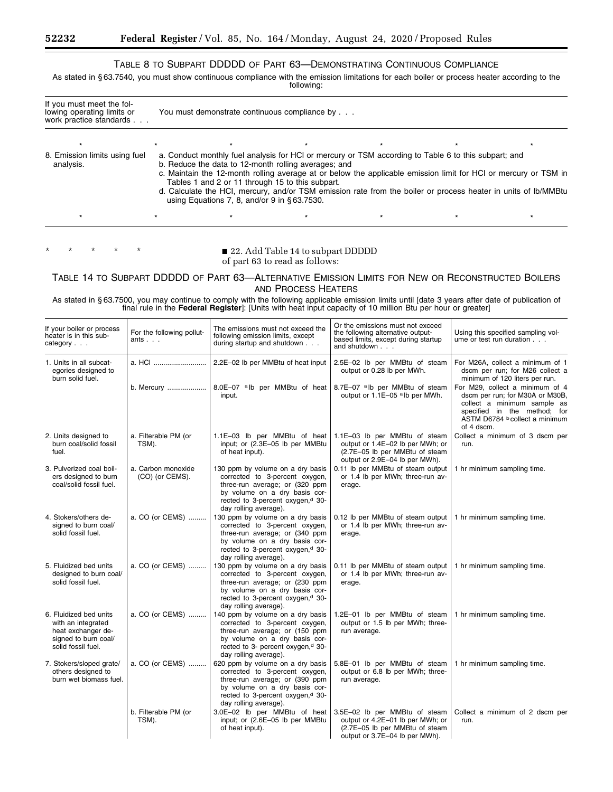# TABLE 8 TO SUBPART DDDDD OF PART 63—DEMONSTRATING CONTINUOUS COMPLIANCE

As stated in § 63.7540, you must show continuous compliance with the emission limitations for each boiler or process heater according to the following:

| If you must meet the fol-<br>lowing operating limits or<br>work practice standards | You must demonstrate continuous compliance by |                                                                                                                                                            |  |                                                                                                                                                                                                                                                                                                                                           |  |         |  |
|------------------------------------------------------------------------------------|-----------------------------------------------|------------------------------------------------------------------------------------------------------------------------------------------------------------|--|-------------------------------------------------------------------------------------------------------------------------------------------------------------------------------------------------------------------------------------------------------------------------------------------------------------------------------------------|--|---------|--|
|                                                                                    |                                               |                                                                                                                                                            |  |                                                                                                                                                                                                                                                                                                                                           |  |         |  |
| 8. Emission limits using fuel<br>analysis.                                         |                                               | b. Reduce the data to 12-month rolling averages; and<br>Tables 1 and 2 or 11 through 15 to this subpart.<br>using Equations 7, 8, and/or 9 in $§$ 63.7530. |  | a. Conduct monthly fuel analysis for HCI or mercury or TSM according to Table 6 to this subpart; and<br>c. Maintain the 12-month rolling average at or below the applicable emission limit for HCl or mercury or TSM in<br>d. Calculate the HCI, mercury, and/or TSM emission rate from the boiler or process heater in units of Ib/MMBtu |  |         |  |
| $\star$                                                                            |                                               |                                                                                                                                                            |  |                                                                                                                                                                                                                                                                                                                                           |  | $\star$ |  |

\* \* \* \* \* ■ 22. Add Table 14 to subpart DDDDD of part 63 to read as follows:

TABLE 14 TO SUBPART DDDDD OF PART 63—ALTERNATIVE EMISSION LIMITS FOR NEW OR RECONSTRUCTED BOILERS AND PROCESS HEATERS

As stated in § 63.7500, you may continue to comply with the following applicable emission limits until [date 3 years after date of publication of final rule in the **Federal Register**]: [Units with heat input capacity of 10 million Btu per hour or greater]

| If your boiler or process<br>heater is in this sub-<br>category $\ldots$                                         | For the following pollut-<br>ants $\ldots$ | The emissions must not exceed the<br>following emission limits, except<br>during startup and shutdown $\ldots$                                                                                                  | Or the emissions must not exceed<br>the following alternative output-<br>based limits, except during startup<br>and shutdown          | Using this specified sampling vol-<br>ume or test run duration                                                                                                                    |
|------------------------------------------------------------------------------------------------------------------|--------------------------------------------|-----------------------------------------------------------------------------------------------------------------------------------------------------------------------------------------------------------------|---------------------------------------------------------------------------------------------------------------------------------------|-----------------------------------------------------------------------------------------------------------------------------------------------------------------------------------|
| 1. Units in all subcat-<br>egories designed to<br>burn solid fuel.                                               | a. HCI                                     | 2.2E-02 lb per MMBtu of heat input                                                                                                                                                                              | 2.5E-02 lb per MMBtu of steam<br>output or 0.28 lb per MWh.                                                                           | For M26A, collect a minimum of 1<br>dscm per run; for M26 collect a<br>minimum of 120 liters per run.                                                                             |
|                                                                                                                  |                                            | b. Mercury    8.0E-07 $^{\circ}$ Nb per MMBtu of heat<br>input.                                                                                                                                                 | 8.7E-07 alb per MMBtu of steam<br>output or 1.1E-05 alb per MWh.                                                                      | For M29, collect a minimum of 4<br>dscm per run; for M30A or M30B,<br>collect a minimum sample as<br>specified in the method; for<br>ASTM D6784 b collect a minimum<br>of 4 dscm. |
| 2. Units designed to<br>burn coal/solid fossil<br>fuel.                                                          | a. Filterable PM (or<br>TSM).              | 1.1E-03 lb per MMBtu of heat<br>input; or (2.3E-05 lb per MMBtu<br>of heat input).                                                                                                                              | 1.1E-03 lb per MMBtu of steam<br>output or 1.4E-02 lb per MWh; or<br>(2.7E-05 lb per MMBtu of steam<br>output or 2.9E-04 lb per MWh). | Collect a minimum of 3 dscm per<br>run.                                                                                                                                           |
| 3. Pulverized coal boil-<br>ers designed to burn<br>coal/solid fossil fuel.                                      | a. Carbon monoxide<br>(CO) (or CEMS).      | 130 ppm by volume on a dry basis<br>corrected to 3-percent oxygen,<br>three-run average; or (320 ppm<br>by volume on a dry basis cor-<br>rected to 3-percent oxygen, <sup>d</sup> 30-<br>day rolling average).  | 0.11 lb per MMBtu of steam output<br>or 1.4 lb per MWh; three-run av-<br>erage.                                                       | 1 hr minimum sampling time.                                                                                                                                                       |
| 4. Stokers/others de-<br>signed to burn coal/<br>solid fossil fuel.                                              | a. CO (or CEMS)                            | 130 ppm by volume on a dry basis<br>corrected to 3-percent oxygen,<br>three-run average; or (340 ppm<br>by volume on a dry basis cor-<br>rected to 3-percent oxygen, <sup>d</sup> 30-<br>day rolling average).  | 0.12 lb per MMBtu of steam output<br>or 1.4 lb per MWh; three-run av-<br>erage.                                                       | 1 hr minimum sampling time.                                                                                                                                                       |
| 5. Fluidized bed units<br>designed to burn coal/<br>solid fossil fuel.                                           | a. CO (or CEMS)                            | 130 ppm by volume on a dry basis<br>corrected to 3-percent oxygen,<br>three-run average; or (230 ppm<br>by volume on a dry basis cor-<br>rected to 3-percent oxygen, <sup>d</sup> 30-<br>day rolling average).  | 0.11 lb per MMBtu of steam output<br>or 1.4 lb per MWh; three-run av-<br>erage.                                                       | 1 hr minimum sampling time.                                                                                                                                                       |
| 6. Fluidized bed units<br>with an integrated<br>heat exchanger de-<br>signed to burn coal/<br>solid fossil fuel. | a. CO (or CEMS)                            | 140 ppm by volume on a dry basis<br>corrected to 3-percent oxygen,<br>three-run average; or (150 ppm<br>by volume on a dry basis cor-<br>rected to 3- percent oxygen, <sup>d</sup> 30-<br>day rolling average). | 1.2E-01 lb per MMB tu of steam<br>output or 1.5 lb per MWh; three-<br>run average.                                                    | 1 hr minimum sampling time.                                                                                                                                                       |
| 7. Stokers/sloped grate/<br>others designed to<br>burn wet biomass fuel.                                         | a. CO (or CEMS)                            | 620 ppm by volume on a dry basis<br>corrected to 3-percent oxygen,<br>three-run average; or (390 ppm<br>by volume on a dry basis cor-<br>rected to 3-percent oxygen, <sup>d</sup> 30-<br>day rolling average).  | 5.8E-01 lb per MMBtu of steam<br>output or 6.8 lb per MWh; three-<br>run average.                                                     | 1 hr minimum sampling time.                                                                                                                                                       |
|                                                                                                                  | b. Filterable PM (or<br>TSM).              | 3.0E-02 lb per MMBtu of heat<br>input; or (2.6E-05 lb per MMBtu<br>of heat input).                                                                                                                              | 3.5E-02 lb per MMBtu of steam<br>output or 4.2E-01 lb per MWh; or<br>(2.7E-05 lb per MMBtu of steam<br>output or 3.7E-04 lb per MWh). | Collect a minimum of 2 dscm per<br>run.                                                                                                                                           |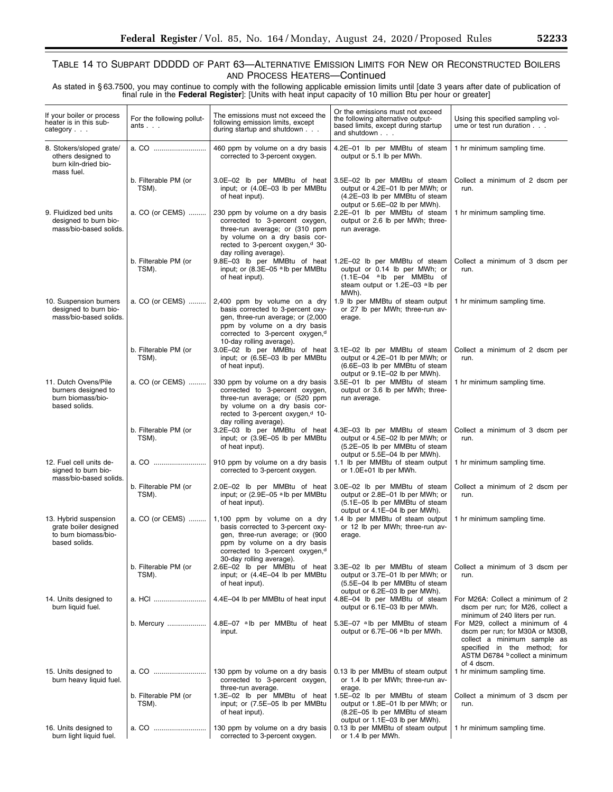# TABLE 14 TO SUBPART DDDDD OF PART 63—ALTERNATIVE EMISSION LIMITS FOR NEW OR RECONSTRUCTED BOILERS AND PROCESS HEATERS—Continued

As stated in § 63.7500, you may continue to comply with the following applicable emission limits until [date 3 years after date of publication of final rule in the **Federal Register**]: [Units with heat input capacity of 10 million Btu per hour or greater]

| If your boiler or process<br>heater is in this sub-<br>category                         | For the following pollut-<br>ants $\ldots$ | The emissions must not exceed the<br>following emission limits, except<br>during startup and shutdown                                                                                                             | Or the emissions must not exceed<br>the following alternative output-<br>based limits, except during startup<br>and shutdown            | Using this specified sampling vol-<br>ume or test run duration                                                                                                                    |
|-----------------------------------------------------------------------------------------|--------------------------------------------|-------------------------------------------------------------------------------------------------------------------------------------------------------------------------------------------------------------------|-----------------------------------------------------------------------------------------------------------------------------------------|-----------------------------------------------------------------------------------------------------------------------------------------------------------------------------------|
| 8. Stokers/sloped grate/<br>others designed to<br>burn kiln-dried bio-<br>mass fuel.    | a. CO                                      | 460 ppm by volume on a dry basis<br>corrected to 3-percent oxygen.                                                                                                                                                | 4.2E-01 lb per MMBtu of steam<br>output or 5.1 lb per MWh.                                                                              | 1 hr minimum sampling time.                                                                                                                                                       |
|                                                                                         | b. Filterable PM (or<br>TSM).              | 3.0E-02 lb per MMBtu of heat<br>input; or (4.0E-03 lb per MMBtu<br>of heat input).                                                                                                                                | 3.5E-02 lb per MMBtu of steam<br>output or 4.2E-01 lb per MWh; or<br>(4.2E-03 lb per MMBtu of steam<br>output or 5.6E-02 lb per MWh).   | Collect a minimum of 2 dscm per<br>run.                                                                                                                                           |
| 9. Fluidized bed units<br>designed to burn bio-<br>mass/bio-based solids.               | a. CO (or CEMS)                            | 230 ppm by volume on a dry basis<br>corrected to 3-percent oxygen,<br>three-run average; or (310 ppm<br>by volume on a dry basis cor-<br>rected to 3-percent oxygen, <sup>d</sup> 30-<br>day rolling average).    | 2.2E-01 lb per MMBtu of steam<br>output or 2.6 lb per MWh; three-<br>run average.                                                       | 1 hr minimum sampling time.                                                                                                                                                       |
|                                                                                         | b. Filterable PM (or<br>TSM).              | 9.8E-03 lb per MMBtu of heat<br>input; or (8.3E-05 alb per MMBtu<br>of heat input).                                                                                                                               | 1.2E-02 lb per MMBtu of steam<br>output or 0.14 lb per MWh; or<br>(1.1E-04 alb per MMBtu of<br>steam output or 1.2E-03 alb per<br>MWh). | Collect a minimum of 3 dscm per<br>run.                                                                                                                                           |
| 10. Suspension burners<br>designed to burn bio-<br>mass/bio-based solids.               | a. CO (or CEMS)                            | 2,400 ppm by volume on a dry<br>basis corrected to 3-percent oxy-<br>gen, three-run average; or (2,000<br>ppm by volume on a dry basis<br>corrected to 3-percent oxygen, <sup>d</sup><br>10-day rolling average). | 1.9 lb per MMBtu of steam output<br>or 27 lb per MWh: three-run av-<br>erage.                                                           | 1 hr minimum sampling time.                                                                                                                                                       |
|                                                                                         | b. Filterable PM (or<br>TSM).              | 3.0E-02 lb per MMBtu of heat<br>input; or (6.5E-03 lb per MMBtu<br>of heat input).                                                                                                                                | 3.1E-02 lb per MMBtu of steam<br>output or 4.2E-01 lb per MWh; or<br>(6.6E-03 lb per MMBtu of steam<br>output or 9.1E-02 lb per MWh).   | Collect a minimum of 2 dscm per<br>run.                                                                                                                                           |
| 11. Dutch Ovens/Pile<br>burners designed to<br>burn biomass/bio-<br>based solids.       | a. CO (or CEMS)                            | 330 ppm by volume on a dry basis<br>corrected to 3-percent oxygen,<br>three-run average; or (520 ppm<br>by volume on a dry basis cor-<br>rected to 3-percent oxygen, <sup>d</sup> 10-<br>day rolling average).    | 3.5E-01 lb per MMBtu of steam<br>output or 3.6 lb per MWh; three-<br>run average.                                                       | 1 hr minimum sampling time.                                                                                                                                                       |
|                                                                                         | b. Filterable PM (or<br>TSM).              | 3.2E-03 lb per MMBtu of heat<br>input; or (3.9E-05 lb per MMBtu<br>of heat input).                                                                                                                                | 4.3E-03 lb per MMBtu of steam<br>output or 4.5E-02 lb per MWh; or<br>(5.2E-05 lb per MMBtu of steam<br>output or 5.5E-04 lb per MWh).   | Collect a minimum of 3 dscm per<br>run.                                                                                                                                           |
| 12. Fuel cell units de-<br>signed to burn bio-<br>mass/bio-based solids.                |                                            | 910 ppm by volume on a dry basis<br>corrected to 3-percent oxygen.                                                                                                                                                | 1.1 lb per MMBtu of steam output<br>or 1.0E+01 lb per MWh.                                                                              | 1 hr minimum sampling time.                                                                                                                                                       |
|                                                                                         | b. Filterable PM (or<br>TSM).              | 2.0E-02 lb per MMBtu of heat<br>input; or (2.9E-05 alb per MMBtu<br>of heat input).                                                                                                                               | 3.0E-02 lb per MMBtu of steam<br>output or 2.8E-01 lb per MWh; or<br>(5.1E-05 lb per MMBtu of steam<br>output or 4.1E-04 lb per MWh).   | Collect a minimum of 2 dscm per<br>run.                                                                                                                                           |
| 13. Hybrid suspension<br>grate boiler designed<br>to burn biomass/bio-<br>based solids. | a. CO (or CEMS)                            | 1,100 ppm by volume on a dry<br>basis corrected to 3-percent oxy-<br>gen, three-run average; or (900<br>ppm by volume on a dry basis<br>corrected to 3-percent oxygen, <sup>d</sup><br>30-day rolling average).   | 1.4 lb per MMBtu of steam output<br>or 12 lb per MWh; three-run av-<br>erage.                                                           | 1 hr minimum sampling time.                                                                                                                                                       |
|                                                                                         | b. Filterable PM (or<br>TSM).              | 2.6E-02 lb per MMBtu of heat<br>input; or (4.4E-04 lb per MMBtu<br>of heat input).                                                                                                                                | 3.3E-02 lb per MMBtu of steam<br>output or 3.7E-01 lb per MWh; or<br>(5.5E-04 lb per MMBtu of steam<br>output or 6.2E-03 lb per MWh).   | Collect a minimum of 3 dscm per<br>run.                                                                                                                                           |
| 14. Units designed to<br>burn liquid fuel.                                              | a. HCI                                     | 4.4E-04 lb per MMBtu of heat input                                                                                                                                                                                | 4.8E-04 lb per MMBtu of steam<br>output or 6.1E-03 lb per MWh.                                                                          | For M26A: Collect a minimum of 2<br>dscm per run; for M26, collect a<br>minimum of 240 liters per run.                                                                            |
|                                                                                         | b. Mercury                                 | 4.8E-07 alb per MMBtu of heat<br>input.                                                                                                                                                                           | 5.3E-07 alb per MMBtu of steam<br>output or 6.7E-06 alb per MWh.                                                                        | For M29, collect a minimum of 4<br>dscm per run; for M30A or M30B,<br>collect a minimum sample as<br>specified in the method; for<br>ASTM D6784 b collect a minimum<br>of 4 dscm. |
| 15. Units designed to<br>burn heavy liquid fuel.                                        | a. CO                                      | 130 ppm by volume on a dry basis<br>corrected to 3-percent oxygen,<br>three-run average.                                                                                                                          | 0.13 lb per MMBtu of steam output<br>or 1.4 lb per MWh; three-run av-<br>erage.                                                         | 1 hr minimum sampling time.                                                                                                                                                       |
|                                                                                         | b. Filterable PM (or<br>TSM).              | 1.3E-02 lb per MMBtu of heat<br>input; or (7.5E-05 lb per MMBtu<br>of heat input).                                                                                                                                | 1.5E-02 lb per MMBtu of steam<br>output or 1.8E-01 lb per MWh; or<br>(8.2E-05 lb per MMBtu of steam<br>output or 1.1E-03 lb per MWh).   | Collect a minimum of 3 dscm per<br>run.                                                                                                                                           |
| 16. Units designed to<br>burn light liquid fuel.                                        | a. CO                                      | 130 ppm by volume on a dry basis<br>corrected to 3-percent oxygen.                                                                                                                                                | 0.13 lb per MMBtu of steam output<br>or 1.4 lb per MWh.                                                                                 | 1 hr minimum sampling time.                                                                                                                                                       |

e.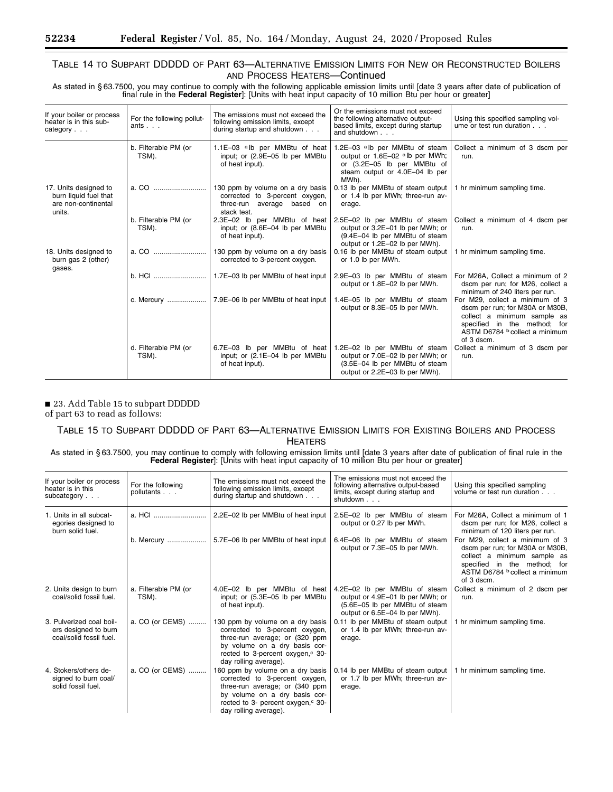# TABLE 14 TO SUBPART DDDDD OF PART 63—ALTERNATIVE EMISSION LIMITS FOR NEW OR RECONSTRUCTED BOILERS AND PROCESS HEATERS—Continued

As stated in § 63.7500, you may continue to comply with the following applicable emission limits until [date 3 years after date of publication of final rule in the **Federal Register**]: [Units with heat input capacity of 10 million Btu per hour or greater]

| If your boiler or process<br>heater is in this sub-<br>category $\ldots$        | For the following pollut-<br>ants | The emissions must not exceed the<br>following emission limits, except<br>during startup and shutdown           | Or the emissions must not exceed<br>the following alternative output-<br>based limits, except during startup<br>and shutdown $\ldots$ .                            | Using this specified sampling vol-<br>ume or test run duration.                                                                                                                   |
|---------------------------------------------------------------------------------|-----------------------------------|-----------------------------------------------------------------------------------------------------------------|--------------------------------------------------------------------------------------------------------------------------------------------------------------------|-----------------------------------------------------------------------------------------------------------------------------------------------------------------------------------|
|                                                                                 | b. Filterable PM (or<br>TSM).     | 1.1E-03 $a$ <sub>l</sub> b per MMB tu of heat<br>input; or (2.9E-05 lb per MMBtu<br>of heat input).             | 1.2E-03 alb per MMBtu of steam<br>output or 1.6E-02 alb per MWh;<br>or (3.2E-05 lb per MMBtu of<br>steam output or 4.0E-04 lb per<br>MWh).                         | Collect a minimum of 3 dscm per<br>run.                                                                                                                                           |
| 17. Units designed to<br>burn liquid fuel that<br>are non-continental<br>units. |                                   | 130 ppm by volume on a dry basis<br>corrected to 3-percent oxygen,<br>three-run average based on<br>stack test. | 0.13 lb per MMBtu of steam output  <br>or 1.4 lb per MWh; three-run av-<br>erage.                                                                                  | 1 hr minimum sampling time.                                                                                                                                                       |
|                                                                                 | b. Filterable PM (or<br>TSM).     | input; or (8.6E-04 lb per MMBtu<br>of heat input).                                                              | 2.3E-02 lb per MMBtu of heat 2.5E-02 lb per MMBtu of steam<br>output or 3.2E-01 lb per MWh; or<br>(9.4E-04 lb per MMBtu of steam<br>output or 1.2E-02 lb per MWh). | Collect a minimum of 4 dscm per<br>run.                                                                                                                                           |
| 18. Units designed to<br>burn gas 2 (other)<br>gases.                           |                                   | 130 ppm by volume on a dry basis<br>corrected to 3-percent oxygen.                                              | 0.16 lb per MMBtu of steam output<br>or 1.0 lb per MWh.                                                                                                            | 1 hr minimum sampling time.                                                                                                                                                       |
|                                                                                 | b. HCl                            | 1.7E-03 lb per MMBtu of heat input                                                                              | 2.9E-03 lb per MMBtu of steam<br>output or 1.8E-02 lb per MWh.                                                                                                     | For M26A, Collect a minimum of 2<br>dscm per run; for M26, collect a<br>minimum of 240 liters per run.                                                                            |
|                                                                                 |                                   | c. Mercury $\ldots$ $\ldots$ $\ldots$ $\ldots$ 7.9E-06 lb per MMB tu of heat input                              | 1.4E-05 lb per MMBtu of steam<br>output or 8.3E-05 lb per MWh.                                                                                                     | For M29, collect a minimum of 3<br>dscm per run; for M30A or M30B,<br>collect a minimum sample as<br>specified in the method; for<br>ASTM D6784 b collect a minimum<br>of 3 dscm. |
|                                                                                 | d. Filterable PM (or<br>TSM).     | 6.7E-03 lb per MMBtu of heat<br>input; or (2.1E-04 lb per MMBtu<br>of heat input).                              | 1.2E-02 lb per MMBtu of steam<br>output or 7.0E-02 lb per MWh; or<br>(3.5E-04 lb per MMBtu of steam<br>output or 2.2E-03 lb per MWh).                              | Collect a minimum of 3 dscm per<br>run.                                                                                                                                           |

■ 23. Add Table 15 to subpart DDDDD

of part 63 to read as follows:

# TABLE 15 TO SUBPART DDDDD OF PART 63—ALTERNATIVE EMISSION LIMITS FOR EXISTING BOILERS AND PROCESS HEATERS

As stated in § 63.7500, you may continue to comply with following emission limits until [date 3 years after date of publication of final rule in the **Federal Register**]: [Units with heat input capacity of 10 million Btu per hour or greater]

| If your boiler or process<br>heater is in this<br>subcategory               | For the following<br>pollutants | The emissions must not exceed the<br>following emission limits, except<br>during startup and shutdown                                                                                                           | The emissions must not exceed the<br>following alternative output-based<br>limits, except during startup and<br>shutdown              | Using this specified sampling<br>volume or test run duration                                                                                                                      |
|-----------------------------------------------------------------------------|---------------------------------|-----------------------------------------------------------------------------------------------------------------------------------------------------------------------------------------------------------------|---------------------------------------------------------------------------------------------------------------------------------------|-----------------------------------------------------------------------------------------------------------------------------------------------------------------------------------|
| 1. Units in all subcat-<br>egories designed to<br>burn solid fuel.          |                                 | 2.2E-02 lb per MMBtu of heat input                                                                                                                                                                              | 2.5E-02 lb per MMBtu of steam<br>output or 0.27 lb per MWh.                                                                           | For M26A. Collect a minimum of 1<br>dscm per run; for M26, collect a<br>minimum of 120 liters per run.                                                                            |
|                                                                             | b. Mercury                      | 5.7E-06 lb per MMBtu of heat input                                                                                                                                                                              | 6.4E-06 lb per MMBtu of steam<br>output or 7.3E-05 lb per MWh.                                                                        | For M29, collect a minimum of 3<br>dscm per run; for M30A or M30B,<br>collect a minimum sample as<br>specified in the method; for<br>ASTM D6784 b collect a minimum<br>of 3 dscm. |
| 2. Units design to burn<br>coal/solid fossil fuel.                          | a. Filterable PM (or<br>TSM).   | 4.0E-02 lb per MMBtu of heat<br>input; or (5.3E-05 lb per MMBtu<br>of heat input).                                                                                                                              | 4.2E-02 lb per MMBtu of steam<br>output or 4.9E-01 lb per MWh; or<br>(5.6E-05 lb per MMBtu of steam<br>output or 6.5E-04 lb per MWh). | Collect a minimum of 2 dscm per<br>run.                                                                                                                                           |
| 3. Pulverized coal boil-<br>ers designed to burn<br>coal/solid fossil fuel. | a. CO (or CEMS)                 | 130 ppm by volume on a dry basis<br>corrected to 3-percent oxygen,<br>three-run average; or (320 ppm<br>by volume on a dry basis cor-<br>rected to 3-percent oxygen, <sup>c</sup> 30-<br>day rolling average).  | 0.11 lb per MMBtu of steam output<br>or 1.4 lb per MWh; three-run av-<br>erage.                                                       | 1 hr minimum sampling time.                                                                                                                                                       |
| 4. Stokers/others de-<br>signed to burn coal/<br>solid fossil fuel.         | a. CO (or CEMS)                 | 160 ppm by volume on a dry basis<br>corrected to 3-percent oxygen,<br>three-run average; or (340 ppm<br>by volume on a dry basis cor-<br>rected to 3- percent oxygen, <sup>c</sup> 30-<br>day rolling average). | 0.14 lb per MMBtu of steam output<br>or 1.7 lb per MWh; three-run av-<br>erage.                                                       | 1 hr minimum sampling time.                                                                                                                                                       |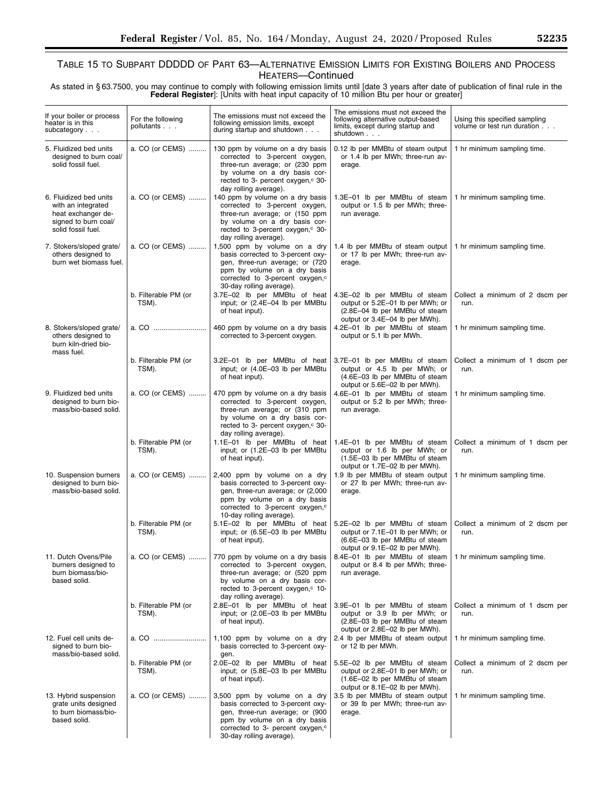As stated in § 63.7500, you may continue to comply with following emission limits until [date 3 years after date of publication of final rule in the **Federal Register**]: [Units with heat input capacity of 10 million Btu per hour or greater]

| If your boiler or process<br>heater is in this<br>subcategory                                                    | For the following<br>pollutants | The emissions must not exceed the<br>following emission limits, except<br>during startup and shutdown                                                                                                             | The emissions must not exceed the<br>following alternative output-based<br>limits, except during startup and<br>shutdown              | Using this specified sampling<br>volume or test run duration |
|------------------------------------------------------------------------------------------------------------------|---------------------------------|-------------------------------------------------------------------------------------------------------------------------------------------------------------------------------------------------------------------|---------------------------------------------------------------------------------------------------------------------------------------|--------------------------------------------------------------|
| 5. Fluidized bed units<br>designed to burn coal/<br>solid fossil fuel.                                           | a. CO (or CEMS)                 | 130 ppm by volume on a dry basis<br>corrected to 3-percent oxygen,<br>three-run average; or (230 ppm<br>by volume on a dry basis cor-<br>rected to 3- percent oxygen, <sup>c</sup> 30-<br>day rolling average).   | 0.12 lb per MMBtu of steam output<br>or 1.4 lb per MWh; three-run av-<br>erage.                                                       | 1 hr minimum sampling time.                                  |
| 6. Fluidized bed units<br>with an integrated<br>heat exchanger de-<br>signed to burn coal/<br>solid fossil fuel. | a. CO (or CEMS)                 | 140 ppm by volume on a dry basis<br>corrected to 3-percent oxygen,<br>three-run average; or (150 ppm<br>by volume on a dry basis cor-<br>rected to 3-percent oxygen, <sup>c</sup> 30-<br>day rolling average).    | 1.3E-01 lb per MMBtu of steam<br>output or 1.5 lb per MWh; three-<br>run average.                                                     | 1 hr minimum sampling time.                                  |
| 7. Stokers/sloped grate/<br>others designed to<br>burn wet biomass fuel.                                         | a. CO (or CEMS)                 | 1,500 ppm by volume on a dry<br>basis corrected to 3-percent oxy-<br>gen, three-run average; or (720<br>ppm by volume on a dry basis<br>corrected to 3-percent oxygen, <sup>c</sup><br>30-day rolling average).   | 1.4 lb per MMBtu of steam output<br>or 17 lb per MWh; three-run av-<br>erage.                                                         | 1 hr minimum sampling time.                                  |
|                                                                                                                  | b. Filterable PM (or<br>TSM).   | 3.7E-02 lb per MMBtu of heat<br>input; or (2.4E-04 lb per MMBtu<br>of heat input).                                                                                                                                | 4.3E-02 lb per MMBtu of steam<br>output or 5.2E-01 lb per MWh; or<br>(2.8E-04 lb per MMBtu of steam<br>output or 3.4E-04 lb per MWh). | Collect a minimum of 2 dscm per<br>run.                      |
| 8. Stokers/sloped grate/<br>others designed to<br>burn kiln-dried bio-<br>mass fuel.                             | a. CO                           | 460 ppm by volume on a dry basis<br>corrected to 3-percent oxygen.                                                                                                                                                | 4.2E-01 lb per MMBtu of steam<br>output or 5.1 lb per MWh.                                                                            | 1 hr minimum sampling time.                                  |
|                                                                                                                  | b. Filterable PM (or<br>TSM).   | 3.2E-01 lb per MMBtu of heat<br>input; or (4.0E-03 lb per MMBtu<br>of heat input).                                                                                                                                | 3.7E-01 lb per MMBtu of steam<br>output or 4.5 lb per MWh; or<br>(4.6E-03 lb per MMBtu of steam<br>output or 5.6E-02 lb per MWh).     | Collect a minimum of 1 dscm per<br>run.                      |
| 9. Fluidized bed units<br>designed to burn bio-<br>mass/bio-based solid.                                         | a. CO (or CEMS)                 | 470 ppm by volume on a dry basis<br>corrected to 3-percent oxygen,<br>three-run average; or (310 ppm<br>by volume on a dry basis cor-<br>rected to 3- percent oxygen, <sup>c</sup> 30-<br>day rolling average).   | 4.6E-01 lb per MMBtu of steam<br>output or 5.2 lb per MWh; three-<br>run average.                                                     | 1 hr minimum sampling time.                                  |
|                                                                                                                  | b. Filterable PM (or<br>TSM).   | 1.1E-01 lb per MMBtu of heat<br>input; or (1.2E-03 lb per MMBtu<br>of heat input).                                                                                                                                | 1.4E-01 lb per MMBtu of steam<br>output or 1.6 lb per MWh; or<br>(1.5E-03 lb per MMBtu of steam<br>output or 1.7E-02 lb per MWh).     | Collect a minimum of 1 dscm per<br>run.                      |
| 10. Suspension burners<br>designed to burn bio-<br>mass/bio-based solid.                                         | a. CO (or CEMS)                 | 2,400 ppm by volume on a dry<br>basis corrected to 3-percent oxy-<br>gen, three-run average; or (2,000<br>ppm by volume on a dry basis<br>corrected to 3-percent oxygen, <sup>c</sup><br>10-day rolling average). | 1.9 lb per MMBtu of steam output<br>or 27 lb per MWh; three-run av-<br>erage.                                                         | 1 hr minimum sampling time.                                  |
|                                                                                                                  | b. Filterable PM (or<br>TSM).   | 5.1E-02 lb per MMBtu of heat<br>input; or (6.5E-03 lb per MMBtu<br>of heat input).                                                                                                                                | 5.2E-02 lb per MMBtu of steam<br>output or 7.1E-01 lb per MWh; or<br>(6.6E-03 lb per MMBtu of steam<br>output or 9.1E-02 lb per MWh). | Collect a minimum of 2 dscm per<br>run.                      |
| 11. Dutch Ovens/Pile<br>burners designed to<br>burn biomass/bio-<br>based solid.                                 | a. CO (or CEMS)                 | 770 ppm by volume on a dry basis<br>corrected to 3-percent oxygen,<br>three-run average; or (520 ppm<br>by volume on a dry basis cor-<br>rected to 3-percent oxygen, c 10-<br>day rolling average).               | 8.4E-01 lb per MMBtu of steam<br>output or 8.4 lb per MWh; three-<br>run average.                                                     | 1 hr minimum sampling time.                                  |
|                                                                                                                  | b. Filterable PM (or<br>TSM).   | 2.8E-01 lb per MMBtu of heat<br>input; or (2.0E-03 lb per MMBtu<br>of heat input).                                                                                                                                | 3.9E-01 lb per MMBtu of steam<br>output or 3.9 lb per MWh; or<br>(2.8E-03 lb per MMBtu of steam<br>output or 2.8E-02 lb per MWh).     | Collect a minimum of 1 dscm per<br>run.                      |
| 12. Fuel cell units de-<br>signed to burn bio-<br>mass/bio-based solid.                                          | a. CO                           | 1,100 ppm by volume on a dry<br>basis corrected to 3-percent oxy-<br>gen.                                                                                                                                         | 2.4 lb per MMBtu of steam output<br>or 12 lb per MWh.                                                                                 | 1 hr minimum sampling time.                                  |
|                                                                                                                  | b. Filterable PM (or<br>TSM).   | 2.0E-02 lb per MMBtu of heat<br>input; or (5.8E-03 lb per MMBtu<br>of heat input).                                                                                                                                | 5.5E-02 lb per MMBtu of steam<br>output or 2.8E-01 lb per MWh; or<br>(1.6E-02 lb per MMBtu of steam<br>output or 8.1E-02 lb per MWh). | Collect a minimum of 2 dscm per<br>run.                      |
| 13. Hybrid suspension<br>grate units designed<br>to burn biomass/bio-<br>based solid.                            | a. CO (or CEMS)                 | 3,500 ppm by volume on a dry<br>basis corrected to 3-percent oxy-<br>gen, three-run average; or (900<br>ppm by volume on a dry basis<br>corrected to 3- percent oxygen, <sup>c</sup><br>30-day rolling average).  | 3.5 lb per MMBtu of steam output<br>or 39 lb per MWh; three-run av-<br>erage.                                                         | 1 hr minimum sampling time.                                  |

e<br>B